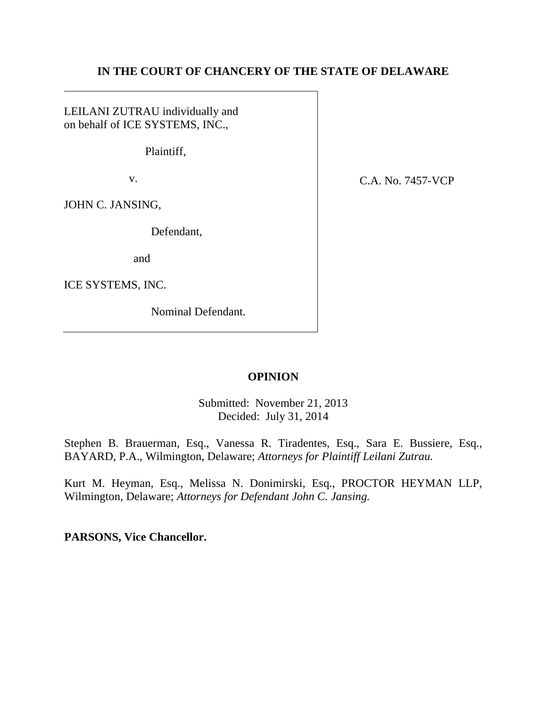# **IN THE COURT OF CHANCERY OF THE STATE OF DELAWARE**

LEILANI ZUTRAU individually and on behalf of ICE SYSTEMS, INC.,

Plaintiff,

v.

JOHN C. JANSING,

Defendant,

and

ICE SYSTEMS, INC.

Nominal Defendant.

C.A. No. 7457-VCP

# **OPINION**

Submitted: November 21, 2013 Decided: July 31, 2014

Stephen B. Brauerman, Esq., Vanessa R. Tiradentes, Esq., Sara E. Bussiere, Esq., BAYARD, P.A., Wilmington, Delaware; *Attorneys for Plaintiff Leilani Zutrau.*

Kurt M. Heyman, Esq., Melissa N. Donimirski, Esq., PROCTOR HEYMAN LLP, Wilmington, Delaware; *Attorneys for Defendant John C. Jansing.*

**PARSONS, Vice Chancellor.**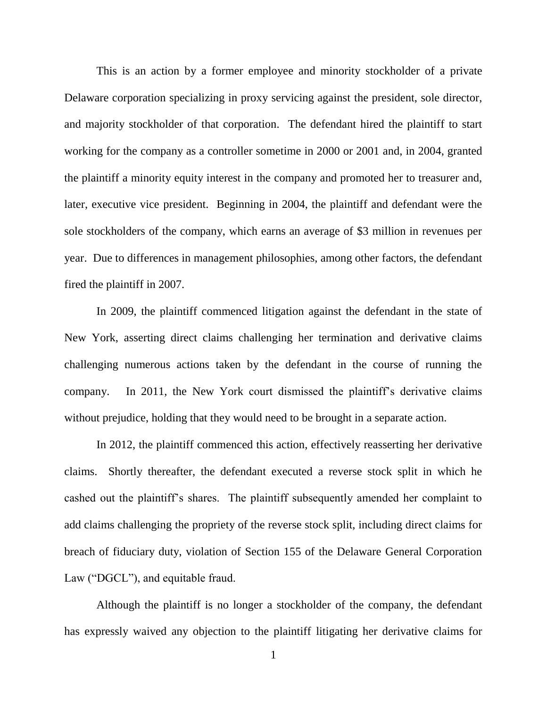This is an action by a former employee and minority stockholder of a private Delaware corporation specializing in proxy servicing against the president, sole director, and majority stockholder of that corporation. The defendant hired the plaintiff to start working for the company as a controller sometime in 2000 or 2001 and, in 2004, granted the plaintiff a minority equity interest in the company and promoted her to treasurer and, later, executive vice president. Beginning in 2004, the plaintiff and defendant were the sole stockholders of the company, which earns an average of \$3 million in revenues per year. Due to differences in management philosophies, among other factors, the defendant fired the plaintiff in 2007.

In 2009, the plaintiff commenced litigation against the defendant in the state of New York, asserting direct claims challenging her termination and derivative claims challenging numerous actions taken by the defendant in the course of running the company. In 2011, the New York court dismissed the plaintiff's derivative claims without prejudice, holding that they would need to be brought in a separate action.

In 2012, the plaintiff commenced this action, effectively reasserting her derivative claims. Shortly thereafter, the defendant executed a reverse stock split in which he cashed out the plaintiff's shares. The plaintiff subsequently amended her complaint to add claims challenging the propriety of the reverse stock split, including direct claims for breach of fiduciary duty, violation of Section 155 of the Delaware General Corporation Law ("DGCL"), and equitable fraud.

Although the plaintiff is no longer a stockholder of the company, the defendant has expressly waived any objection to the plaintiff litigating her derivative claims for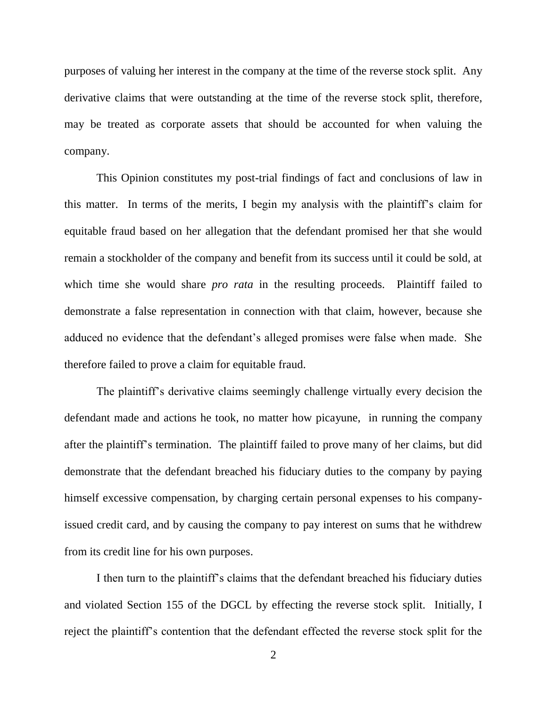purposes of valuing her interest in the company at the time of the reverse stock split. Any derivative claims that were outstanding at the time of the reverse stock split, therefore, may be treated as corporate assets that should be accounted for when valuing the company.

This Opinion constitutes my post-trial findings of fact and conclusions of law in this matter. In terms of the merits, I begin my analysis with the plaintiff's claim for equitable fraud based on her allegation that the defendant promised her that she would remain a stockholder of the company and benefit from its success until it could be sold, at which time she would share *pro rata* in the resulting proceeds. Plaintiff failed to demonstrate a false representation in connection with that claim, however, because she adduced no evidence that the defendant's alleged promises were false when made. She therefore failed to prove a claim for equitable fraud.

The plaintiff's derivative claims seemingly challenge virtually every decision the defendant made and actions he took, no matter how picayune, in running the company after the plaintiff's termination. The plaintiff failed to prove many of her claims, but did demonstrate that the defendant breached his fiduciary duties to the company by paying himself excessive compensation, by charging certain personal expenses to his companyissued credit card, and by causing the company to pay interest on sums that he withdrew from its credit line for his own purposes.

I then turn to the plaintiff's claims that the defendant breached his fiduciary duties and violated Section 155 of the DGCL by effecting the reverse stock split. Initially, I reject the plaintiff's contention that the defendant effected the reverse stock split for the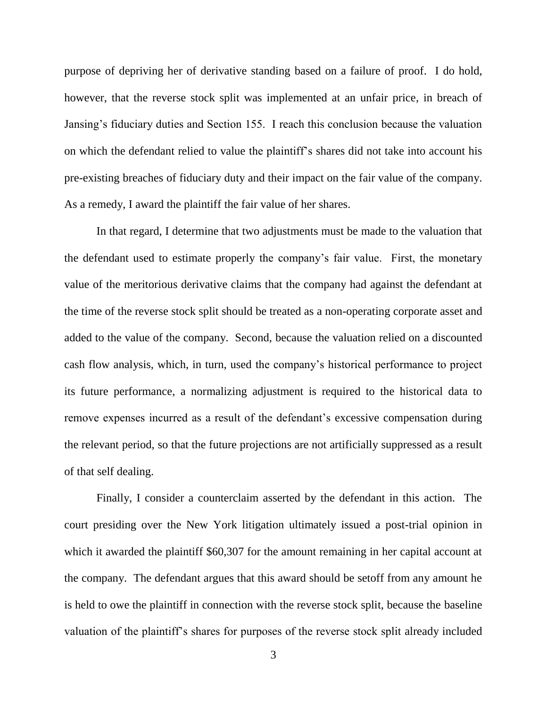purpose of depriving her of derivative standing based on a failure of proof. I do hold, however, that the reverse stock split was implemented at an unfair price, in breach of Jansing's fiduciary duties and Section 155. I reach this conclusion because the valuation on which the defendant relied to value the plaintiff's shares did not take into account his pre-existing breaches of fiduciary duty and their impact on the fair value of the company. As a remedy, I award the plaintiff the fair value of her shares.

In that regard, I determine that two adjustments must be made to the valuation that the defendant used to estimate properly the company's fair value. First, the monetary value of the meritorious derivative claims that the company had against the defendant at the time of the reverse stock split should be treated as a non-operating corporate asset and added to the value of the company. Second, because the valuation relied on a discounted cash flow analysis, which, in turn, used the company's historical performance to project its future performance, a normalizing adjustment is required to the historical data to remove expenses incurred as a result of the defendant's excessive compensation during the relevant period, so that the future projections are not artificially suppressed as a result of that self dealing.

Finally, I consider a counterclaim asserted by the defendant in this action. The court presiding over the New York litigation ultimately issued a post-trial opinion in which it awarded the plaintiff \$60,307 for the amount remaining in her capital account at the company. The defendant argues that this award should be setoff from any amount he is held to owe the plaintiff in connection with the reverse stock split, because the baseline valuation of the plaintiff's shares for purposes of the reverse stock split already included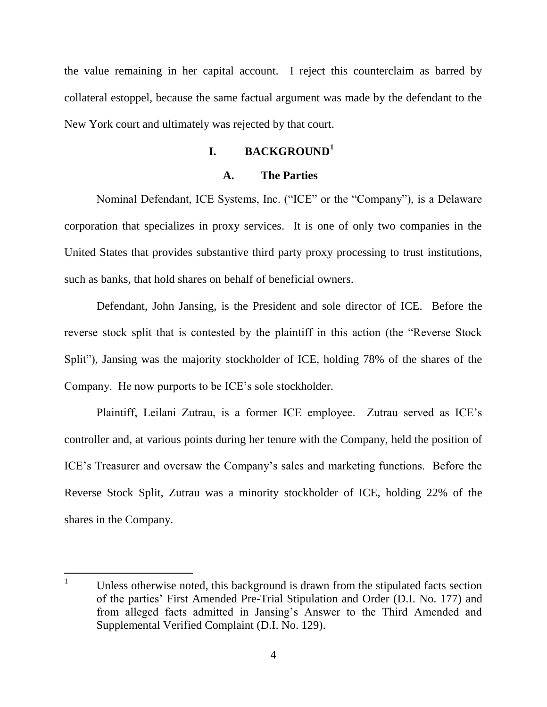the value remaining in her capital account. I reject this counterclaim as barred by collateral estoppel, because the same factual argument was made by the defendant to the New York court and ultimately was rejected by that court.

# **I. BACKGROUND<sup>1</sup>**

#### **A. The Parties**

Nominal Defendant, ICE Systems, Inc. ("ICE" or the "Company"), is a Delaware corporation that specializes in proxy services. It is one of only two companies in the United States that provides substantive third party proxy processing to trust institutions, such as banks, that hold shares on behalf of beneficial owners.

Defendant, John Jansing, is the President and sole director of ICE. Before the reverse stock split that is contested by the plaintiff in this action (the "Reverse Stock") Split"), Jansing was the majority stockholder of ICE, holding 78% of the shares of the Company. He now purports to be ICE's sole stockholder.

Plaintiff, Leilani Zutrau, is a former ICE employee. Zutrau served as ICE's controller and, at various points during her tenure with the Company, held the position of ICE's Treasurer and oversaw the Company's sales and marketing functions. Before the Reverse Stock Split, Zutrau was a minority stockholder of ICE, holding 22% of the shares in the Company.

 $\mathbf{1}$ Unless otherwise noted, this background is drawn from the stipulated facts section of the parties' First Amended Pre-Trial Stipulation and Order (D.I. No. 177) and from alleged facts admitted in Jansing's Answer to the Third Amended and Supplemental Verified Complaint (D.I. No. 129).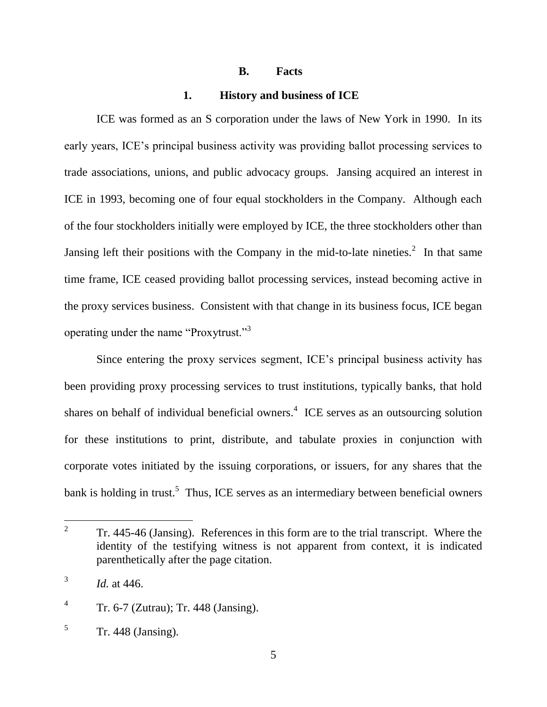#### **B. Facts**

#### **1. History and business of ICE**

ICE was formed as an S corporation under the laws of New York in 1990. In its early years, ICE's principal business activity was providing ballot processing services to trade associations, unions, and public advocacy groups. Jansing acquired an interest in ICE in 1993, becoming one of four equal stockholders in the Company. Although each of the four stockholders initially were employed by ICE, the three stockholders other than Jansing left their positions with the Company in the mid-to-late nineties.<sup>2</sup> In that same time frame, ICE ceased providing ballot processing services, instead becoming active in the proxy services business. Consistent with that change in its business focus, ICE began operating under the name "Proxytrust."<sup>3</sup>

Since entering the proxy services segment, ICE's principal business activity has been providing proxy processing services to trust institutions, typically banks, that hold shares on behalf of individual beneficial owners. $4$  ICE serves as an outsourcing solution for these institutions to print, distribute, and tabulate proxies in conjunction with corporate votes initiated by the issuing corporations, or issuers, for any shares that the bank is holding in trust.<sup>5</sup> Thus, ICE serves as an intermediary between beneficial owners

 $\overline{a}$ 

<sup>2</sup> Tr. 445-46 (Jansing). References in this form are to the trial transcript. Where the identity of the testifying witness is not apparent from context, it is indicated parenthetically after the page citation.

<sup>3</sup> *Id.* at 446.

<sup>4</sup> Tr. 6-7 (Zutrau); Tr. 448 (Jansing).

<sup>5</sup> Tr. 448 (Jansing).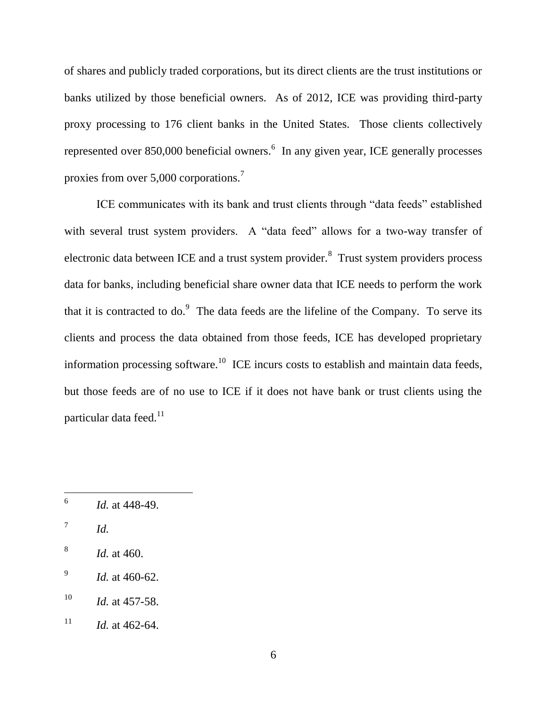of shares and publicly traded corporations, but its direct clients are the trust institutions or banks utilized by those beneficial owners. As of 2012, ICE was providing third-party proxy processing to 176 client banks in the United States. Those clients collectively represented over 850,000 beneficial owners. $<sup>6</sup>$  In any given year, ICE generally processes</sup> proxies from over 5,000 corporations.<sup>7</sup>

ICE communicates with its bank and trust clients through "data feeds" established with several trust system providers. A "data feed" allows for a two-way transfer of electronic data between ICE and a trust system provider. $^8$  Trust system providers process data for banks, including beneficial share owner data that ICE needs to perform the work that it is contracted to do.<sup>9</sup> The data feeds are the lifeline of the Company. To serve its clients and process the data obtained from those feeds, ICE has developed proprietary information processing software.<sup>10</sup> ICE incurs costs to establish and maintain data feeds, but those feeds are of no use to ICE if it does not have bank or trust clients using the particular data feed.<sup>11</sup>

<sup>6</sup> *Id.* at 448-49.

<sup>7</sup> *Id.*

<sup>8</sup> *Id.* at 460.

<sup>9</sup> *Id.* at 460-62.

 $10$  *Id.* at 457-58.

<sup>&</sup>lt;sup>11</sup> *Id.* at 462-64.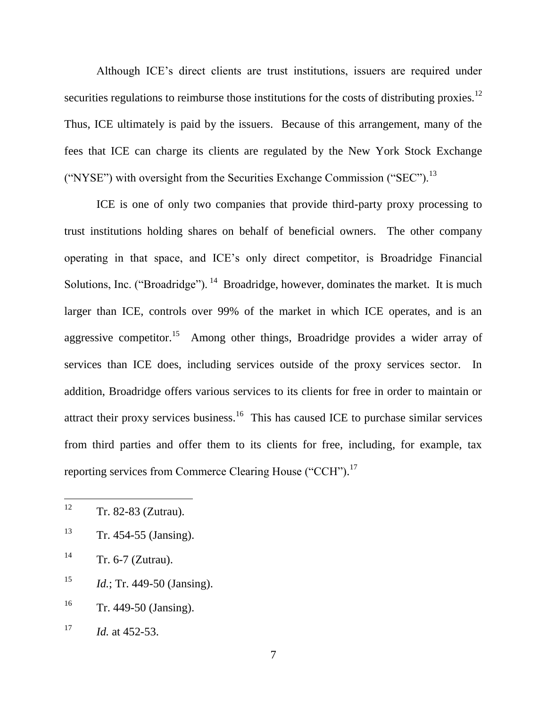Although ICE's direct clients are trust institutions, issuers are required under securities regulations to reimburse those institutions for the costs of distributing proxies.<sup>12</sup> Thus, ICE ultimately is paid by the issuers. Because of this arrangement, many of the fees that ICE can charge its clients are regulated by the New York Stock Exchange ("NYSE") with oversight from the Securities Exchange Commission ("SEC").<sup>13</sup>

ICE is one of only two companies that provide third-party proxy processing to trust institutions holding shares on behalf of beneficial owners. The other company operating in that space, and ICE's only direct competitor, is Broadridge Financial Solutions, Inc. ("Broadridge").  $14$  Broadridge, however, dominates the market. It is much larger than ICE, controls over 99% of the market in which ICE operates, and is an aggressive competitor.<sup>15</sup> Among other things, Broadridge provides a wider array of services than ICE does, including services outside of the proxy services sector. In addition, Broadridge offers various services to its clients for free in order to maintain or attract their proxy services business.<sup>16</sup> This has caused ICE to purchase similar services from third parties and offer them to its clients for free, including, for example, tax reporting services from Commerce Clearing House ("CCH").<sup>17</sup>

<sup>12</sup> Tr. 82-83 (Zutrau).

 $13$  Tr. 454-55 (Jansing).

 $14$  Tr. 6-7 (Zutrau).

<sup>15</sup> *Id.*; Tr. 449-50 (Jansing).

 $16$  Tr. 449-50 (Jansing).

<sup>&</sup>lt;sup>17</sup> *Id.* at 452-53.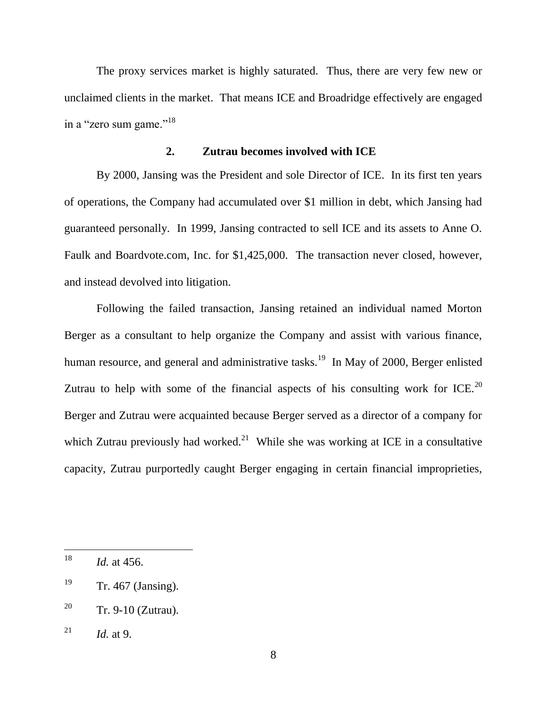The proxy services market is highly saturated. Thus, there are very few new or unclaimed clients in the market. That means ICE and Broadridge effectively are engaged in a "zero sum game."<sup>18</sup>

## **2. Zutrau becomes involved with ICE**

By 2000, Jansing was the President and sole Director of ICE. In its first ten years of operations, the Company had accumulated over \$1 million in debt, which Jansing had guaranteed personally. In 1999, Jansing contracted to sell ICE and its assets to Anne O. Faulk and Boardvote.com, Inc. for \$1,425,000. The transaction never closed, however, and instead devolved into litigation.

Following the failed transaction, Jansing retained an individual named Morton Berger as a consultant to help organize the Company and assist with various finance, human resource, and general and administrative tasks.<sup>19</sup> In May of 2000, Berger enlisted Zutrau to help with some of the financial aspects of his consulting work for ICE.<sup>20</sup> Berger and Zutrau were acquainted because Berger served as a director of a company for which Zutrau previously had worked.<sup>21</sup> While she was working at ICE in a consultative capacity, Zutrau purportedly caught Berger engaging in certain financial improprieties,

<sup>18</sup> *Id.* at 456.

 $19$  Tr. 467 (Jansing).

<sup>&</sup>lt;sup>20</sup> Tr. 9-10 (Zutrau).

<sup>&</sup>lt;sup>21</sup> *Id.* at 9.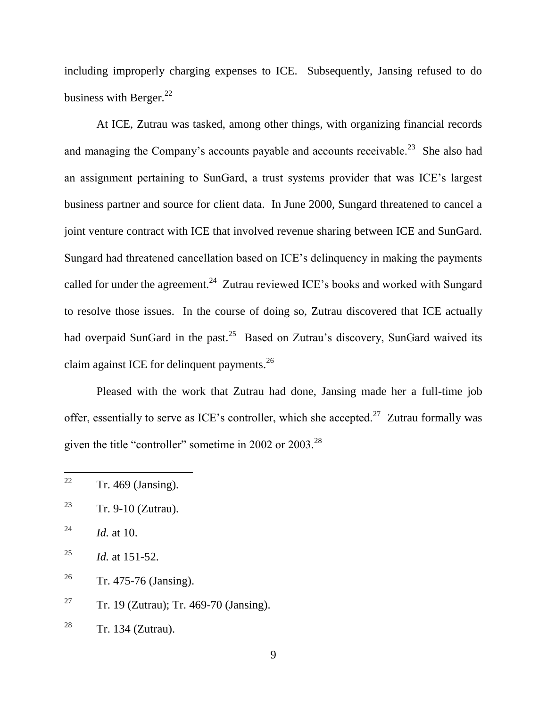including improperly charging expenses to ICE. Subsequently, Jansing refused to do business with Berger. $^{22}$ 

At ICE, Zutrau was tasked, among other things, with organizing financial records and managing the Company's accounts payable and accounts receivable.<sup>23</sup> She also had an assignment pertaining to SunGard, a trust systems provider that was ICE's largest business partner and source for client data. In June 2000, Sungard threatened to cancel a joint venture contract with ICE that involved revenue sharing between ICE and SunGard. Sungard had threatened cancellation based on ICE's delinquency in making the payments called for under the agreement.<sup>24</sup> Zutrau reviewed ICE's books and worked with Sungard to resolve those issues. In the course of doing so, Zutrau discovered that ICE actually had overpaid SunGard in the past.<sup>25</sup> Based on Zutrau's discovery, SunGard waived its claim against ICE for delinquent payments. $^{26}$ 

Pleased with the work that Zutrau had done, Jansing made her a full-time job offer, essentially to serve as ICE's controller, which she accepted.<sup>27</sup> Zutrau formally was given the title "controller" sometime in 2002 or 2003.<sup>28</sup>

<sup>22</sup>  $Tr. 469$  (Jansing).

<sup>&</sup>lt;sup>23</sup> Tr. 9-10 (Zutrau).

<sup>24</sup> *Id.* at 10.

<sup>&</sup>lt;sup>25</sup> *Id.* at 151-52.

<sup>&</sup>lt;sup>26</sup> Tr. 475-76 (Jansing).

<sup>&</sup>lt;sup>27</sup> Tr. 19 (Zutrau); Tr. 469-70 (Jansing).

 $28$  Tr. 134 (Zutrau).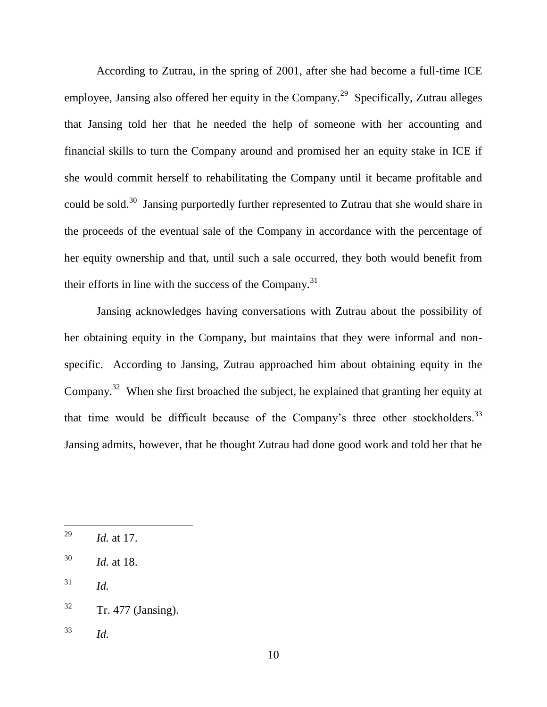According to Zutrau, in the spring of 2001, after she had become a full-time ICE employee, Jansing also offered her equity in the Company.<sup>29</sup> Specifically, Zutrau alleges that Jansing told her that he needed the help of someone with her accounting and financial skills to turn the Company around and promised her an equity stake in ICE if she would commit herself to rehabilitating the Company until it became profitable and could be sold.<sup>30</sup> Jansing purportedly further represented to Zutrau that she would share in the proceeds of the eventual sale of the Company in accordance with the percentage of her equity ownership and that, until such a sale occurred, they both would benefit from their efforts in line with the success of the Company. $31$ 

Jansing acknowledges having conversations with Zutrau about the possibility of her obtaining equity in the Company, but maintains that they were informal and nonspecific. According to Jansing, Zutrau approached him about obtaining equity in the Company.<sup>32</sup> When she first broached the subject, he explained that granting her equity at that time would be difficult because of the Company's three other stockholders.<sup>33</sup> Jansing admits, however, that he thought Zutrau had done good work and told her that he

- $31$  *Id.*
- $32$  Tr. 477 (Jansing).
- <sup>33</sup> *Id.*

<sup>29</sup> *Id.* at 17.

<sup>30</sup> *Id.* at 18.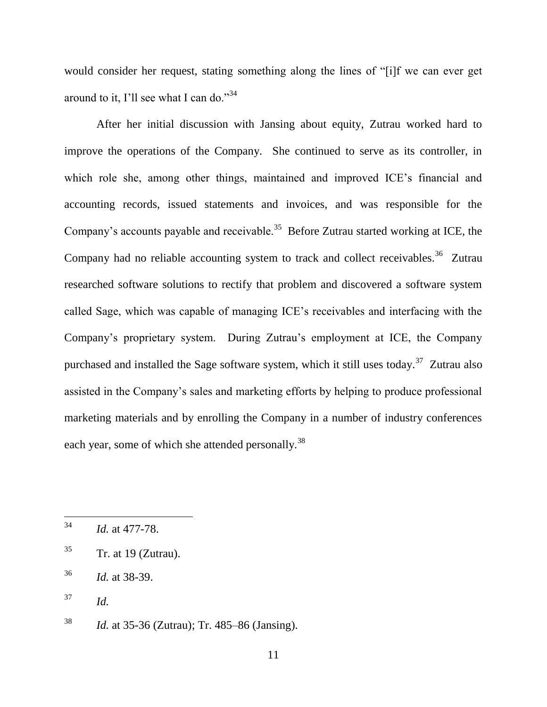would consider her request, stating something along the lines of "[i]f we can ever get around to it, I'll see what I can do."<sup>34</sup>

After her initial discussion with Jansing about equity, Zutrau worked hard to improve the operations of the Company. She continued to serve as its controller, in which role she, among other things, maintained and improved ICE's financial and accounting records, issued statements and invoices, and was responsible for the Company's accounts payable and receivable.<sup>35</sup> Before Zutrau started working at ICE, the Company had no reliable accounting system to track and collect receivables.<sup>36</sup> Zutrau researched software solutions to rectify that problem and discovered a software system called Sage, which was capable of managing ICE's receivables and interfacing with the Company's proprietary system. During Zutrau's employment at ICE, the Company purchased and installed the Sage software system, which it still uses today.<sup>37</sup> Zutrau also assisted in the Company's sales and marketing efforts by helping to produce professional marketing materials and by enrolling the Company in a number of industry conferences each year, some of which she attended personally.<sup>38</sup>

<sup>34</sup> <sup>34</sup> *Id.* at 477-78.

 $35$  Tr. at 19 (Zutrau).

<sup>36</sup> *Id.* at 38-39.

<sup>37</sup> *Id.*

<sup>38</sup> *Id.* at 35-36 (Zutrau); Tr. 485–86 (Jansing).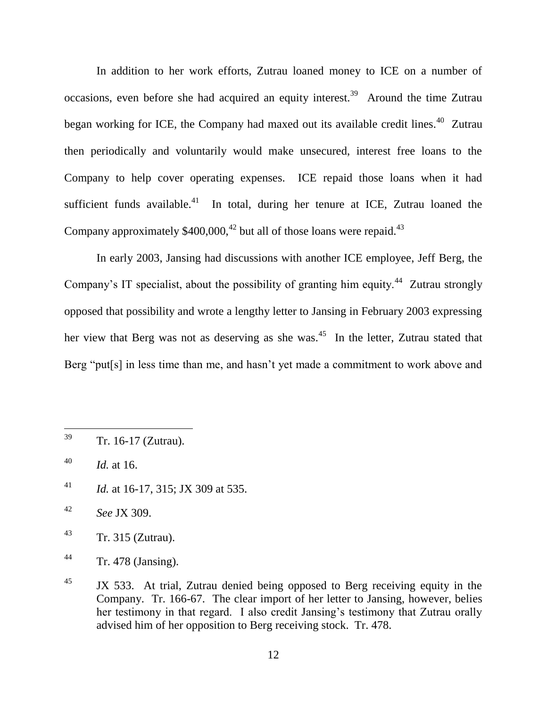In addition to her work efforts, Zutrau loaned money to ICE on a number of occasions, even before she had acquired an equity interest.<sup>39</sup> Around the time Zutrau began working for ICE, the Company had maxed out its available credit lines.<sup>40</sup> Zutrau then periodically and voluntarily would make unsecured, interest free loans to the Company to help cover operating expenses. ICE repaid those loans when it had sufficient funds available. $41$  In total, during her tenure at ICE, Zutrau loaned the Company approximately  $$400,000$ ,  $^{42}$  but all of those loans were repaid.<sup>43</sup>

In early 2003, Jansing had discussions with another ICE employee, Jeff Berg, the Company's IT specialist, about the possibility of granting him equity.<sup>44</sup> Zutrau strongly opposed that possibility and wrote a lengthy letter to Jansing in February 2003 expressing her view that Berg was not as deserving as she was.<sup>45</sup> In the letter, Zutrau stated that Berg "put[s] in less time than me, and hasn't yet made a commitment to work above and

- <sup>41</sup> *Id.* at 16-17, 315; JX 309 at 535.
- <sup>42</sup> *See* JX 309.

<sup>39</sup> Tr. 16-17 (Zutrau).

<sup>40</sup> *Id.* at 16.

 $43$  Tr. 315 (Zutrau).

<sup>44</sup> Tr. 478 (Jansing).

 $^{45}$  JX 533. At trial, Zutrau denied being opposed to Berg receiving equity in the Company. Tr. 166-67. The clear import of her letter to Jansing, however, belies her testimony in that regard. I also credit Jansing's testimony that Zutrau orally advised him of her opposition to Berg receiving stock. Tr. 478.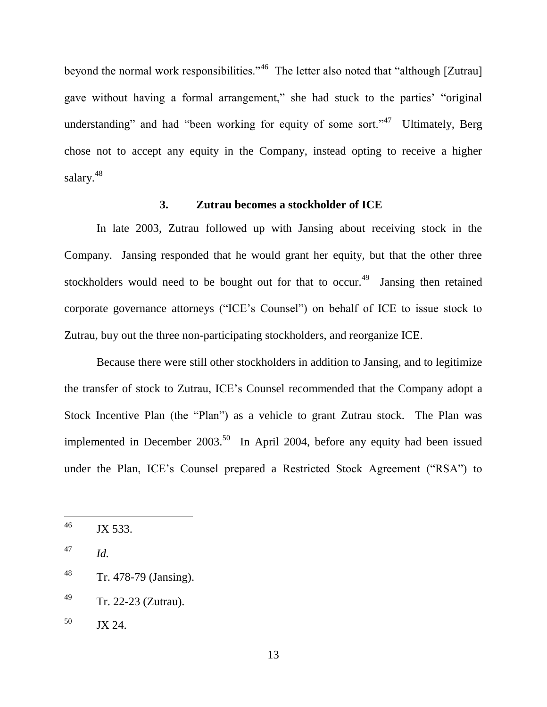beyond the normal work responsibilities."<sup>46</sup> The letter also noted that "although [Zutrau] gave without having a formal arrangement," she had stuck to the parties' "original" understanding" and had "been working for equity of some sort."<sup>47</sup> Ultimately, Berg chose not to accept any equity in the Company, instead opting to receive a higher salary.<sup>48</sup>

### **3. Zutrau becomes a stockholder of ICE**

In late 2003, Zutrau followed up with Jansing about receiving stock in the Company. Jansing responded that he would grant her equity, but that the other three stockholders would need to be bought out for that to occur.<sup>49</sup> Jansing then retained corporate governance attorneys ("ICE's Counsel") on behalf of ICE to issue stock to Zutrau, buy out the three non-participating stockholders, and reorganize ICE.

Because there were still other stockholders in addition to Jansing, and to legitimize the transfer of stock to Zutrau, ICE's Counsel recommended that the Company adopt a Stock Incentive Plan (the "Plan") as a vehicle to grant Zutrau stock. The Plan was implemented in December  $2003$ <sup>50</sup> In April 2004, before any equity had been issued under the Plan, ICE's Counsel prepared a Restricted Stock Agreement ("RSA") to

<sup>&</sup>lt;sup>46</sup> JX 533.

<sup>47</sup> *Id.*

<sup>48</sup> Tr. 478-79 (Jansing).

<sup>49</sup> Tr. 22-23 (Zutrau).

 $50$  JX 24.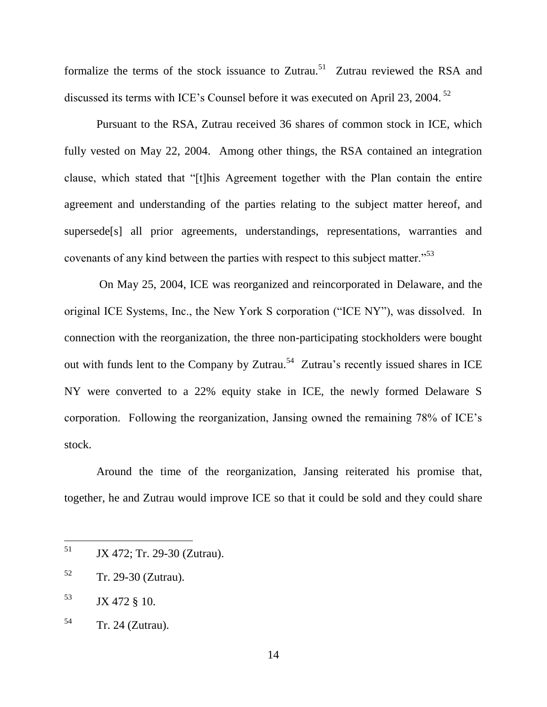formalize the terms of the stock issuance to Zutrau.<sup>51</sup> Zutrau reviewed the RSA and discussed its terms with ICE's Counsel before it was executed on April 23, 2004.<sup>52</sup>

Pursuant to the RSA, Zutrau received 36 shares of common stock in ICE, which fully vested on May 22, 2004. Among other things, the RSA contained an integration clause, which stated that "[t]his Agreement together with the Plan contain the entire agreement and understanding of the parties relating to the subject matter hereof, and supersede[s] all prior agreements, understandings, representations, warranties and covenants of any kind between the parties with respect to this subject matter.<sup>553</sup>

On May 25, 2004, ICE was reorganized and reincorporated in Delaware, and the original ICE Systems, Inc., the New York S corporation ("ICE NY"), was dissolved. In connection with the reorganization, the three non-participating stockholders were bought out with funds lent to the Company by Zutrau.<sup>54</sup> Zutrau's recently issued shares in ICE NY were converted to a 22% equity stake in ICE, the newly formed Delaware S corporation. Following the reorganization, Jansing owned the remaining 78% of ICE's stock.

Around the time of the reorganization, Jansing reiterated his promise that, together, he and Zutrau would improve ICE so that it could be sold and they could share

<sup>51</sup> <sup>51</sup> JX 472; Tr. 29-30 (Zutrau).

<sup>52</sup> Tr. 29-30 (Zutrau).

 $53$  JX 472 § 10.

<sup>54</sup> Tr. 24 (Zutrau).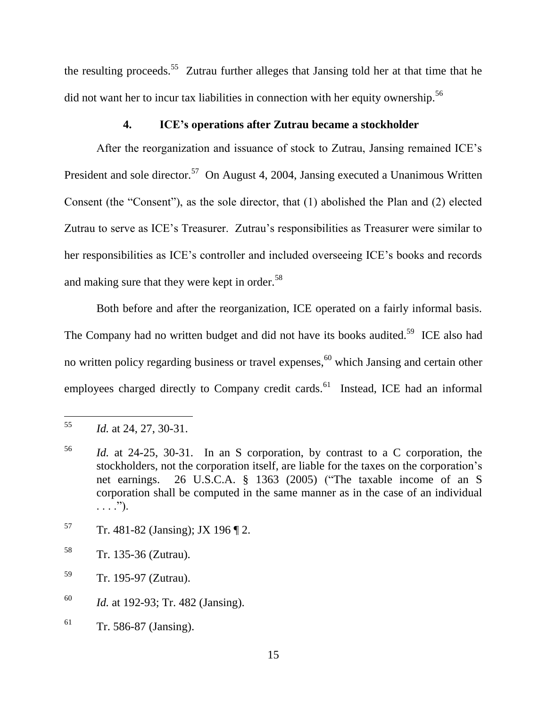the resulting proceeds.<sup>55</sup> Zutrau further alleges that Jansing told her at that time that he did not want her to incur tax liabilities in connection with her equity ownership.<sup>56</sup>

# **4. ICE's operations after Zutrau became a stockholder**

After the reorganization and issuance of stock to Zutrau, Jansing remained ICE's President and sole director.<sup>57</sup> On August 4, 2004, Jansing executed a Unanimous Written Consent (the "Consent"), as the sole director, that  $(1)$  abolished the Plan and  $(2)$  elected Zutrau to serve as ICE's Treasurer. Zutrau's responsibilities as Treasurer were similar to her responsibilities as ICE's controller and included overseeing ICE's books and records and making sure that they were kept in order.<sup>58</sup>

Both before and after the reorganization, ICE operated on a fairly informal basis. The Company had no written budget and did not have its books audited.<sup>59</sup> ICE also had no written policy regarding business or travel expenses,<sup>60</sup> which Jansing and certain other employees charged directly to Company credit cards.<sup>61</sup> Instead, ICE had an informal

- $57$  Tr. 481-82 (Jansing); JX 196 [2.
- <sup>58</sup> Tr. 135-36 (Zutrau).
- <sup>59</sup> Tr. 195-97 (Zutrau).
- <sup>60</sup> *Id.* at 192-93; Tr. 482 (Jansing).
- $61$  Tr. 586-87 (Jansing).

<sup>55</sup> *Id.* at 24, 27, 30-31.

<sup>56</sup> *Id.* at 24-25, 30-31. In an S corporation, by contrast to a C corporation, the stockholders, not the corporation itself, are liable for the taxes on the corporation's net earnings. 26 U.S.C.A.  $\S$  1363 (2005) ("The taxable income of an S corporation shall be computed in the same manner as in the case of an individual  $\ldots$ .").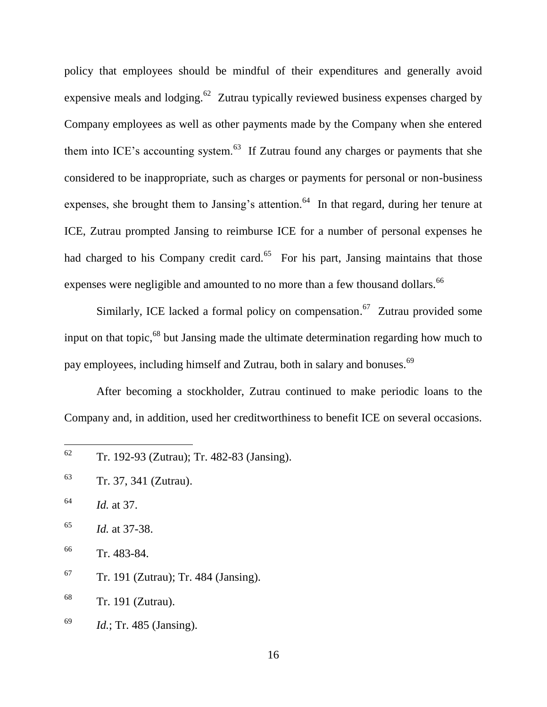policy that employees should be mindful of their expenditures and generally avoid expensive meals and lodging. <sup>62</sup> Zutrau typically reviewed business expenses charged by Company employees as well as other payments made by the Company when she entered them into ICE's accounting system. $^{63}$  If Zutrau found any charges or payments that she considered to be inappropriate, such as charges or payments for personal or non-business expenses, she brought them to Jansing's attention.<sup>64</sup> In that regard, during her tenure at ICE, Zutrau prompted Jansing to reimburse ICE for a number of personal expenses he had charged to his Company credit card.<sup>65</sup> For his part, Jansing maintains that those expenses were negligible and amounted to no more than a few thousand dollars.<sup>66</sup>

Similarly, ICE lacked a formal policy on compensation.<sup>67</sup> Zutrau provided some input on that topic,<sup>68</sup> but Jansing made the ultimate determination regarding how much to pay employees, including himself and Zutrau, both in salary and bonuses.<sup>69</sup>

After becoming a stockholder, Zutrau continued to make periodic loans to the Company and, in addition, used her creditworthiness to benefit ICE on several occasions.

<sup>65</sup> *Id.* at 37-38.

 $67$  Tr. 191 (Zutrau); Tr. 484 (Jansing).

<sup>68</sup> Tr. 191 (Zutrau).

<sup>69</sup> *Id.*; Tr. 485 (Jansing).

<sup>62</sup> <sup>62</sup> Tr. 192-93 (Zutrau); Tr. 482-83 (Jansing).

<sup>63</sup> Tr. 37, 341 (Zutrau).

<sup>64</sup> *Id.* at 37.

<sup>66</sup> Tr. 483-84.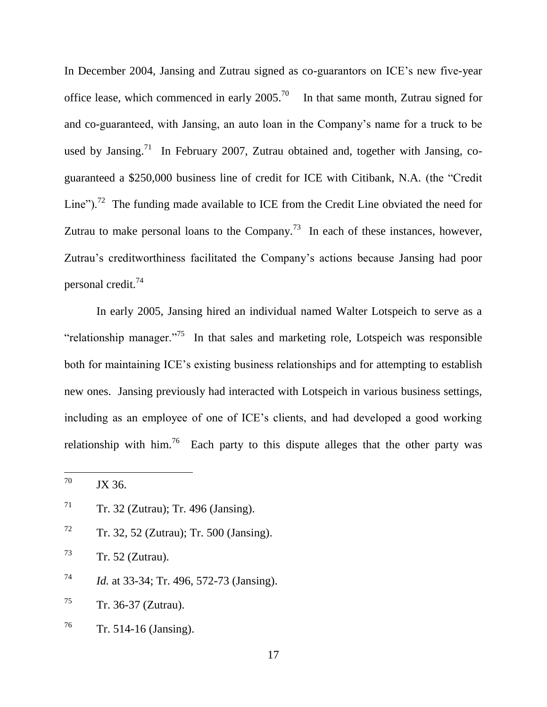In December 2004, Jansing and Zutrau signed as co-guarantors on ICE's new five-year office lease, which commenced in early 2005.<sup>70</sup> In that same month, Zutrau signed for and co-guaranteed, with Jansing, an auto loan in the Company's name for a truck to be used by Jansing.<sup>71</sup> In February 2007, Zutrau obtained and, together with Jansing, coguaranteed a \$250,000 business line of credit for ICE with Citibank, N.A. (the "Credit" Line").<sup>72</sup> The funding made available to ICE from the Credit Line obviated the need for Zutrau to make personal loans to the Company.<sup>73</sup> In each of these instances, however, Zutrau's creditworthiness facilitated the Company's actions because Jansing had poor personal credit.<sup>74</sup>

In early 2005, Jansing hired an individual named Walter Lotspeich to serve as a "relationship manager."<sup>75</sup> In that sales and marketing role, Lotspeich was responsible both for maintaining ICE's existing business relationships and for attempting to establish new ones. Jansing previously had interacted with Lotspeich in various business settings, including as an employee of one of ICE's clients, and had developed a good working relationship with him.<sup>76</sup> Each party to this dispute alleges that the other party was

 $72$  Tr. 32, 52 (Zutrau); Tr. 500 (Jansing).

 $T^3$  Tr. 52 (Zutrau).

- <sup>74</sup> *Id.* at 33-34; Tr. 496, 572-73 (Jansing).
- $75$  Tr. 36-37 (Zutrau).
- $76$  Tr. 514-16 (Jansing).

 $70\,$ JX 36.

 $T<sup>71</sup>$  Tr. 32 (Zutrau); Tr. 496 (Jansing).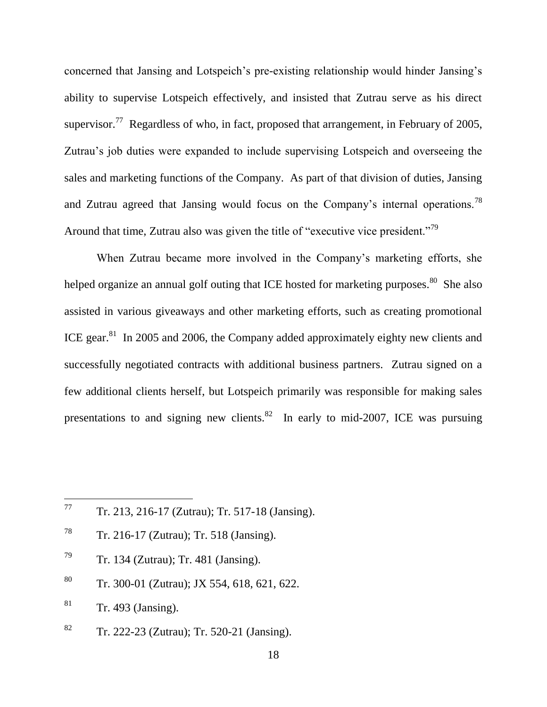concerned that Jansing and Lotspeich's pre-existing relationship would hinder Jansing's ability to supervise Lotspeich effectively, and insisted that Zutrau serve as his direct supervisor.<sup>77</sup> Regardless of who, in fact, proposed that arrangement, in February of 2005, Zutrau's job duties were expanded to include supervising Lotspeich and overseeing the sales and marketing functions of the Company. As part of that division of duties, Jansing and Zutrau agreed that Jansing would focus on the Company's internal operations.<sup>78</sup> Around that time, Zutrau also was given the title of "executive vice president."<sup>79</sup>

When Zutrau became more involved in the Company's marketing efforts, she helped organize an annual golf outing that ICE hosted for marketing purposes.  $80$  She also assisted in various giveaways and other marketing efforts, such as creating promotional ICE gear. $81$  In 2005 and 2006, the Company added approximately eighty new clients and successfully negotiated contracts with additional business partners. Zutrau signed on a few additional clients herself, but Lotspeich primarily was responsible for making sales presentations to and signing new clients. ${}^{82}$  In early to mid-2007, ICE was pursuing

- <sup>78</sup> Tr. 216-17 (Zutrau); Tr. 518 (Jansing).
- <sup>79</sup> Tr. 134 (Zutrau); Tr. 481 (Jansing).
- <sup>80</sup> Tr. 300-01 (Zutrau); JX 554, 618, 621, 622.
- $81$  Tr. 493 (Jansing).
- <sup>82</sup> Tr. 222-23 (Zutrau); Tr. 520-21 (Jansing).

18

<sup>77</sup> <sup>77</sup> Tr. 213, 216-17 (Zutrau); Tr. 517-18 (Jansing).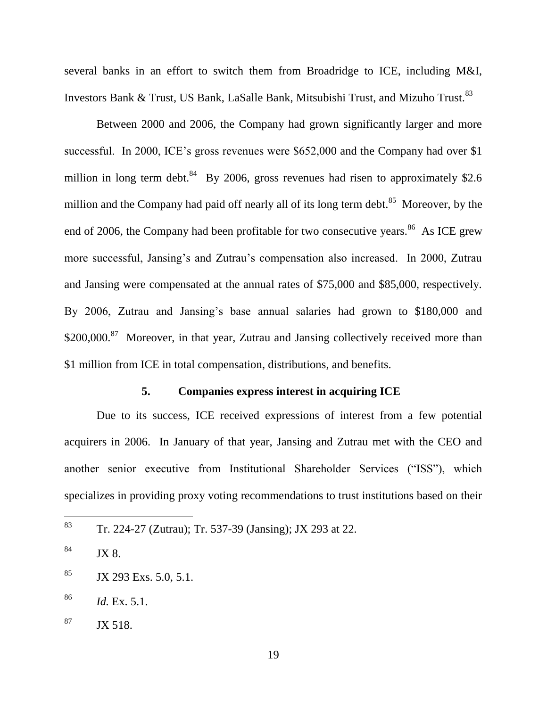several banks in an effort to switch them from Broadridge to ICE, including M&I, Investors Bank & Trust, US Bank, LaSalle Bank, Mitsubishi Trust, and Mizuho Trust.<sup>83</sup>

Between 2000 and 2006, the Company had grown significantly larger and more successful. In 2000, ICE's gross revenues were \$652,000 and the Company had over \$1 million in long term debt.<sup>84</sup> By 2006, gross revenues had risen to approximately \$2.6 million and the Company had paid off nearly all of its long term debt.<sup>85</sup> Moreover, by the end of 2006, the Company had been profitable for two consecutive years.<sup>86</sup> As ICE grew more successful, Jansing's and Zutrau's compensation also increased. In 2000, Zutrau and Jansing were compensated at the annual rates of \$75,000 and \$85,000, respectively. By 2006, Zutrau and Jansing's base annual salaries had grown to \$180,000 and \$200,000.<sup>87</sup> Moreover, in that year, Zutrau and Jansing collectively received more than \$1 million from ICE in total compensation, distributions, and benefits.

# **5. Companies express interest in acquiring ICE**

Due to its success, ICE received expressions of interest from a few potential acquirers in 2006. In January of that year, Jansing and Zutrau met with the CEO and another senior executive from Institutional Shareholder Services ("ISS"), which specializes in providing proxy voting recommendations to trust institutions based on their

<sup>83</sup> <sup>83</sup> Tr. 224-27 (Zutrau); Tr. 537-39 (Jansing); JX 293 at 22.

 $84$  JX 8.

 $85$  JX 293 Exs. 5.0, 5.1.

<sup>86</sup> *Id.* Ex. 5.1.

 $87$  JX 518.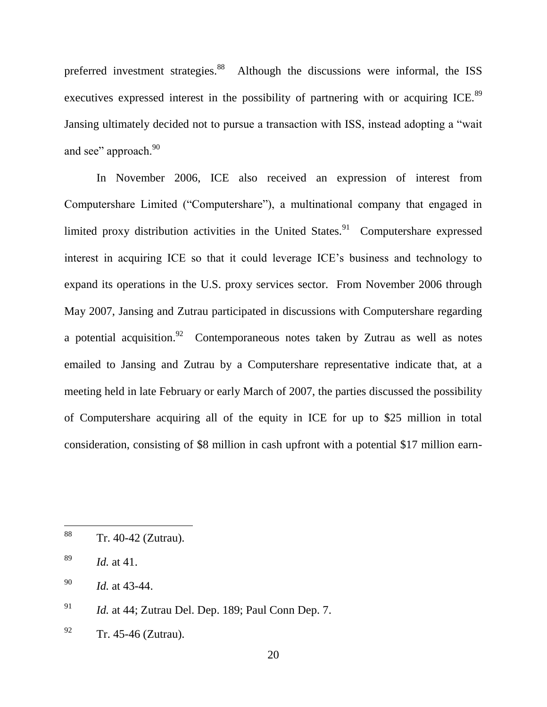preferred investment strategies.<sup>88</sup> Although the discussions were informal, the ISS executives expressed interest in the possibility of partnering with or acquiring ICE.<sup>89</sup> Jansing ultimately decided not to pursue a transaction with ISS, instead adopting a "wait" and see" approach.<sup>90</sup>

In November 2006, ICE also received an expression of interest from Computershare Limited ("Computershare"), a multinational company that engaged in limited proxy distribution activities in the United States.<sup>91</sup> Computershare expressed interest in acquiring ICE so that it could leverage ICE's business and technology to expand its operations in the U.S. proxy services sector. From November 2006 through May 2007, Jansing and Zutrau participated in discussions with Computershare regarding a potential acquisition. <sup>92</sup> Contemporaneous notes taken by Zutrau as well as notes emailed to Jansing and Zutrau by a Computershare representative indicate that, at a meeting held in late February or early March of 2007, the parties discussed the possibility of Computershare acquiring all of the equity in ICE for up to \$25 million in total consideration, consisting of \$8 million in cash upfront with a potential \$17 million earn-

<sup>88</sup> Tr. 40-42 (Zutrau).

<sup>89</sup> *Id.* at 41.

<sup>90</sup> *Id.* at 43-44.

<sup>91</sup> *Id.* at 44; Zutrau Del. Dep. 189; Paul Conn Dep. 7.

 $^{92}$  Tr. 45-46 (Zutrau).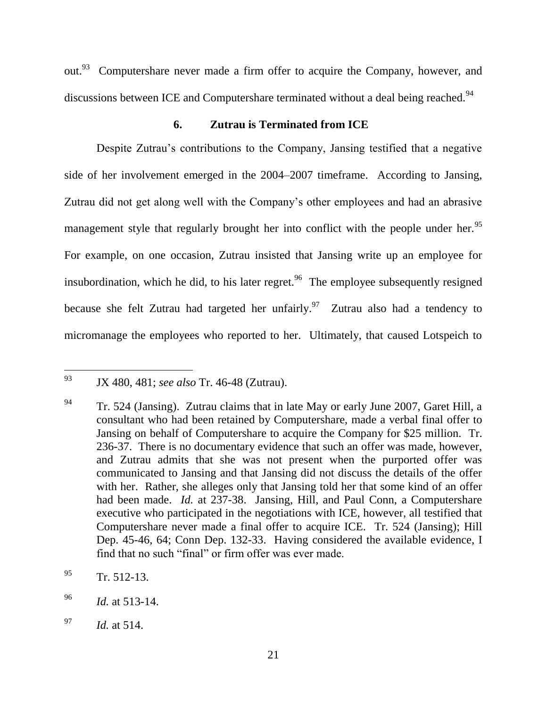out.<sup>93</sup> Computershare never made a firm offer to acquire the Company, however, and discussions between ICE and Computershare terminated without a deal being reached.<sup>94</sup>

# **6. Zutrau is Terminated from ICE**

Despite Zutrau's contributions to the Company, Jansing testified that a negative side of her involvement emerged in the 2004–2007 timeframe. According to Jansing, Zutrau did not get along well with the Company's other employees and had an abrasive management style that regularly brought her into conflict with the people under her.<sup>95</sup> For example, on one occasion, Zutrau insisted that Jansing write up an employee for insubordination, which he did, to his later regret.<sup>96</sup> The employee subsequently resigned because she felt Zutrau had targeted her unfairly.<sup>97</sup> Zutrau also had a tendency to micromanage the employees who reported to her. Ultimately, that caused Lotspeich to

<sup>93</sup> <sup>93</sup> JX 480, 481; *see also* Tr. 46-48 (Zutrau).

 $94$  Tr. 524 (Jansing). Zutrau claims that in late May or early June 2007, Garet Hill, a consultant who had been retained by Computershare, made a verbal final offer to Jansing on behalf of Computershare to acquire the Company for \$25 million. Tr. 236-37. There is no documentary evidence that such an offer was made, however, and Zutrau admits that she was not present when the purported offer was communicated to Jansing and that Jansing did not discuss the details of the offer with her. Rather, she alleges only that Jansing told her that some kind of an offer had been made. *Id.* at 237-38. Jansing, Hill, and Paul Conn, a Computershare executive who participated in the negotiations with ICE, however, all testified that Computershare never made a final offer to acquire ICE. Tr. 524 (Jansing); Hill Dep. 45-46, 64; Conn Dep. 132-33. Having considered the available evidence, I find that no such "final" or firm offer was ever made.

 $^{95}$  Tr. 512-13.

<sup>96</sup> *Id.* at 513-14.

<sup>97</sup> *Id.* at 514.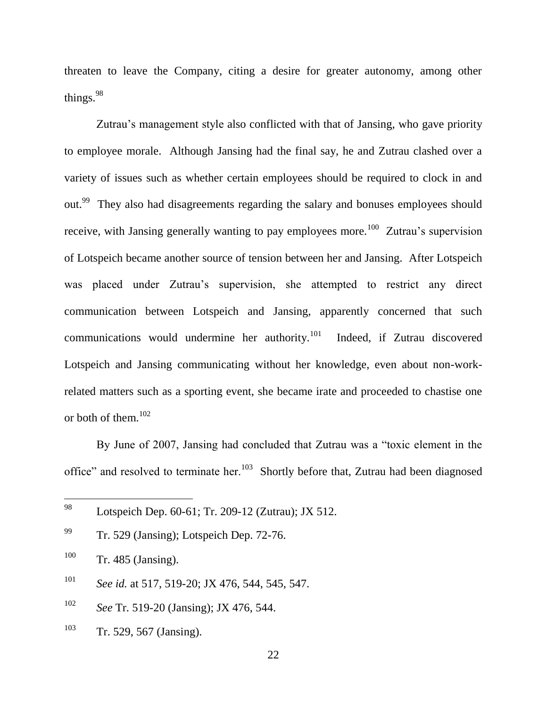threaten to leave the Company, citing a desire for greater autonomy, among other things.  $98$ 

Zutrau's management style also conflicted with that of Jansing, who gave priority to employee morale. Although Jansing had the final say, he and Zutrau clashed over a variety of issues such as whether certain employees should be required to clock in and out.<sup>99</sup> They also had disagreements regarding the salary and bonuses employees should receive, with Jansing generally wanting to pay employees more.<sup>100</sup> Zutrau's supervision of Lotspeich became another source of tension between her and Jansing. After Lotspeich was placed under Zutrau's supervision, she attempted to restrict any direct communication between Lotspeich and Jansing, apparently concerned that such communications would undermine her authority.<sup>101</sup> Indeed, if Zutrau discovered Lotspeich and Jansing communicating without her knowledge, even about non-workrelated matters such as a sporting event, she became irate and proceeded to chastise one or both of them. $102$ 

By June of 2007, Jansing had concluded that Zutrau was a "toxic element in the office" and resolved to terminate her.<sup>103</sup> Shortly before that, Zutrau had been diagnosed

| 98  | Lotspeich Dep. 60-61; Tr. 209-12 (Zutrau); JX 512. |
|-----|----------------------------------------------------|
| 99  | Tr. 529 (Jansing); Lotspeich Dep. 72-76.           |
| 100 | $Tr. 485$ (Jansing).                               |
| 101 | See id. at 517, 519-20; JX 476, 544, 545, 547.     |
| 102 | See Tr. 519-20 (Jansing); JX 476, 544.             |
| 103 | Tr. 529, 567 (Jansing).                            |

 $\overline{a}$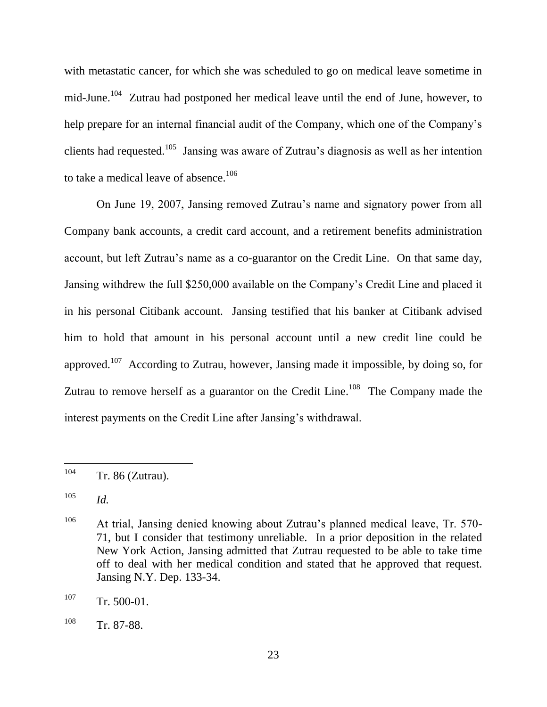with metastatic cancer, for which she was scheduled to go on medical leave sometime in mid-June.<sup>104</sup> Zutrau had postponed her medical leave until the end of June, however, to help prepare for an internal financial audit of the Company, which one of the Company's clients had requested.<sup>105</sup> Jansing was aware of Zutrau's diagnosis as well as her intention to take a medical leave of absence.<sup>106</sup>

On June 19, 2007, Jansing removed Zutrau's name and signatory power from all Company bank accounts, a credit card account, and a retirement benefits administration account, but left Zutrau's name as a co-guarantor on the Credit Line. On that same day, Jansing withdrew the full \$250,000 available on the Company's Credit Line and placed it in his personal Citibank account. Jansing testified that his banker at Citibank advised him to hold that amount in his personal account until a new credit line could be approved.<sup>107</sup> According to Zutrau, however, Jansing made it impossible, by doing so, for Zutrau to remove herself as a guarantor on the Credit Line.<sup>108</sup> The Company made the interest payments on the Credit Line after Jansing's withdrawal.

<sup>104</sup>  $Tr. 86$  (Zutrau).

<sup>105</sup> *Id.*

<sup>106</sup> At trial, Jansing denied knowing about Zutrau's planned medical leave, Tr. 570- 71, but I consider that testimony unreliable. In a prior deposition in the related New York Action, Jansing admitted that Zutrau requested to be able to take time off to deal with her medical condition and stated that he approved that request. Jansing N.Y. Dep. 133-34.

 $107$  Tr. 500-01.

<sup>108</sup> Tr. 87-88.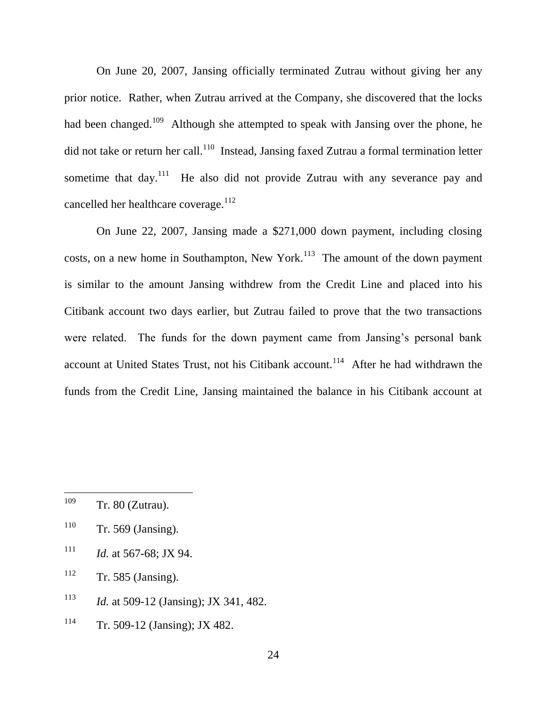On June 20, 2007, Jansing officially terminated Zutrau without giving her any prior notice. Rather, when Zutrau arrived at the Company, she discovered that the locks had been changed.<sup>109</sup> Although she attempted to speak with Jansing over the phone, he did not take or return her call.<sup>110</sup> Instead, Jansing faxed Zutrau a formal termination letter sometime that day.<sup>111</sup> He also did not provide Zutrau with any severance pay and cancelled her healthcare coverage.<sup>112</sup>

On June 22, 2007, Jansing made a \$271,000 down payment, including closing costs, on a new home in Southampton, New York.<sup>113</sup> The amount of the down payment is similar to the amount Jansing withdrew from the Credit Line and placed into his Citibank account two days earlier, but Zutrau failed to prove that the two transactions were related. The funds for the down payment came from Jansing's personal bank account at United States Trust, not his Citibank account.<sup>114</sup> After he had withdrawn the funds from the Credit Line, Jansing maintained the balance in his Citibank account at

- $110$  Tr. 569 (Jansing).
- $111$  *Id.* at 567-68; JX 94.
- $112$  Tr. 585 (Jansing).
- <sup>113</sup> *Id.* at 509-12 (Jansing); JX 341, 482.
- <sup>114</sup> Tr. 509-12 (Jansing); JX 482.

<sup>109</sup>  $Tr. 80$  (Zutrau).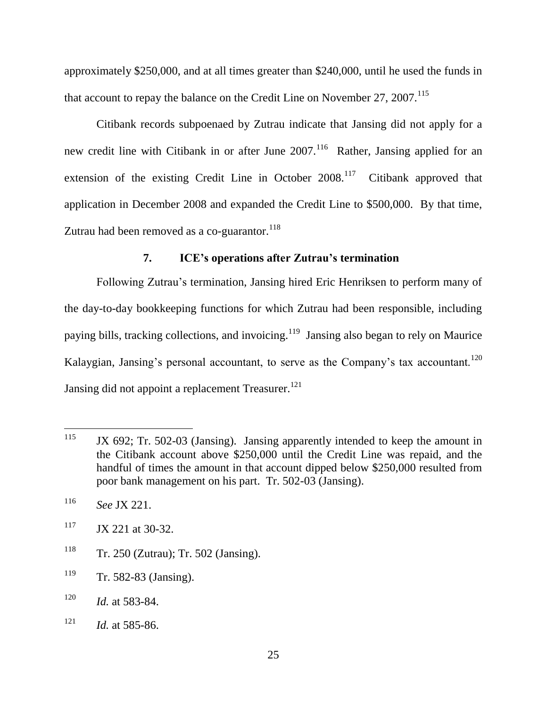approximately \$250,000, and at all times greater than \$240,000, until he used the funds in that account to repay the balance on the Credit Line on November 27, 2007.<sup>115</sup>

Citibank records subpoenaed by Zutrau indicate that Jansing did not apply for a new credit line with Citibank in or after June  $2007$ .<sup>116</sup> Rather, Jansing applied for an extension of the existing Credit Line in October 2008.<sup>117</sup> Citibank approved that application in December 2008 and expanded the Credit Line to \$500,000. By that time, Zutrau had been removed as a co-guarantor.<sup>118</sup>

# **7. ICE's operations after Zutrau's termination**

Following Zutrau's termination, Jansing hired Eric Henriksen to perform many of the day-to-day bookkeeping functions for which Zutrau had been responsible, including paying bills, tracking collections, and invoicing.<sup>119</sup> Jansing also began to rely on Maurice Kalaygian, Jansing's personal accountant, to serve as the Company's tax accountant.<sup>120</sup> Jansing did not appoint a replacement Treasurer.<sup>121</sup>

- <sup>118</sup> Tr. 250 (Zutrau); Tr. 502 (Jansing).
- <sup>119</sup> Tr. 582-83 (Jansing).
- <sup>120</sup> *Id.* at 583-84.
- $121$  *Id.* at 585-86.

<sup>115</sup> JX 692; Tr. 502-03 (Jansing). Jansing apparently intended to keep the amount in the Citibank account above \$250,000 until the Credit Line was repaid, and the handful of times the amount in that account dipped below \$250,000 resulted from poor bank management on his part. Tr. 502-03 (Jansing).

<sup>116</sup> *See* JX 221.

 $117$  JX 221 at 30-32.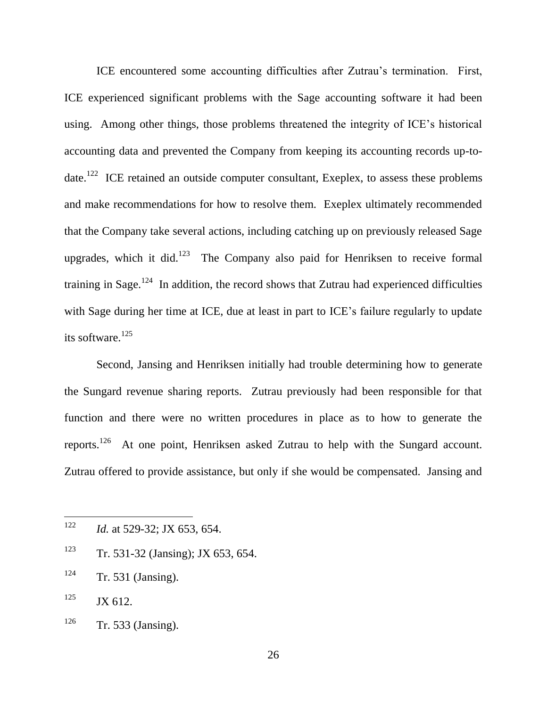ICE encountered some accounting difficulties after Zutrau's termination. First, ICE experienced significant problems with the Sage accounting software it had been using. Among other things, those problems threatened the integrity of ICE's historical accounting data and prevented the Company from keeping its accounting records up-todate.<sup>122</sup> ICE retained an outside computer consultant, Exeplex, to assess these problems and make recommendations for how to resolve them. Exeplex ultimately recommended that the Company take several actions, including catching up on previously released Sage upgrades, which it did.<sup>123</sup> The Company also paid for Henriksen to receive formal training in Sage.<sup>124</sup> In addition, the record shows that Zutrau had experienced difficulties with Sage during her time at ICE, due at least in part to ICE's failure regularly to update its software. $125$ 

Second, Jansing and Henriksen initially had trouble determining how to generate the Sungard revenue sharing reports. Zutrau previously had been responsible for that function and there were no written procedures in place as to how to generate the reports.<sup>126</sup> At one point, Henriksen asked Zutrau to help with the Sungard account. Zutrau offered to provide assistance, but only if she would be compensated. Jansing and

- <sup>123</sup> Tr. 531-32 (Jansing); JX 653, 654.
- $124$  Tr. 531 (Jansing).
- $125$  JX 612.
- $126$  Tr. 533 (Jansing).

<sup>122</sup> *Id.* at 529-32; JX 653, 654.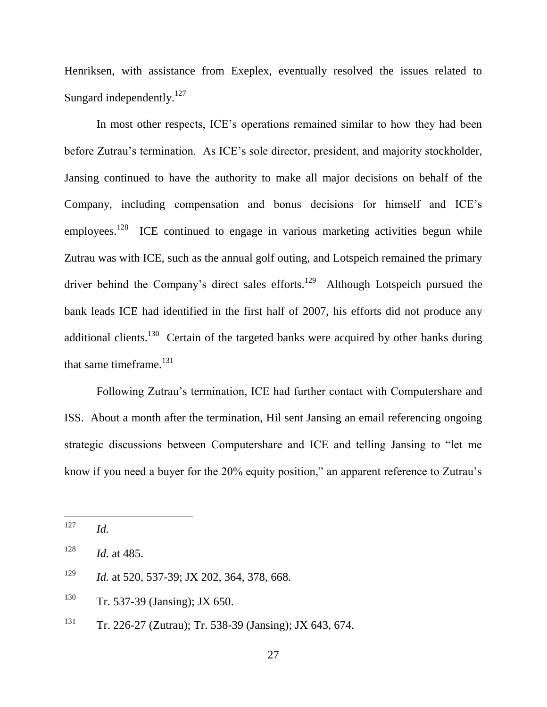Henriksen, with assistance from Exeplex, eventually resolved the issues related to Sungard independently.<sup>127</sup>

In most other respects, ICE's operations remained similar to how they had been before Zutrau's termination. As ICE's sole director, president, and majority stockholder, Jansing continued to have the authority to make all major decisions on behalf of the Company, including compensation and bonus decisions for himself and ICE's employees.<sup>128</sup> ICE continued to engage in various marketing activities begun while Zutrau was with ICE, such as the annual golf outing, and Lotspeich remained the primary driver behind the Company's direct sales efforts.<sup>129</sup> Although Lotspeich pursued the bank leads ICE had identified in the first half of 2007, his efforts did not produce any additional clients.<sup>130</sup> Certain of the targeted banks were acquired by other banks during that same time  $f<sup>131</sup>$ 

Following Zutrau's termination, ICE had further contact with Computershare and ISS. About a month after the termination, Hil sent Jansing an email referencing ongoing strategic discussions between Computershare and ICE and telling Jansing to "let me know if you need a buyer for the  $20\%$  equity position," an apparent reference to Zutrau's

<sup>129</sup> *Id.* at 520, 537-39; JX 202, 364, 378, 668.

<sup>130</sup> Tr. 537-39 (Jansing); JX 650.

<sup>127</sup> *Id.* 

<sup>128</sup> *Id.* at 485.

<sup>&</sup>lt;sup>131</sup> Tr. 226-27 (Zutrau); Tr. 538-39 (Jansing); JX 643, 674.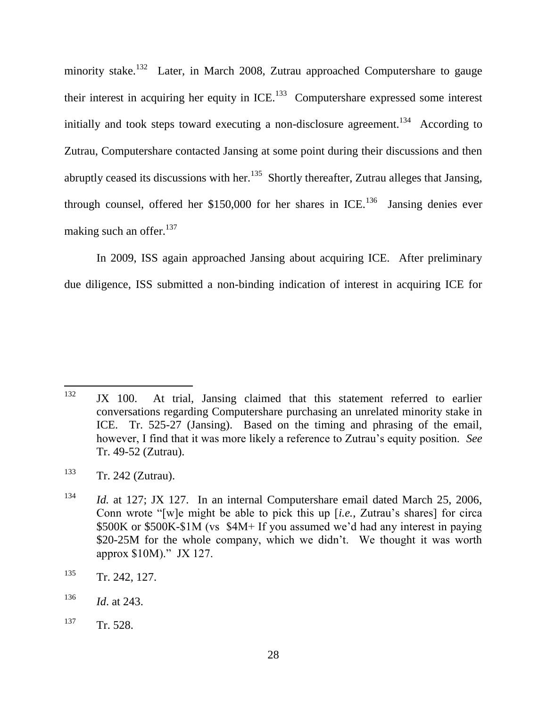minority stake.<sup>132</sup> Later, in March 2008, Zutrau approached Computershare to gauge their interest in acquiring her equity in  $ICE<sup>133</sup>$  Computershare expressed some interest initially and took steps toward executing a non-disclosure agreement.<sup>134</sup> According to Zutrau, Computershare contacted Jansing at some point during their discussions and then abruptly ceased its discussions with her.<sup>135</sup> Shortly thereafter, Zutrau alleges that Jansing, through counsel, offered her \$150,000 for her shares in ICE.<sup>136</sup> Jansing denies ever making such an offer. $137$ 

In 2009, ISS again approached Jansing about acquiring ICE. After preliminary due diligence, ISS submitted a non-binding indication of interest in acquiring ICE for

<sup>132</sup> JX 100. At trial, Jansing claimed that this statement referred to earlier conversations regarding Computershare purchasing an unrelated minority stake in ICE. Tr. 525-27 (Jansing). Based on the timing and phrasing of the email, however, I find that it was more likely a reference to Zutrau's equity position. *See* Tr. 49-52 (Zutrau).

<sup>133</sup> Tr. 242 (Zutrau).

<sup>134</sup> *Id.* at 127; JX 127. In an internal Computershare email dated March 25, 2006, Conn wrote "[w]e might be able to pick this up [*i.e.*, Zutrau's shares] for circa \$500K or \$500K-\$1M (vs \$4M+ If you assumed we'd had any interest in paying \$20-25M for the whole company, which we didn't. We thought it was worth approx  $$10M$ ." JX 127.

<sup>&</sup>lt;sup>135</sup> Tr. 242, 127.

<sup>136</sup> *Id*. at 243.

 $137 \text{ Tr. } 528.$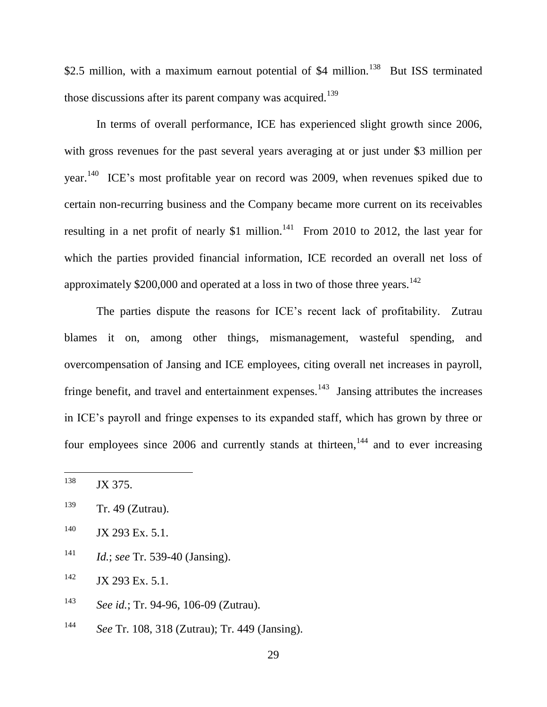\$2.5 million, with a maximum earnout potential of \$4 million.<sup>138</sup> But ISS terminated those discussions after its parent company was acquired.<sup>139</sup>

In terms of overall performance, ICE has experienced slight growth since 2006, with gross revenues for the past several years averaging at or just under \$3 million per year.<sup>140</sup> ICE's most profitable year on record was 2009, when revenues spiked due to certain non-recurring business and the Company became more current on its receivables resulting in a net profit of nearly \$1 million.<sup>141</sup> From 2010 to 2012, the last year for which the parties provided financial information, ICE recorded an overall net loss of approximately \$200,000 and operated at a loss in two of those three years.<sup>142</sup>

The parties dispute the reasons for ICE's recent lack of profitability. Zutrau blames it on, among other things, mismanagement, wasteful spending, and overcompensation of Jansing and ICE employees, citing overall net increases in payroll, fringe benefit, and travel and entertainment expenses.<sup>143</sup> Jansing attributes the increases in ICE's payroll and fringe expenses to its expanded staff, which has grown by three or four employees since  $2006$  and currently stands at thirteen,  $144$  and to ever increasing

<sup>141</sup> *Id.*; *see* Tr. 539-40 (Jansing).

 $142$  JX 293 Ex. 5.1.

- <sup>143</sup> *See id.*; Tr. 94-96, 106-09 (Zutrau).
- <sup>144</sup> *See* Tr. 108, 318 (Zutrau); Tr. 449 (Jansing).

<sup>138</sup> JX 375.

<sup>139</sup> Tr. 49 (Zutrau).

<sup>&</sup>lt;sup>140</sup> JX 293 Ex. 5.1.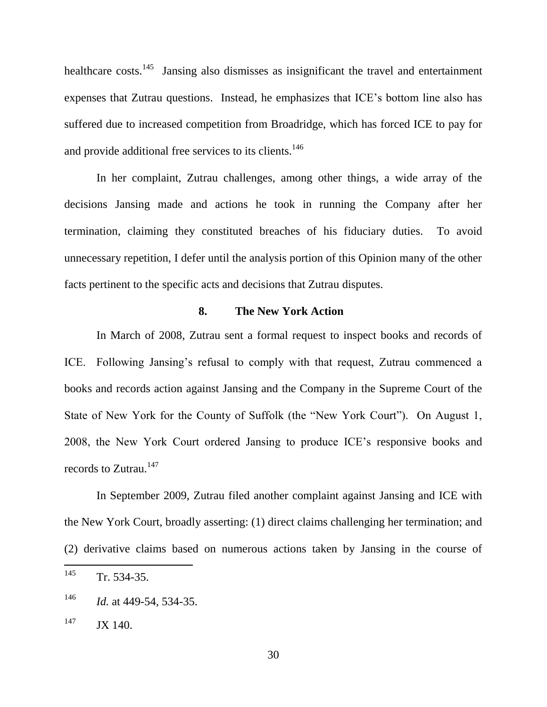healthcare costs.<sup>145</sup> Jansing also dismisses as insignificant the travel and entertainment expenses that Zutrau questions. Instead, he emphasizes that ICE's bottom line also has suffered due to increased competition from Broadridge, which has forced ICE to pay for and provide additional free services to its clients.<sup>146</sup>

In her complaint, Zutrau challenges, among other things, a wide array of the decisions Jansing made and actions he took in running the Company after her termination, claiming they constituted breaches of his fiduciary duties. To avoid unnecessary repetition, I defer until the analysis portion of this Opinion many of the other facts pertinent to the specific acts and decisions that Zutrau disputes.

# **8. The New York Action**

In March of 2008, Zutrau sent a formal request to inspect books and records of ICE. Following Jansing's refusal to comply with that request, Zutrau commenced a books and records action against Jansing and the Company in the Supreme Court of the State of New York for the County of Suffolk (the "New York Court"). On August 1, 2008, the New York Court ordered Jansing to produce ICE's responsive books and records to Zutrau.<sup>147</sup>

In September 2009, Zutrau filed another complaint against Jansing and ICE with the New York Court, broadly asserting: (1) direct claims challenging her termination; and (2) derivative claims based on numerous actions taken by Jansing in the course of

<sup>145</sup>  $Tr. 534-35.$ 

<sup>146</sup> *Id.* at 449-54, 534-35.

 $147$  JX 140.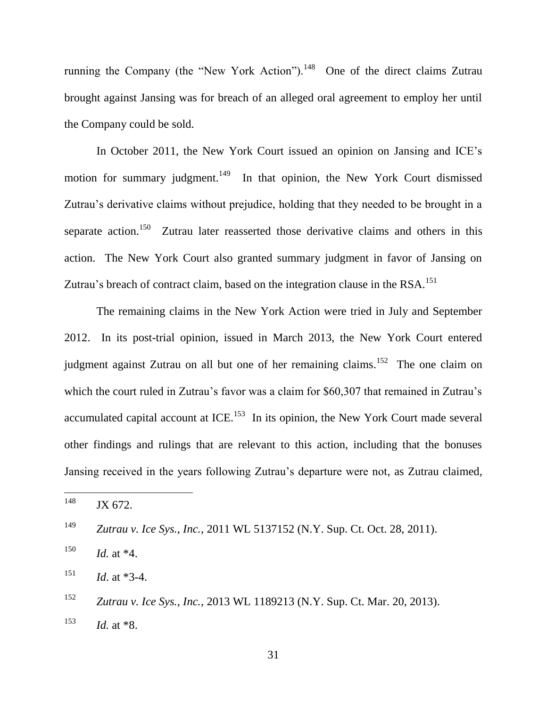running the Company (the "New York Action").<sup>148</sup> One of the direct claims Zutrau brought against Jansing was for breach of an alleged oral agreement to employ her until the Company could be sold.

In October 2011, the New York Court issued an opinion on Jansing and ICE's motion for summary judgment.<sup>149</sup> In that opinion, the New York Court dismissed Zutrau's derivative claims without prejudice, holding that they needed to be brought in a separate action.<sup>150</sup> Zutrau later reasserted those derivative claims and others in this action. The New York Court also granted summary judgment in favor of Jansing on Zutrau's breach of contract claim, based on the integration clause in the RSA.<sup>151</sup>

The remaining claims in the New York Action were tried in July and September 2012. In its post-trial opinion, issued in March 2013, the New York Court entered judgment against Zutrau on all but one of her remaining claims.<sup>152</sup> The one claim on which the court ruled in Zutrau's favor was a claim for \$60,307 that remained in Zutrau's accumulated capital account at ICE.<sup>153</sup> In its opinion, the New York Court made several other findings and rulings that are relevant to this action, including that the bonuses Jansing received in the years following Zutrau's departure were not, as Zutrau claimed,

<sup>148</sup> JX 672.

<sup>149</sup> *Zutrau v. Ice Sys., Inc.*, 2011 WL 5137152 (N.Y. Sup. Ct. Oct. 28, 2011).

<sup>150</sup> *Id.* at \*4.

 $151$  *Id.* at \*3-4.

<sup>152</sup> *Zutrau v. Ice Sys., Inc.*, 2013 WL 1189213 (N.Y. Sup. Ct. Mar. 20, 2013). <sup>153</sup> *Id.* at \*8.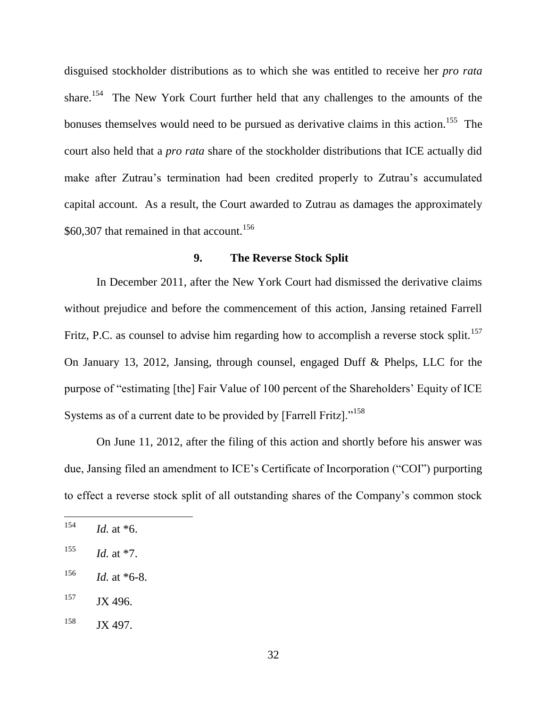disguised stockholder distributions as to which she was entitled to receive her *pro rata* share.<sup>154</sup> The New York Court further held that any challenges to the amounts of the bonuses themselves would need to be pursued as derivative claims in this action.<sup>155</sup> The court also held that a *pro rata* share of the stockholder distributions that ICE actually did make after Zutrau's termination had been credited properly to Zutrau's accumulated capital account. As a result, the Court awarded to Zutrau as damages the approximately \$60,307 that remained in that account.<sup>156</sup>

### **9. The Reverse Stock Split**

In December 2011, after the New York Court had dismissed the derivative claims without prejudice and before the commencement of this action, Jansing retained Farrell Fritz, P.C. as counsel to advise him regarding how to accomplish a reverse stock split.<sup>157</sup> On January 13, 2012, Jansing, through counsel, engaged Duff & Phelps, LLC for the purpose of "estimating [the] Fair Value of 100 percent of the Shareholders' Equity of ICE Systems as of a current date to be provided by [Farrell Fritz]. $158$ 

On June 11, 2012, after the filing of this action and shortly before his answer was due, Jansing filed an amendment to ICE's Certificate of Incorporation ("COI") purporting to effect a reverse stock split of all outstanding shares of the Company's common stock

<sup>154</sup> *Id.* at  $*6$ .

 $155$  *Id.* at  $*7$ .

 $156$  *Id.* at \*6-8.

<sup>157</sup> JX 496.

 $158$  JX 497.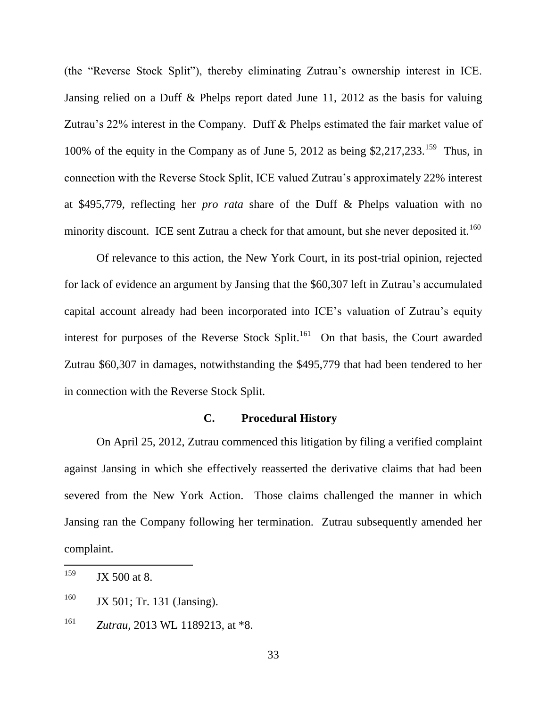(the "Reverse Stock Split"), thereby eliminating Zutrau's ownership interest in ICE. Jansing relied on a Duff & Phelps report dated June 11, 2012 as the basis for valuing Zutrau's 22% interest in the Company. Duff & Phelps estimated the fair market value of 100% of the equity in the Company as of June 5, 2012 as being \$2,217,233.<sup>159</sup> Thus, in connection with the Reverse Stock Split, ICE valued Zutrau's approximately 22% interest at \$495,779, reflecting her *pro rata* share of the Duff & Phelps valuation with no minority discount. ICE sent Zutrau a check for that amount, but she never deposited it.<sup>160</sup>

Of relevance to this action, the New York Court, in its post-trial opinion, rejected for lack of evidence an argument by Jansing that the \$60,307 left in Zutrau's accumulated capital account already had been incorporated into ICE's valuation of Zutrau's equity interest for purposes of the Reverse Stock Split.<sup>161</sup> On that basis, the Court awarded Zutrau \$60,307 in damages, notwithstanding the \$495,779 that had been tendered to her in connection with the Reverse Stock Split.

# **C. Procedural History**

On April 25, 2012, Zutrau commenced this litigation by filing a verified complaint against Jansing in which she effectively reasserted the derivative claims that had been severed from the New York Action. Those claims challenged the manner in which Jansing ran the Company following her termination. Zutrau subsequently amended her complaint.

<sup>159</sup>  $JX$  500 at 8.

<sup>&</sup>lt;sup>160</sup> JX 501; Tr. 131 (Jansing).

<sup>161</sup> *Zutrau*, 2013 WL 1189213, at \*8.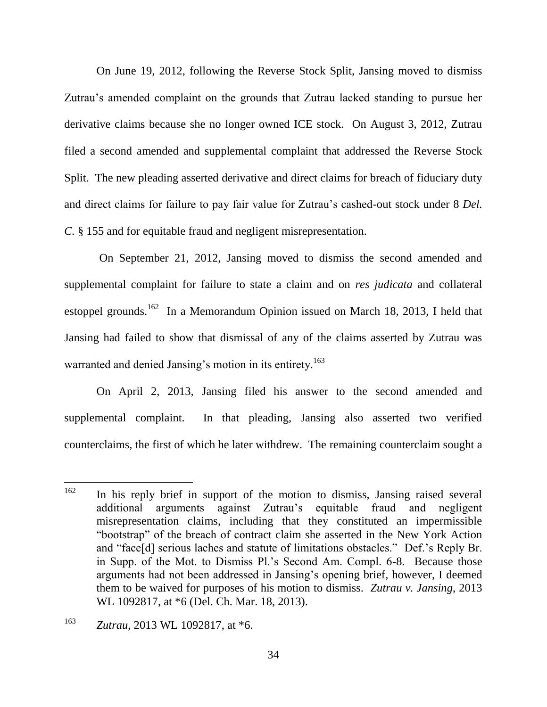On June 19, 2012, following the Reverse Stock Split, Jansing moved to dismiss Zutrau's amended complaint on the grounds that Zutrau lacked standing to pursue her derivative claims because she no longer owned ICE stock. On August 3, 2012, Zutrau filed a second amended and supplemental complaint that addressed the Reverse Stock Split. The new pleading asserted derivative and direct claims for breach of fiduciary duty and direct claims for failure to pay fair value for Zutrau's cashed-out stock under 8 *Del. C.* § 155 and for equitable fraud and negligent misrepresentation.

On September 21, 2012, Jansing moved to dismiss the second amended and supplemental complaint for failure to state a claim and on *res judicata* and collateral estoppel grounds.<sup>162</sup> In a Memorandum Opinion issued on March 18, 2013, I held that Jansing had failed to show that dismissal of any of the claims asserted by Zutrau was warranted and denied Jansing's motion in its entirety.<sup>163</sup>

On April 2, 2013, Jansing filed his answer to the second amended and supplemental complaint. In that pleading, Jansing also asserted two verified counterclaims, the first of which he later withdrew. The remaining counterclaim sought a

<sup>162</sup> In his reply brief in support of the motion to dismiss, Jansing raised several additional arguments against Zutrau's equitable fraud and negligent misrepresentation claims, including that they constituted an impermissible "bootstrap" of the breach of contract claim she asserted in the New York Action and "face[d] serious laches and statute of limitations obstacles." Def.'s Reply Br. in Supp. of the Mot. to Dismiss Pl.'s Second Am. Compl. 6-8. Because those arguments had not been addressed in Jansing's opening brief, however, I deemed them to be waived for purposes of his motion to dismiss. *Zutrau v. Jansing*, 2013 WL 1092817, at \*6 (Del. Ch. Mar. 18, 2013).

<sup>163</sup> *Zutrau*, 2013 WL 1092817, at \*6.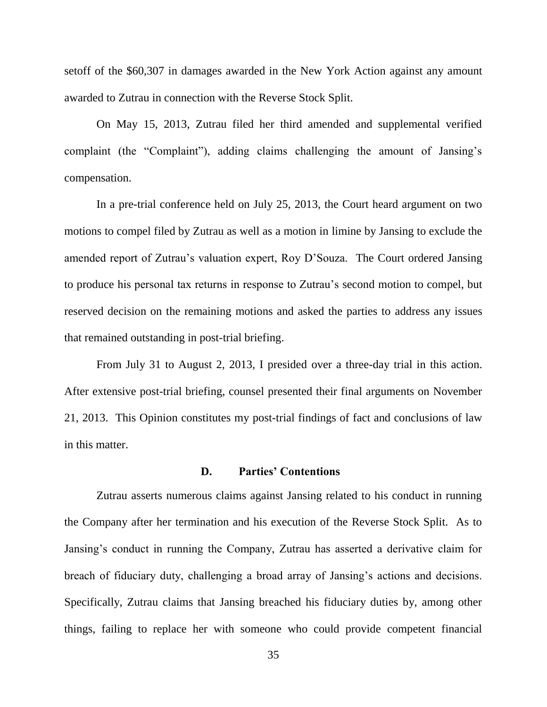setoff of the \$60,307 in damages awarded in the New York Action against any amount awarded to Zutrau in connection with the Reverse Stock Split.

On May 15, 2013, Zutrau filed her third amended and supplemental verified complaint (the "Complaint"), adding claims challenging the amount of Jansing's compensation.

In a pre-trial conference held on July 25, 2013, the Court heard argument on two motions to compel filed by Zutrau as well as a motion in limine by Jansing to exclude the amended report of Zutrau's valuation expert, Roy D'Souza. The Court ordered Jansing to produce his personal tax returns in response to Zutrau's second motion to compel, but reserved decision on the remaining motions and asked the parties to address any issues that remained outstanding in post-trial briefing.

From July 31 to August 2, 2013, I presided over a three-day trial in this action. After extensive post-trial briefing, counsel presented their final arguments on November 21, 2013. This Opinion constitutes my post-trial findings of fact and conclusions of law in this matter.

# **D. Parties' Contentions**

Zutrau asserts numerous claims against Jansing related to his conduct in running the Company after her termination and his execution of the Reverse Stock Split. As to Jansing's conduct in running the Company, Zutrau has asserted a derivative claim for breach of fiduciary duty, challenging a broad array of Jansing's actions and decisions. Specifically, Zutrau claims that Jansing breached his fiduciary duties by, among other things, failing to replace her with someone who could provide competent financial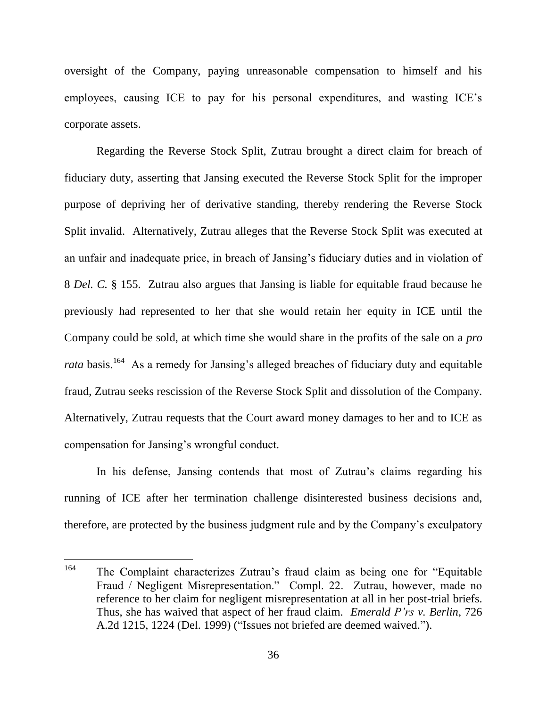oversight of the Company, paying unreasonable compensation to himself and his employees, causing ICE to pay for his personal expenditures, and wasting ICE's corporate assets.

Regarding the Reverse Stock Split, Zutrau brought a direct claim for breach of fiduciary duty, asserting that Jansing executed the Reverse Stock Split for the improper purpose of depriving her of derivative standing, thereby rendering the Reverse Stock Split invalid. Alternatively, Zutrau alleges that the Reverse Stock Split was executed at an unfair and inadequate price, in breach of Jansing's fiduciary duties and in violation of 8 *Del. C.* § 155. Zutrau also argues that Jansing is liable for equitable fraud because he previously had represented to her that she would retain her equity in ICE until the Company could be sold, at which time she would share in the profits of the sale on a *pro*  rata basis.<sup>164</sup> As a remedy for Jansing's alleged breaches of fiduciary duty and equitable fraud, Zutrau seeks rescission of the Reverse Stock Split and dissolution of the Company. Alternatively, Zutrau requests that the Court award money damages to her and to ICE as compensation for Jansing's wrongful conduct.

In his defense, Jansing contends that most of Zutrau's claims regarding his running of ICE after her termination challenge disinterested business decisions and, therefore, are protected by the business judgment rule and by the Company's exculpatory

<sup>164</sup> The Complaint characterizes Zutrau's fraud claim as being one for "Equitable Fraud / Negligent Misrepresentation." Compl. 22. Zutrau, however, made no reference to her claim for negligent misrepresentation at all in her post-trial briefs. Thus, she has waived that aspect of her fraud claim. *Emerald P'rs v. Berlin*, 726 A.2d 1215, 1224 (Del. 1999) ("Issues not briefed are deemed waived.").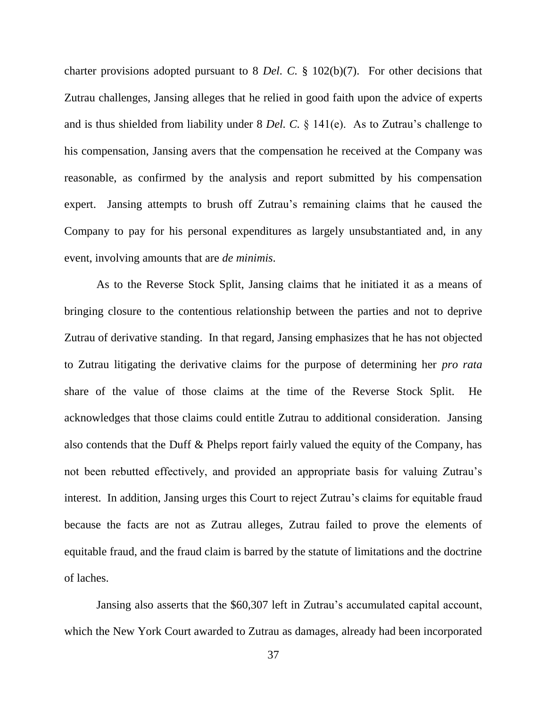charter provisions adopted pursuant to 8 *Del. C.* § 102(b)(7). For other decisions that Zutrau challenges, Jansing alleges that he relied in good faith upon the advice of experts and is thus shielded from liability under 8 *Del. C.* § 141(e). As to Zutrau's challenge to his compensation, Jansing avers that the compensation he received at the Company was reasonable, as confirmed by the analysis and report submitted by his compensation expert. Jansing attempts to brush off Zutrau's remaining claims that he caused the Company to pay for his personal expenditures as largely unsubstantiated and, in any event, involving amounts that are *de minimis*.

As to the Reverse Stock Split, Jansing claims that he initiated it as a means of bringing closure to the contentious relationship between the parties and not to deprive Zutrau of derivative standing. In that regard, Jansing emphasizes that he has not objected to Zutrau litigating the derivative claims for the purpose of determining her *pro rata* share of the value of those claims at the time of the Reverse Stock Split. He acknowledges that those claims could entitle Zutrau to additional consideration. Jansing also contends that the Duff & Phelps report fairly valued the equity of the Company, has not been rebutted effectively, and provided an appropriate basis for valuing Zutrau's interest. In addition, Jansing urges this Court to reject Zutrau's claims for equitable fraud because the facts are not as Zutrau alleges, Zutrau failed to prove the elements of equitable fraud, and the fraud claim is barred by the statute of limitations and the doctrine of laches.

Jansing also asserts that the \$60,307 left in Zutrau's accumulated capital account, which the New York Court awarded to Zutrau as damages, already had been incorporated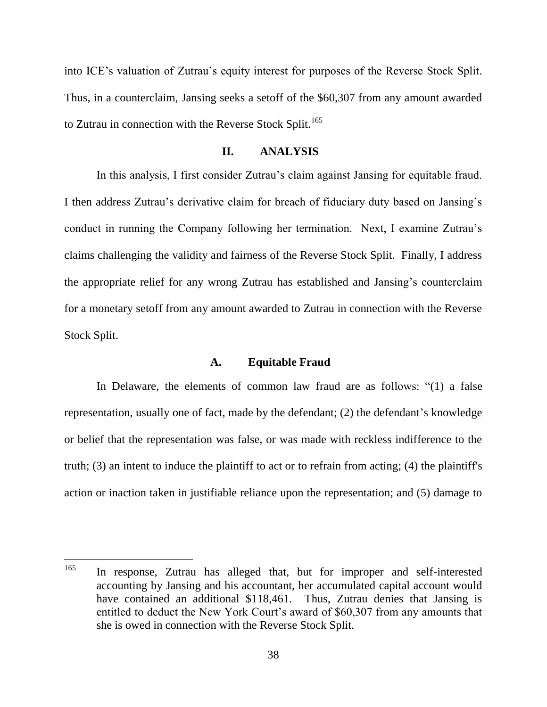into ICE's valuation of Zutrau's equity interest for purposes of the Reverse Stock Split. Thus, in a counterclaim, Jansing seeks a setoff of the \$60,307 from any amount awarded to Zutrau in connection with the Reverse Stock Split.<sup>165</sup>

#### **II. ANALYSIS**

In this analysis, I first consider Zutrau's claim against Jansing for equitable fraud. I then address Zutrau's derivative claim for breach of fiduciary duty based on Jansing's conduct in running the Company following her termination. Next, I examine Zutrau's claims challenging the validity and fairness of the Reverse Stock Split. Finally, I address the appropriate relief for any wrong Zutrau has established and Jansing's counterclaim for a monetary setoff from any amount awarded to Zutrau in connection with the Reverse Stock Split.

#### **A. Equitable Fraud**

In Delaware, the elements of common law fraud are as follows:  $(1)$  a false representation, usually one of fact, made by the defendant; (2) the defendant's knowledge or belief that the representation was false, or was made with reckless indifference to the truth; (3) an intent to induce the plaintiff to act or to refrain from acting; (4) the plaintiff's action or inaction taken in justifiable reliance upon the representation; and (5) damage to

<sup>165</sup> In response, Zutrau has alleged that, but for improper and self-interested accounting by Jansing and his accountant, her accumulated capital account would have contained an additional \$118,461. Thus, Zutrau denies that Jansing is entitled to deduct the New York Court's award of \$60,307 from any amounts that she is owed in connection with the Reverse Stock Split.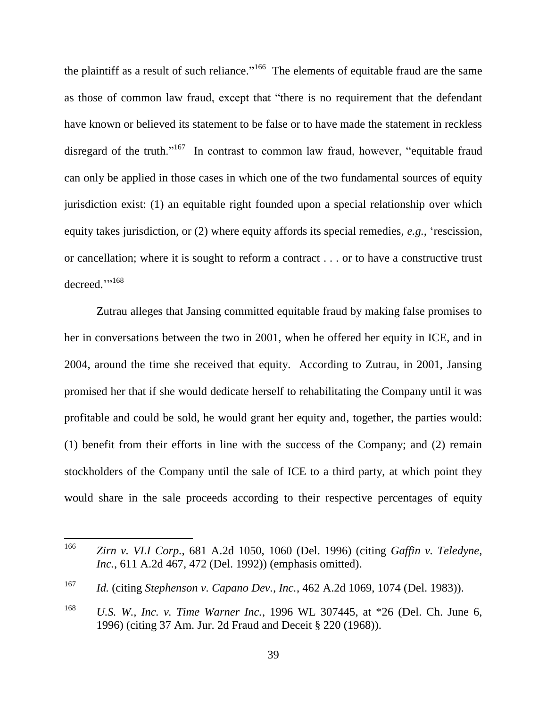the plaintiff as a result of such reliance."<sup>166</sup> The elements of equitable fraud are the same as those of common law fraud, except that "there is no requirement that the defendant have known or believed its statement to be false or to have made the statement in reckless disregard of the truth."<sup>167</sup> In contrast to common law fraud, however, "equitable fraud can only be applied in those cases in which one of the two fundamental sources of equity jurisdiction exist: (1) an equitable right founded upon a special relationship over which equity takes jurisdiction, or (2) where equity affords its special remedies, *e.g.*, 'rescission, or cancellation; where it is sought to reform a contract . . . or to have a constructive trust decreed."<sup>168</sup>

Zutrau alleges that Jansing committed equitable fraud by making false promises to her in conversations between the two in 2001, when he offered her equity in ICE, and in 2004, around the time she received that equity. According to Zutrau, in 2001, Jansing promised her that if she would dedicate herself to rehabilitating the Company until it was profitable and could be sold, he would grant her equity and, together, the parties would: (1) benefit from their efforts in line with the success of the Company; and (2) remain stockholders of the Company until the sale of ICE to a third party, at which point they would share in the sale proceeds according to their respective percentages of equity

<sup>166</sup> <sup>166</sup> *Zirn v. VLI Corp.*, 681 A.2d 1050, 1060 (Del. 1996) (citing *Gaffin v. Teledyne, Inc.*, 611 A.2d 467, 472 (Del. 1992)) (emphasis omitted).

<sup>167</sup> *Id.* (citing *Stephenson v. Capano Dev., Inc.*, 462 A.2d 1069, 1074 (Del. 1983)).

<sup>168</sup> *U.S. W., Inc. v. Time Warner Inc.*, 1996 WL 307445, at \*26 (Del. Ch. June 6, 1996) (citing 37 Am. Jur. 2d Fraud and Deceit § 220 (1968)).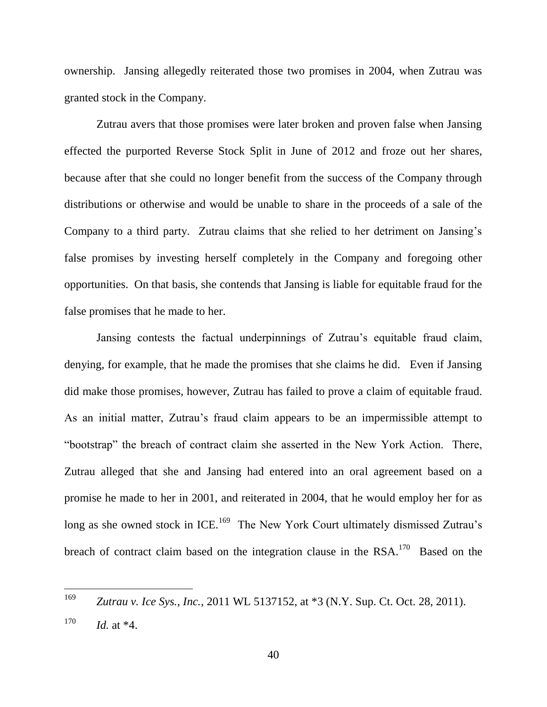ownership. Jansing allegedly reiterated those two promises in 2004, when Zutrau was granted stock in the Company.

Zutrau avers that those promises were later broken and proven false when Jansing effected the purported Reverse Stock Split in June of 2012 and froze out her shares, because after that she could no longer benefit from the success of the Company through distributions or otherwise and would be unable to share in the proceeds of a sale of the Company to a third party. Zutrau claims that she relied to her detriment on Jansing's false promises by investing herself completely in the Company and foregoing other opportunities. On that basis, she contends that Jansing is liable for equitable fraud for the false promises that he made to her.

Jansing contests the factual underpinnings of Zutrau's equitable fraud claim, denying, for example, that he made the promises that she claims he did. Even if Jansing did make those promises, however, Zutrau has failed to prove a claim of equitable fraud. As an initial matter, Zutrau's fraud claim appears to be an impermissible attempt to "bootstrap" the breach of contract claim she asserted in the New York Action. There, Zutrau alleged that she and Jansing had entered into an oral agreement based on a promise he made to her in 2001, and reiterated in 2004, that he would employ her for as long as she owned stock in ICE.<sup>169</sup> The New York Court ultimately dismissed Zutrau's breach of contract claim based on the integration clause in the  $RSA$ <sup>170</sup> Based on the

 $\overline{a}$ 

<sup>169</sup> *Zutrau v. Ice Sys., Inc.*, 2011 WL 5137152, at \*3 (N.Y. Sup. Ct. Oct. 28, 2011).  $170$  *Id.* at  $*4$ .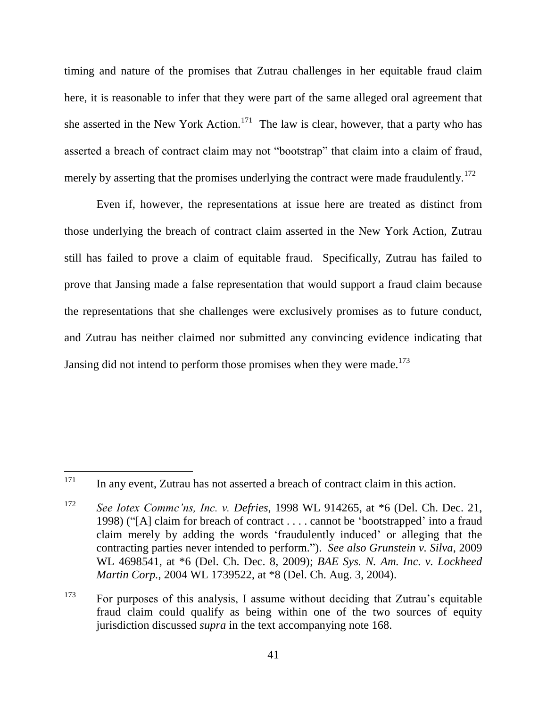timing and nature of the promises that Zutrau challenges in her equitable fraud claim here, it is reasonable to infer that they were part of the same alleged oral agreement that she asserted in the New York Action.<sup>171</sup> The law is clear, however, that a party who has asserted a breach of contract claim may not "bootstrap" that claim into a claim of fraud, merely by asserting that the promises underlying the contract were made fraudulently.<sup>172</sup>

Even if, however, the representations at issue here are treated as distinct from those underlying the breach of contract claim asserted in the New York Action, Zutrau still has failed to prove a claim of equitable fraud. Specifically, Zutrau has failed to prove that Jansing made a false representation that would support a fraud claim because the representations that she challenges were exclusively promises as to future conduct, and Zutrau has neither claimed nor submitted any convincing evidence indicating that Jansing did not intend to perform those promises when they were made.<sup>173</sup>

<sup>173</sup> For purposes of this analysis, I assume without deciding that Zutrau's equitable fraud claim could qualify as being within one of the two sources of equity jurisdiction discussed *supra* in the text accompanying note 168.

<sup>171</sup> In any event, Zutrau has not asserted a breach of contract claim in this action.

<sup>172</sup> *See Iotex Commc'ns, Inc. v. Defries*, 1998 WL 914265, at \*6 (Del. Ch. Dec. 21, 1998) ("[A] claim for breach of contract  $\dots$  cannot be 'bootstrapped' into a fraud claim merely by adding the words ‗fraudulently induced' or alleging that the contracting parties never intended to perform.‖). *See also Grunstein v. Silva*, 2009 WL 4698541, at \*6 (Del. Ch. Dec. 8, 2009); *BAE Sys. N. Am. Inc. v. Lockheed Martin Corp.*, 2004 WL 1739522, at \*8 (Del. Ch. Aug. 3, 2004).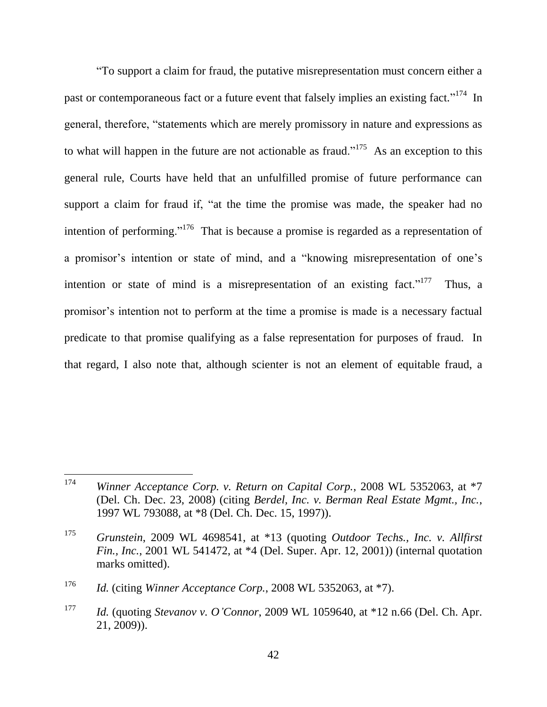―To support a claim for fraud, the putative misrepresentation must concern either a past or contemporaneous fact or a future event that falsely implies an existing fact.<sup> $,174$ </sup> In general, therefore, "statements which are merely promissory in nature and expressions as to what will happen in the future are not actionable as fraud.<sup> $175$ </sup> As an exception to this general rule, Courts have held that an unfulfilled promise of future performance can support a claim for fraud if, "at the time the promise was made, the speaker had no intention of performing."<sup>176</sup> That is because a promise is regarded as a representation of a promisor's intention or state of mind, and a "knowing misrepresentation of one's intention or state of mind is a misrepresentation of an existing fact.<sup> $1777$ </sup> Thus, a promisor's intention not to perform at the time a promise is made is a necessary factual predicate to that promise qualifying as a false representation for purposes of fraud. In that regard, I also note that, although scienter is not an element of equitable fraud, a

<sup>174</sup> <sup>174</sup> *Winner Acceptance Corp. v. Return on Capital Corp.*, 2008 WL 5352063, at \*7 (Del. Ch. Dec. 23, 2008) (citing *Berdel, Inc. v. Berman Real Estate Mgmt., Inc.*, 1997 WL 793088, at \*8 (Del. Ch. Dec. 15, 1997)).

<sup>175</sup> *Grunstein*, 2009 WL 4698541, at \*13 (quoting *Outdoor Techs., Inc. v. Allfirst Fin., Inc.*, 2001 WL 541472, at \*4 (Del. Super. Apr. 12, 2001)) (internal quotation marks omitted).

<sup>176</sup> *Id.* (citing *Winner Acceptance Corp.*, 2008 WL 5352063, at \*7).

<sup>177</sup> *Id.* (quoting *Stevanov v. O'Connor*, 2009 WL 1059640, at \*12 n.66 (Del. Ch. Apr. 21, 2009)).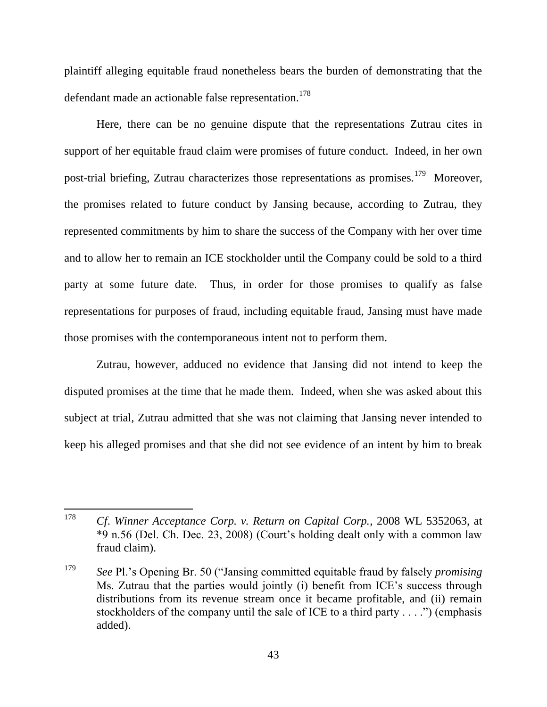plaintiff alleging equitable fraud nonetheless bears the burden of demonstrating that the defendant made an actionable false representation.<sup>178</sup>

Here, there can be no genuine dispute that the representations Zutrau cites in support of her equitable fraud claim were promises of future conduct. Indeed, in her own post-trial briefing, Zutrau characterizes those representations as promises.<sup>179</sup> Moreover, the promises related to future conduct by Jansing because, according to Zutrau, they represented commitments by him to share the success of the Company with her over time and to allow her to remain an ICE stockholder until the Company could be sold to a third party at some future date. Thus, in order for those promises to qualify as false representations for purposes of fraud, including equitable fraud, Jansing must have made those promises with the contemporaneous intent not to perform them.

Zutrau, however, adduced no evidence that Jansing did not intend to keep the disputed promises at the time that he made them. Indeed, when she was asked about this subject at trial, Zutrau admitted that she was not claiming that Jansing never intended to keep his alleged promises and that she did not see evidence of an intent by him to break

<sup>178</sup> <sup>178</sup> *Cf*. *Winner Acceptance Corp. v. Return on Capital Corp.*, 2008 WL 5352063, at \*9 n.56 (Del. Ch. Dec. 23, 2008) (Court's holding dealt only with a common law fraud claim).

<sup>&</sup>lt;sup>179</sup> *See* Pl.'s Opening Br. 50 ("Jansing committed equitable fraud by falsely *promising* Ms. Zutrau that the parties would jointly (i) benefit from ICE's success through distributions from its revenue stream once it became profitable, and (ii) remain stockholders of the company until the sale of ICE to a third party  $\dots$  .") (emphasis added).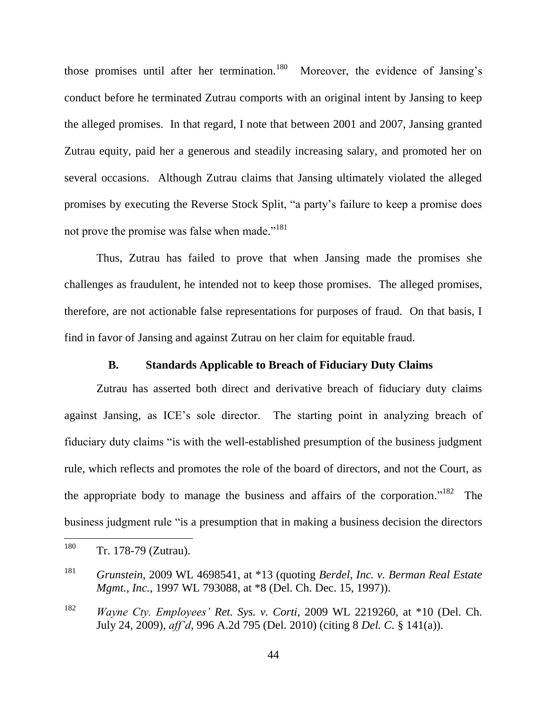those promises until after her termination.<sup>180</sup> Moreover, the evidence of Jansing's conduct before he terminated Zutrau comports with an original intent by Jansing to keep the alleged promises. In that regard, I note that between 2001 and 2007, Jansing granted Zutrau equity, paid her a generous and steadily increasing salary, and promoted her on several occasions. Although Zutrau claims that Jansing ultimately violated the alleged promises by executing the Reverse Stock Split, "a party's failure to keep a promise does not prove the promise was false when made."<sup>181</sup>

Thus, Zutrau has failed to prove that when Jansing made the promises she challenges as fraudulent, he intended not to keep those promises. The alleged promises, therefore, are not actionable false representations for purposes of fraud. On that basis, I find in favor of Jansing and against Zutrau on her claim for equitable fraud.

# **B. Standards Applicable to Breach of Fiduciary Duty Claims**

Zutrau has asserted both direct and derivative breach of fiduciary duty claims against Jansing, as ICE's sole director. The starting point in analyzing breach of fiduciary duty claims "is with the well-established presumption of the business judgment rule, which reflects and promotes the role of the board of directors, and not the Court, as the appropriate body to manage the business and affairs of the corporation."<sup>182</sup> The business judgment rule "is a presumption that in making a business decision the directors

<sup>180</sup> Tr. 178-79 (Zutrau).

<sup>181</sup> *Grunstein*, 2009 WL 4698541, at \*13 (quoting *Berdel, Inc. v. Berman Real Estate Mgmt., Inc.*, 1997 WL 793088, at \*8 (Del. Ch. Dec. 15, 1997)).

<sup>182</sup> *Wayne Cty. Employees' Ret. Sys. v. Corti*, 2009 WL 2219260, at \*10 (Del. Ch. July 24, 2009), *aff'd*, 996 A.2d 795 (Del. 2010) (citing 8 *Del. C.* § 141(a)).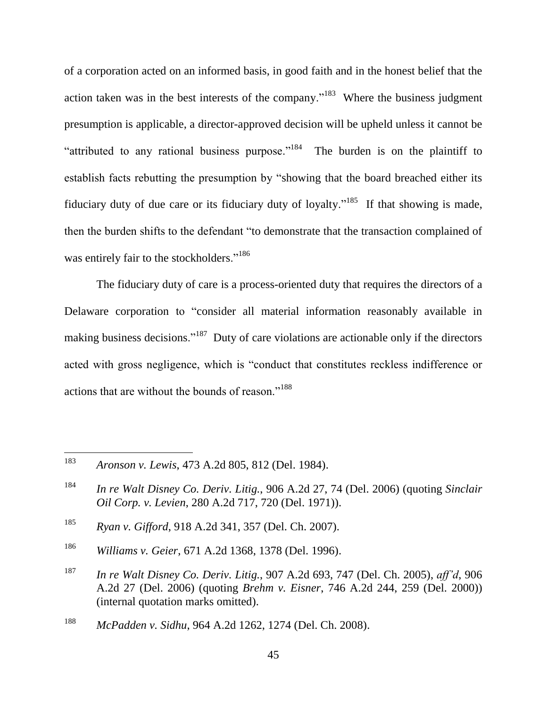of a corporation acted on an informed basis, in good faith and in the honest belief that the action taken was in the best interests of the company."<sup>183</sup> Where the business judgment presumption is applicable, a director-approved decision will be upheld unless it cannot be "attributed to any rational business purpose."<sup>184</sup> The burden is on the plaintiff to establish facts rebutting the presumption by "showing that the board breached either its fiduciary duty of due care or its fiduciary duty of loyalty."<sup>185</sup> If that showing is made, then the burden shifts to the defendant "to demonstrate that the transaction complained of was entirely fair to the stockholders."<sup>186</sup>

The fiduciary duty of care is a process-oriented duty that requires the directors of a Delaware corporation to "consider all material information reasonably available in making business decisions."<sup>187</sup> Duty of care violations are actionable only if the directors acted with gross negligence, which is "conduct that constitutes reckless indifference or actions that are without the bounds of reason."<sup>188</sup>

<sup>183</sup> <sup>183</sup> *Aronson v. Lewis*, 473 A.2d 805, 812 (Del. 1984).

<sup>184</sup> *In re Walt Disney Co. Deriv. Litig.*, 906 A.2d 27, 74 (Del. 2006) (quoting *Sinclair Oil Corp. v. Levien*, 280 A.2d 717, 720 (Del. 1971)).

<sup>185</sup> *Ryan v. Gifford*, 918 A.2d 341, 357 (Del. Ch. 2007).

<sup>186</sup> *Williams v. Geier*, 671 A.2d 1368, 1378 (Del. 1996).

<sup>187</sup> *In re Walt Disney Co. Deriv. Litig.*, 907 A.2d 693, 747 (Del. Ch. 2005), *aff'd*, 906 A.2d 27 (Del. 2006) (quoting *Brehm v. Eisner*, 746 A.2d 244, 259 (Del. 2000)) (internal quotation marks omitted).

<sup>188</sup> *McPadden v. Sidhu*, 964 A.2d 1262, 1274 (Del. Ch. 2008).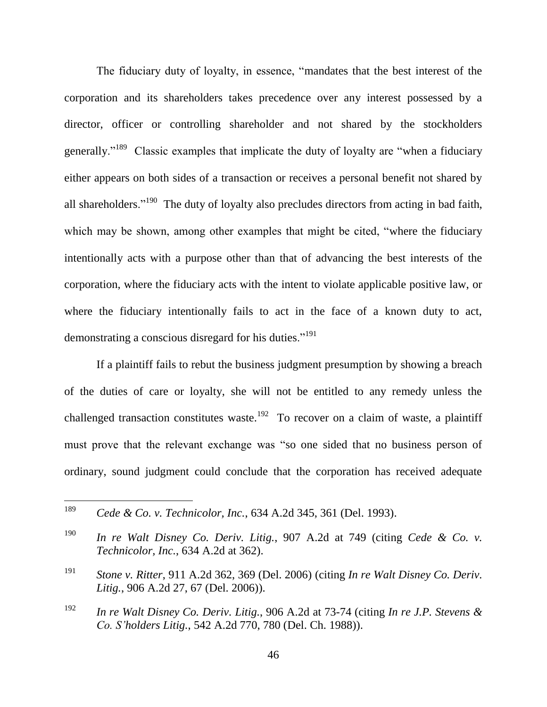The fiduciary duty of loyalty, in essence, "mandates that the best interest of the corporation and its shareholders takes precedence over any interest possessed by a director, officer or controlling shareholder and not shared by the stockholders generally."<sup>189</sup> Classic examples that implicate the duty of loyalty are "when a fiduciary either appears on both sides of a transaction or receives a personal benefit not shared by all shareholders."<sup>190</sup> The duty of loyalty also precludes directors from acting in bad faith, which may be shown, among other examples that might be cited, "where the fiduciary intentionally acts with a purpose other than that of advancing the best interests of the corporation, where the fiduciary acts with the intent to violate applicable positive law, or where the fiduciary intentionally fails to act in the face of a known duty to act, demonstrating a conscious disregard for his duties."<sup>191</sup>

If a plaintiff fails to rebut the business judgment presumption by showing a breach of the duties of care or loyalty, she will not be entitled to any remedy unless the challenged transaction constitutes waste.<sup>192</sup> To recover on a claim of waste, a plaintiff must prove that the relevant exchange was "so one sided that no business person of ordinary, sound judgment could conclude that the corporation has received adequate

<sup>189</sup> *Cede & Co. v. Technicolor, Inc.*, 634 A.2d 345, 361 (Del. 1993).

<sup>190</sup> *In re Walt Disney Co. Deriv. Litig.*, 907 A.2d at 749 (citing *Cede & Co. v. Technicolor, Inc.*, 634 A.2d at 362).

<sup>191</sup> *Stone v. Ritter*, 911 A.2d 362, 369 (Del. 2006) (citing *In re Walt Disney Co. Deriv. Litig.*, 906 A.2d 27, 67 (Del. 2006)).

<sup>192</sup> *In re Walt Disney Co. Deriv. Litig.*, 906 A.2d at 73-74 (citing *In re J.P. Stevens & Co. S'holders Litig.*, 542 A.2d 770, 780 (Del. Ch. 1988)).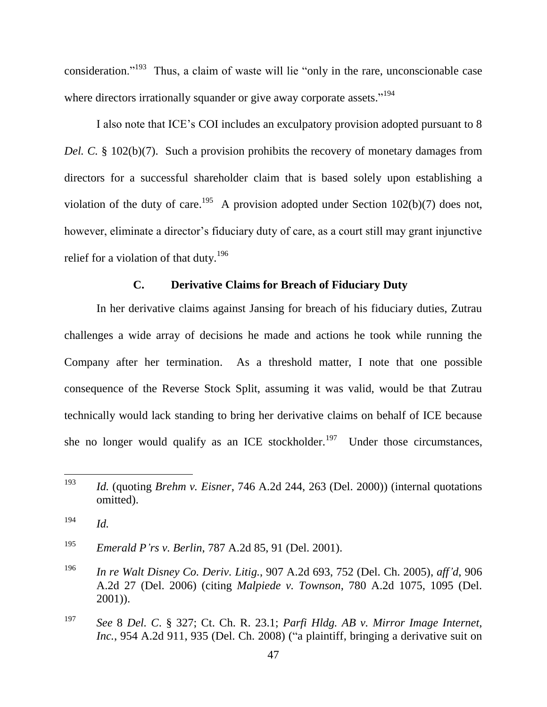consideration."<sup>193</sup> Thus, a claim of waste will lie "only in the rare, unconscionable case where directors irrationally squander or give away corporate assets."<sup>194</sup>

I also note that ICE's COI includes an exculpatory provision adopted pursuant to 8 *Del. C.* § 102(b)(7). Such a provision prohibits the recovery of monetary damages from directors for a successful shareholder claim that is based solely upon establishing a violation of the duty of care.<sup>195</sup> A provision adopted under Section 102(b)(7) does not, however, eliminate a director's fiduciary duty of care, as a court still may grant injunctive relief for a violation of that duty.<sup>196</sup>

### **C. Derivative Claims for Breach of Fiduciary Duty**

In her derivative claims against Jansing for breach of his fiduciary duties, Zutrau challenges a wide array of decisions he made and actions he took while running the Company after her termination. As a threshold matter, I note that one possible consequence of the Reverse Stock Split, assuming it was valid, would be that Zutrau technically would lack standing to bring her derivative claims on behalf of ICE because she no longer would qualify as an ICE stockholder.<sup>197</sup> Under those circumstances,

<sup>195</sup> *Emerald P'rs v. Berlin*, 787 A.2d 85, 91 (Del. 2001).

<sup>193</sup> <sup>193</sup> *Id.* (quoting *Brehm v. Eisner*, 746 A.2d 244, 263 (Del. 2000)) (internal quotations omitted).

<sup>194</sup> *Id.*

<sup>196</sup> *In re Walt Disney Co. Deriv. Litig.*, 907 A.2d 693, 752 (Del. Ch. 2005), *aff'd*, 906 A.2d 27 (Del. 2006) (citing *Malpiede v. Townson*, 780 A.2d 1075, 1095 (Del. 2001)).

<sup>197</sup> *See* 8 *Del. C*. § 327; Ct. Ch. R. 23.1; *Parfi Hldg. AB v. Mirror Image Internet, Inc.*, 954 A.2d 911, 935 (Del. Ch. 2008) ("a plaintiff, bringing a derivative suit on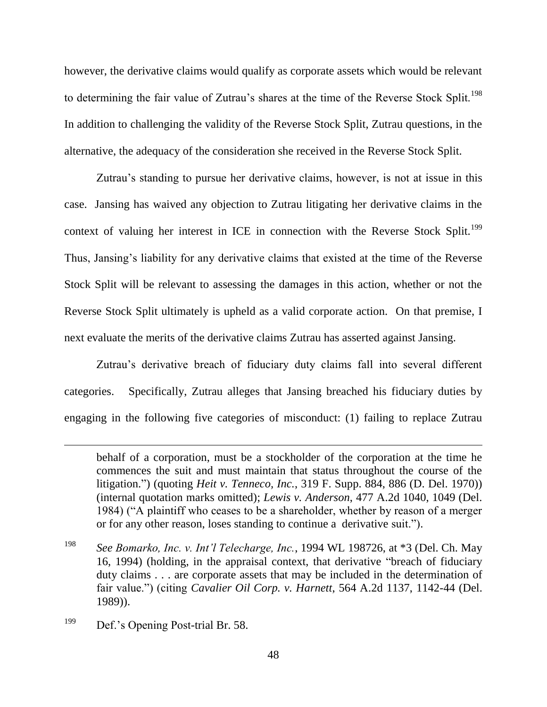however, the derivative claims would qualify as corporate assets which would be relevant to determining the fair value of Zutrau's shares at the time of the Reverse Stock Split.<sup>198</sup> In addition to challenging the validity of the Reverse Stock Split, Zutrau questions, in the alternative, the adequacy of the consideration she received in the Reverse Stock Split.

Zutrau's standing to pursue her derivative claims, however, is not at issue in this case. Jansing has waived any objection to Zutrau litigating her derivative claims in the context of valuing her interest in ICE in connection with the Reverse Stock Split.<sup>199</sup> Thus, Jansing's liability for any derivative claims that existed at the time of the Reverse Stock Split will be relevant to assessing the damages in this action, whether or not the Reverse Stock Split ultimately is upheld as a valid corporate action. On that premise, I next evaluate the merits of the derivative claims Zutrau has asserted against Jansing.

Zutrau's derivative breach of fiduciary duty claims fall into several different categories. Specifically, Zutrau alleges that Jansing breached his fiduciary duties by engaging in the following five categories of misconduct: (1) failing to replace Zutrau

behalf of a corporation, must be a stockholder of the corporation at the time he commences the suit and must maintain that status throughout the course of the litigation.‖) (quoting *Heit v. Tenneco, Inc.*, 319 F. Supp. 884, 886 (D. Del. 1970)) (internal quotation marks omitted); *Lewis v. Anderson*, 477 A.2d 1040, 1049 (Del. 1984) ("A plaintiff who ceases to be a shareholder, whether by reason of a merger or for any other reason, loses standing to continue a derivative suit.").

<sup>198</sup> *See Bomarko, Inc. v. Int'l Telecharge, Inc.*, 1994 WL 198726, at \*3 (Del. Ch. May 16, 1994) (holding, in the appraisal context, that derivative "breach of fiduciary duty claims . . . are corporate assets that may be included in the determination of fair value.") (citing *Cavalier Oil Corp. v. Harnett*, 564 A.2d 1137, 1142-44 (Del. 1989)).

<sup>&</sup>lt;sup>199</sup> Def.'s Opening Post-trial Br. 58.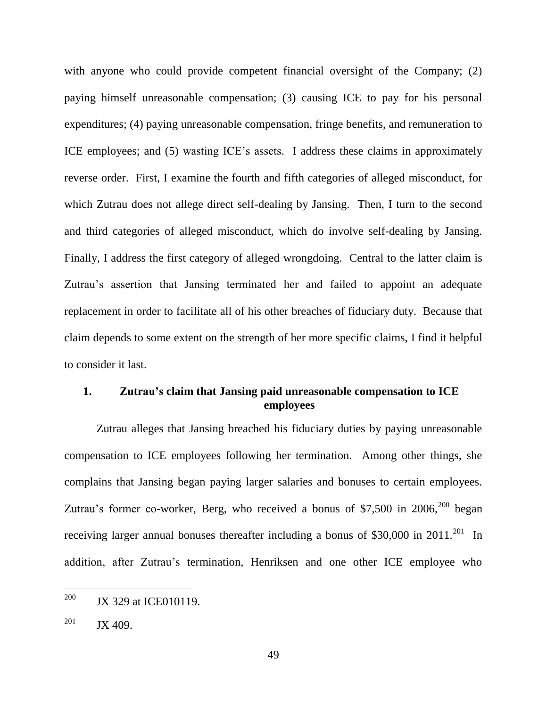with anyone who could provide competent financial oversight of the Company; (2) paying himself unreasonable compensation; (3) causing ICE to pay for his personal expenditures; (4) paying unreasonable compensation, fringe benefits, and remuneration to ICE employees; and (5) wasting ICE's assets. I address these claims in approximately reverse order. First, I examine the fourth and fifth categories of alleged misconduct, for which Zutrau does not allege direct self-dealing by Jansing. Then, I turn to the second and third categories of alleged misconduct, which do involve self-dealing by Jansing. Finally, I address the first category of alleged wrongdoing. Central to the latter claim is Zutrau's assertion that Jansing terminated her and failed to appoint an adequate replacement in order to facilitate all of his other breaches of fiduciary duty. Because that claim depends to some extent on the strength of her more specific claims, I find it helpful to consider it last.

# **1. Zutrau's claim that Jansing paid unreasonable compensation to ICE employees**

Zutrau alleges that Jansing breached his fiduciary duties by paying unreasonable compensation to ICE employees following her termination. Among other things, she complains that Jansing began paying larger salaries and bonuses to certain employees. Zutrau's former co-worker, Berg, who received a bonus of \$7,500 in  $2006$ ,  $200$  began receiving larger annual bonuses thereafter including a bonus of \$30,000 in  $2011.^{201}$  In addition, after Zutrau's termination, Henriksen and one other ICE employee who

<sup>200</sup> JX 329 at ICE010119.

 $201$  JX 409.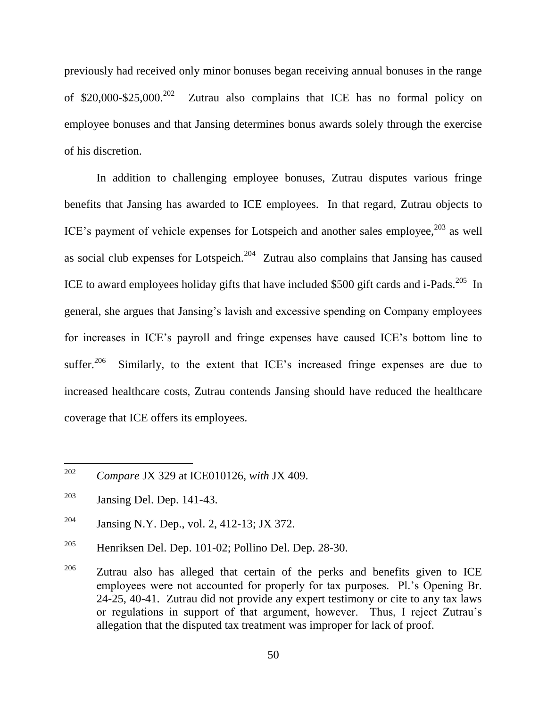previously had received only minor bonuses began receiving annual bonuses in the range of  $$20,000-\$25,000.<sup>202</sup>$  Zutrau also complains that ICE has no formal policy on employee bonuses and that Jansing determines bonus awards solely through the exercise of his discretion.

In addition to challenging employee bonuses, Zutrau disputes various fringe benefits that Jansing has awarded to ICE employees. In that regard, Zutrau objects to ICE's payment of vehicle expenses for Lotspeich and another sales employee, $^{203}$  as well as social club expenses for Lotspeich.<sup>204</sup> Zutrau also complains that Jansing has caused ICE to award employees holiday gifts that have included \$500 gift cards and i-Pads.<sup>205</sup> In general, she argues that Jansing's lavish and excessive spending on Company employees for increases in ICE's payroll and fringe expenses have caused ICE's bottom line to suffer.<sup>206</sup> Similarly, to the extent that ICE's increased fringe expenses are due to increased healthcare costs, Zutrau contends Jansing should have reduced the healthcare coverage that ICE offers its employees.

<sup>202</sup> <sup>202</sup> *Compare* JX 329 at ICE010126, *with* JX 409.

<sup>203</sup> Jansing Del. Dep. 141-43.

<sup>&</sup>lt;sup>204</sup> Jansing N.Y. Dep., vol. 2, 412-13; JX 372.

<sup>&</sup>lt;sup>205</sup> Henriksen Del. Dep. 101-02; Pollino Del. Dep. 28-30.

 $206$  Zutrau also has alleged that certain of the perks and benefits given to ICE employees were not accounted for properly for tax purposes. Pl.'s Opening Br. 24-25, 40-41. Zutrau did not provide any expert testimony or cite to any tax laws or regulations in support of that argument, however. Thus, I reject Zutrau's allegation that the disputed tax treatment was improper for lack of proof.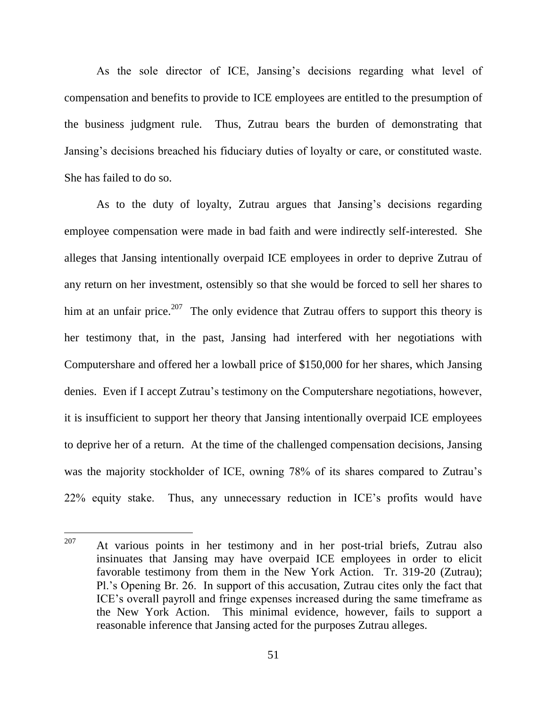As the sole director of ICE, Jansing's decisions regarding what level of compensation and benefits to provide to ICE employees are entitled to the presumption of the business judgment rule. Thus, Zutrau bears the burden of demonstrating that Jansing's decisions breached his fiduciary duties of loyalty or care, or constituted waste. She has failed to do so.

As to the duty of loyalty, Zutrau argues that Jansing's decisions regarding employee compensation were made in bad faith and were indirectly self-interested. She alleges that Jansing intentionally overpaid ICE employees in order to deprive Zutrau of any return on her investment, ostensibly so that she would be forced to sell her shares to him at an unfair price.<sup>207</sup> The only evidence that Zutrau offers to support this theory is her testimony that, in the past, Jansing had interfered with her negotiations with Computershare and offered her a lowball price of \$150,000 for her shares, which Jansing denies. Even if I accept Zutrau's testimony on the Computershare negotiations, however, it is insufficient to support her theory that Jansing intentionally overpaid ICE employees to deprive her of a return. At the time of the challenged compensation decisions, Jansing was the majority stockholder of ICE, owning 78% of its shares compared to Zutrau's 22% equity stake. Thus, any unnecessary reduction in ICE's profits would have

<sup>207</sup> At various points in her testimony and in her post-trial briefs, Zutrau also insinuates that Jansing may have overpaid ICE employees in order to elicit favorable testimony from them in the New York Action. Tr. 319-20 (Zutrau); Pl.'s Opening Br. 26. In support of this accusation, Zutrau cites only the fact that ICE's overall payroll and fringe expenses increased during the same timeframe as the New York Action. This minimal evidence, however, fails to support a reasonable inference that Jansing acted for the purposes Zutrau alleges.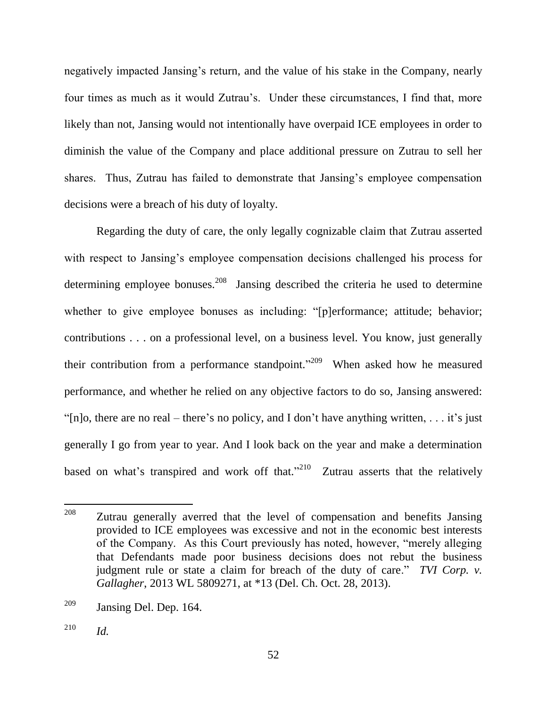negatively impacted Jansing's return, and the value of his stake in the Company, nearly four times as much as it would Zutrau's. Under these circumstances, I find that, more likely than not, Jansing would not intentionally have overpaid ICE employees in order to diminish the value of the Company and place additional pressure on Zutrau to sell her shares. Thus, Zutrau has failed to demonstrate that Jansing's employee compensation decisions were a breach of his duty of loyalty.

Regarding the duty of care, the only legally cognizable claim that Zutrau asserted with respect to Jansing's employee compensation decisions challenged his process for determining employee bonuses.<sup>208</sup> Jansing described the criteria he used to determine whether to give employee bonuses as including: "[p]erformance; attitude; behavior; contributions . . . on a professional level, on a business level. You know, just generally their contribution from a performance standpoint."<sup>209</sup> When asked how he measured performance, and whether he relied on any objective factors to do so, Jansing answered: "[n]o, there are no real – there's no policy, and I don't have anything written, ... it's just generally I go from year to year. And I look back on the year and make a determination based on what's transpired and work off that."<sup>210</sup> Zutrau asserts that the relatively

<sup>208</sup> Zutrau generally averred that the level of compensation and benefits Jansing provided to ICE employees was excessive and not in the economic best interests of the Company. As this Court previously has noted, however, "merely alleging that Defendants made poor business decisions does not rebut the business judgment rule or state a claim for breach of the duty of care." *TVI Corp. v. Gallagher*, 2013 WL 5809271, at \*13 (Del. Ch. Oct. 28, 2013).

<sup>209</sup> Jansing Del. Dep. 164.

<sup>210</sup> *Id.*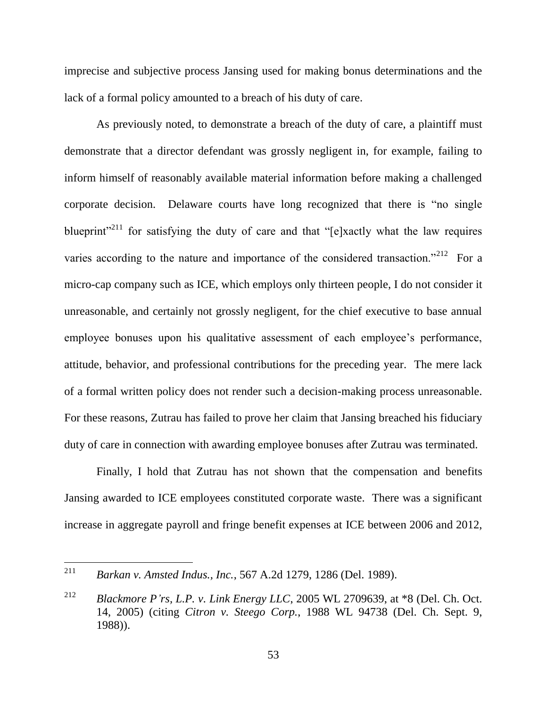imprecise and subjective process Jansing used for making bonus determinations and the lack of a formal policy amounted to a breach of his duty of care.

As previously noted, to demonstrate a breach of the duty of care, a plaintiff must demonstrate that a director defendant was grossly negligent in, for example, failing to inform himself of reasonably available material information before making a challenged corporate decision. Delaware courts have long recognized that there is "no single" blueprint<sup> $211$ </sup> for satisfying the duty of care and that "[e]xactly what the law requires varies according to the nature and importance of the considered transaction.<sup>2212</sup> For a micro-cap company such as ICE, which employs only thirteen people, I do not consider it unreasonable, and certainly not grossly negligent, for the chief executive to base annual employee bonuses upon his qualitative assessment of each employee's performance, attitude, behavior, and professional contributions for the preceding year. The mere lack of a formal written policy does not render such a decision-making process unreasonable. For these reasons, Zutrau has failed to prove her claim that Jansing breached his fiduciary duty of care in connection with awarding employee bonuses after Zutrau was terminated.

Finally, I hold that Zutrau has not shown that the compensation and benefits Jansing awarded to ICE employees constituted corporate waste. There was a significant increase in aggregate payroll and fringe benefit expenses at ICE between 2006 and 2012,

<sup>211</sup> <sup>211</sup> *Barkan v. Amsted Indus., Inc.*, 567 A.2d 1279, 1286 (Del. 1989).

<sup>212</sup> *Blackmore P'rs, L.P. v. Link Energy LLC*, 2005 WL 2709639, at \*8 (Del. Ch. Oct. 14, 2005) (citing *Citron v. Steego Corp.*, 1988 WL 94738 (Del. Ch. Sept. 9, 1988)).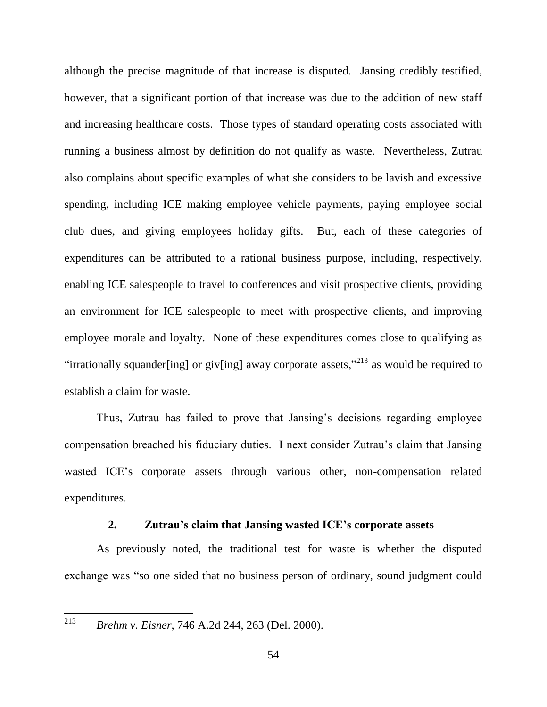although the precise magnitude of that increase is disputed. Jansing credibly testified, however, that a significant portion of that increase was due to the addition of new staff and increasing healthcare costs. Those types of standard operating costs associated with running a business almost by definition do not qualify as waste. Nevertheless, Zutrau also complains about specific examples of what she considers to be lavish and excessive spending, including ICE making employee vehicle payments, paying employee social club dues, and giving employees holiday gifts. But, each of these categories of expenditures can be attributed to a rational business purpose, including, respectively, enabling ICE salespeople to travel to conferences and visit prospective clients, providing an environment for ICE salespeople to meet with prospective clients, and improving employee morale and loyalty. None of these expenditures comes close to qualifying as "irrationally squander [ing] or giv[ing] away corporate assets,"<sup>213</sup> as would be required to establish a claim for waste.

Thus, Zutrau has failed to prove that Jansing's decisions regarding employee compensation breached his fiduciary duties. I next consider Zutrau's claim that Jansing wasted ICE's corporate assets through various other, non-compensation related expenditures.

### **2. Zutrau's claim that Jansing wasted ICE's corporate assets**

As previously noted, the traditional test for waste is whether the disputed exchange was "so one sided that no business person of ordinary, sound judgment could

<sup>213</sup> *Brehm v. Eisner*, 746 A.2d 244, 263 (Del. 2000).

 $\overline{a}$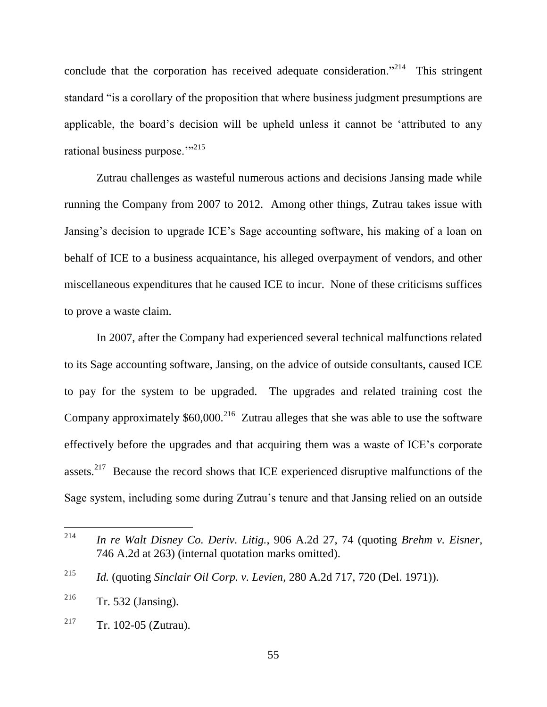conclude that the corporation has received adequate consideration.<sup> $214$ </sup> This stringent standard "is a corollary of the proposition that where business judgment presumptions are applicable, the board's decision will be upheld unless it cannot be 'attributed to any rational business purpose."<sup>215</sup>

Zutrau challenges as wasteful numerous actions and decisions Jansing made while running the Company from 2007 to 2012. Among other things, Zutrau takes issue with Jansing's decision to upgrade ICE's Sage accounting software, his making of a loan on behalf of ICE to a business acquaintance, his alleged overpayment of vendors, and other miscellaneous expenditures that he caused ICE to incur. None of these criticisms suffices to prove a waste claim.

In 2007, after the Company had experienced several technical malfunctions related to its Sage accounting software, Jansing, on the advice of outside consultants, caused ICE to pay for the system to be upgraded. The upgrades and related training cost the Company approximately  $$60,000$ <sup>216</sup> Zutrau alleges that she was able to use the software effectively before the upgrades and that acquiring them was a waste of ICE's corporate assets.<sup>217</sup> Because the record shows that ICE experienced disruptive malfunctions of the Sage system, including some during Zutrau's tenure and that Jansing relied on an outside

<sup>214</sup> <sup>214</sup> *In re Walt Disney Co. Deriv. Litig.*, 906 A.2d 27, 74 (quoting *Brehm v. Eisner*, 746 A.2d at 263) (internal quotation marks omitted).

<sup>215</sup> *Id.* (quoting *Sinclair Oil Corp. v. Levien*, 280 A.2d 717, 720 (Del. 1971)).

 $216$  Tr. 532 (Jansing).

<sup>&</sup>lt;sup>217</sup> Tr. 102-05 (Zutrau).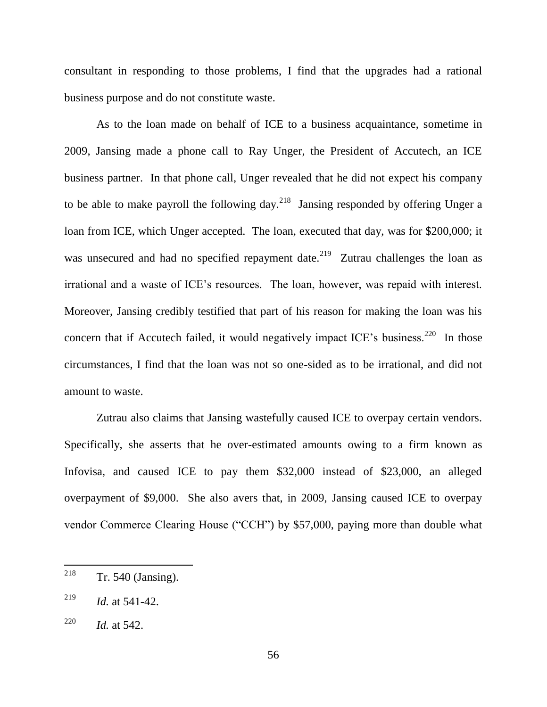consultant in responding to those problems, I find that the upgrades had a rational business purpose and do not constitute waste.

As to the loan made on behalf of ICE to a business acquaintance, sometime in 2009, Jansing made a phone call to Ray Unger, the President of Accutech, an ICE business partner. In that phone call, Unger revealed that he did not expect his company to be able to make payroll the following day.<sup>218</sup> Jansing responded by offering Unger a loan from ICE, which Unger accepted. The loan, executed that day, was for \$200,000; it was unsecured and had no specified repayment date.<sup>219</sup> Zutrau challenges the loan as irrational and a waste of ICE's resources. The loan, however, was repaid with interest. Moreover, Jansing credibly testified that part of his reason for making the loan was his concern that if Accutech failed, it would negatively impact ICE's business.<sup>220</sup> In those circumstances, I find that the loan was not so one-sided as to be irrational, and did not amount to waste.

Zutrau also claims that Jansing wastefully caused ICE to overpay certain vendors. Specifically, she asserts that he over-estimated amounts owing to a firm known as Infovisa, and caused ICE to pay them \$32,000 instead of \$23,000, an alleged overpayment of \$9,000. She also avers that, in 2009, Jansing caused ICE to overpay vendor Commerce Clearing House ("CCH") by \$57,000, paying more than double what

<sup>218</sup>  $Tr. 540$  (Jansing).

<sup>219</sup> *Id.* at 541-42.

<sup>220</sup> *Id.* at 542.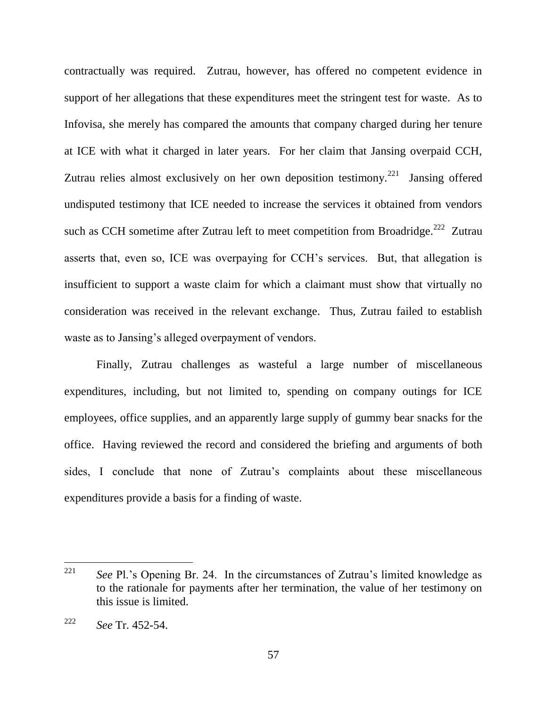contractually was required. Zutrau, however, has offered no competent evidence in support of her allegations that these expenditures meet the stringent test for waste. As to Infovisa, she merely has compared the amounts that company charged during her tenure at ICE with what it charged in later years. For her claim that Jansing overpaid CCH, Zutrau relies almost exclusively on her own deposition testimony.<sup>221</sup> Jansing offered undisputed testimony that ICE needed to increase the services it obtained from vendors such as CCH sometime after Zutrau left to meet competition from Broadridge.<sup>222</sup> Zutrau asserts that, even so, ICE was overpaying for CCH's services. But, that allegation is insufficient to support a waste claim for which a claimant must show that virtually no consideration was received in the relevant exchange. Thus, Zutrau failed to establish waste as to Jansing's alleged overpayment of vendors.

Finally, Zutrau challenges as wasteful a large number of miscellaneous expenditures, including, but not limited to, spending on company outings for ICE employees, office supplies, and an apparently large supply of gummy bear snacks for the office. Having reviewed the record and considered the briefing and arguments of both sides, I conclude that none of Zutrau's complaints about these miscellaneous expenditures provide a basis for a finding of waste.

<sup>221</sup> See Pl.'s Opening Br. 24. In the circumstances of Zutrau's limited knowledge as to the rationale for payments after her termination, the value of her testimony on this issue is limited.

<sup>222</sup> *See* Tr. 452-54.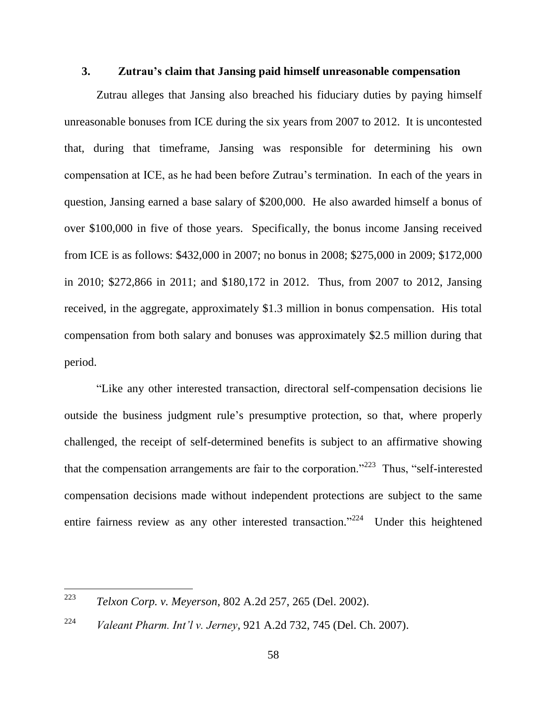### **3. Zutrau's claim that Jansing paid himself unreasonable compensation**

Zutrau alleges that Jansing also breached his fiduciary duties by paying himself unreasonable bonuses from ICE during the six years from 2007 to 2012. It is uncontested that, during that timeframe, Jansing was responsible for determining his own compensation at ICE, as he had been before Zutrau's termination. In each of the years in question, Jansing earned a base salary of \$200,000. He also awarded himself a bonus of over \$100,000 in five of those years. Specifically, the bonus income Jansing received from ICE is as follows: \$432,000 in 2007; no bonus in 2008; \$275,000 in 2009; \$172,000 in 2010; \$272,866 in 2011; and \$180,172 in 2012. Thus, from 2007 to 2012, Jansing received, in the aggregate, approximately \$1.3 million in bonus compensation. His total compensation from both salary and bonuses was approximately \$2.5 million during that period.

―Like any other interested transaction, directoral self-compensation decisions lie outside the business judgment rule's presumptive protection, so that, where properly challenged, the receipt of self-determined benefits is subject to an affirmative showing that the compensation arrangements are fair to the corporation.<sup> $223$ </sup> Thus, "self-interested compensation decisions made without independent protections are subject to the same entire fairness review as any other interested transaction.<sup> $224$ </sup> Under this heightened

<sup>223</sup> <sup>223</sup> *Telxon Corp. v. Meyerson*, 802 A.2d 257, 265 (Del. 2002).

<sup>224</sup> *Valeant Pharm. Int'l v. Jerney*, 921 A.2d 732, 745 (Del. Ch. 2007).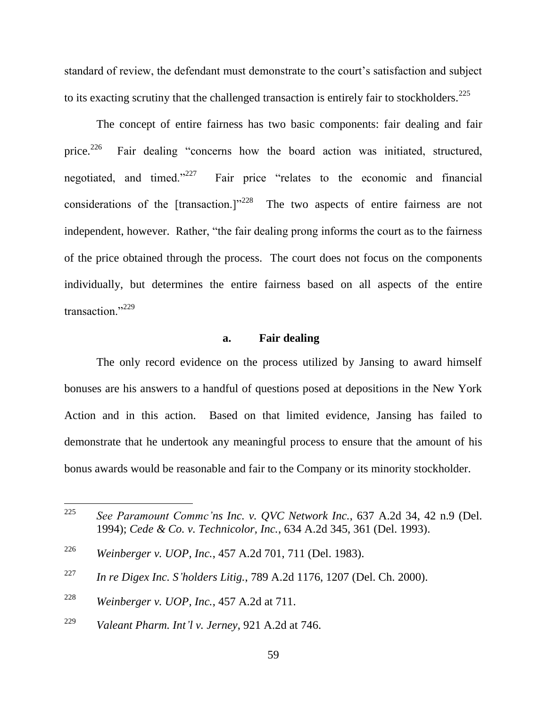standard of review, the defendant must demonstrate to the court's satisfaction and subject to its exacting scrutiny that the challenged transaction is entirely fair to stockholders.<sup>225</sup>

The concept of entire fairness has two basic components: fair dealing and fair price. $^{226}$ Fair dealing "concerns how the board action was initiated, structured, negotiated, and timed." $^{227}$ Fair price "relates to the economic and financial considerations of the [transaction.]<sup>228</sup> The two aspects of entire fairness are not independent, however. Rather, "the fair dealing prong informs the court as to the fairness of the price obtained through the process. The court does not focus on the components individually, but determines the entire fairness based on all aspects of the entire transaction."<sup>229</sup>

#### **a. Fair dealing**

The only record evidence on the process utilized by Jansing to award himself bonuses are his answers to a handful of questions posed at depositions in the New York Action and in this action. Based on that limited evidence, Jansing has failed to demonstrate that he undertook any meaningful process to ensure that the amount of his bonus awards would be reasonable and fair to the Company or its minority stockholder.

<sup>225</sup> See Paramount Commc'ns Inc. v. OVC Network Inc., 637 A.2d 34, 42 n.9 (Del.) 1994); *Cede & Co. v. Technicolor, Inc.*, 634 A.2d 345, 361 (Del. 1993).

<sup>226</sup> *Weinberger v. UOP, Inc.*, 457 A.2d 701, 711 (Del. 1983).

<sup>227</sup> *In re Digex Inc. S'holders Litig.*, 789 A.2d 1176, 1207 (Del. Ch. 2000).

<sup>228</sup> *Weinberger v. UOP, Inc.*, 457 A.2d at 711.

<sup>229</sup> *Valeant Pharm. Int'l v. Jerney*, 921 A.2d at 746.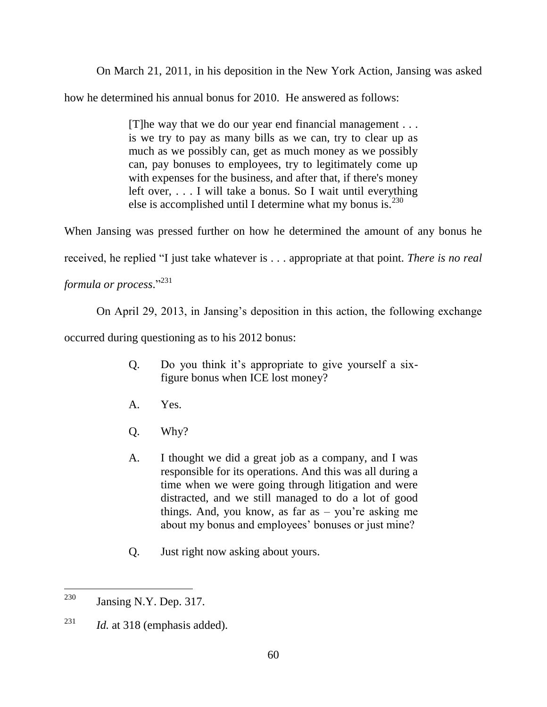On March 21, 2011, in his deposition in the New York Action, Jansing was asked

how he determined his annual bonus for 2010. He answered as follows:

[T]he way that we do our year end financial management . . . is we try to pay as many bills as we can, try to clear up as much as we possibly can, get as much money as we possibly can, pay bonuses to employees, try to legitimately come up with expenses for the business, and after that, if there's money left over, . . . I will take a bonus. So I wait until everything else is accomplished until I determine what my bonus is. $^{230}$ 

When Jansing was pressed further on how he determined the amount of any bonus he

received, he replied "I just take whatever is . . . appropriate at that point. *There is no real* 

formula or process."<sup>231</sup>

On April 29, 2013, in Jansing's deposition in this action, the following exchange

occurred during questioning as to his 2012 bonus:

- Q. Do you think it's appropriate to give yourself a sixfigure bonus when ICE lost money?
- A. Yes.
- Q. Why?
- A. I thought we did a great job as a company, and I was responsible for its operations. And this was all during a time when we were going through litigation and were distracted, and we still managed to do a lot of good things. And, you know, as far as – you're asking me about my bonus and employees' bonuses or just mine?
- Q. Just right now asking about yours.

<sup>230</sup> Jansing N.Y. Dep. 317.

<sup>&</sup>lt;sup>231</sup> *Id.* at 318 (emphasis added).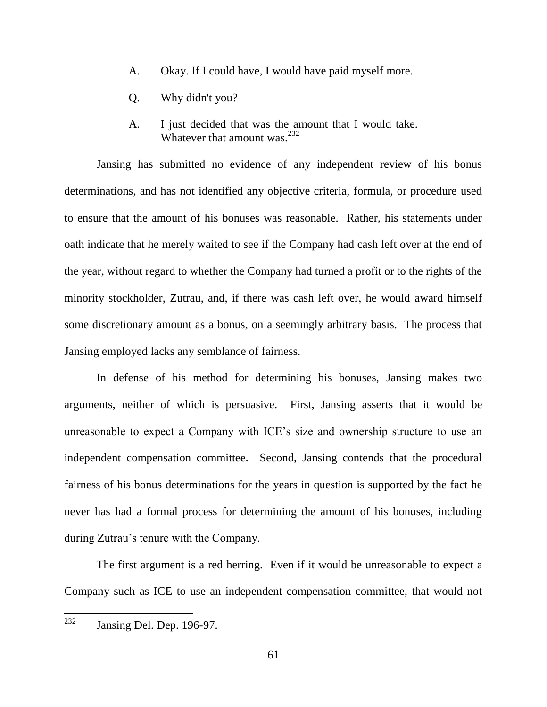- A. Okay. If I could have, I would have paid myself more.
- Q. Why didn't you?
- A. I just decided that was the amount that I would take. Whatever that amount was.<sup>232</sup>

Jansing has submitted no evidence of any independent review of his bonus determinations, and has not identified any objective criteria, formula, or procedure used to ensure that the amount of his bonuses was reasonable. Rather, his statements under oath indicate that he merely waited to see if the Company had cash left over at the end of the year, without regard to whether the Company had turned a profit or to the rights of the minority stockholder, Zutrau, and, if there was cash left over, he would award himself some discretionary amount as a bonus, on a seemingly arbitrary basis. The process that Jansing employed lacks any semblance of fairness.

In defense of his method for determining his bonuses, Jansing makes two arguments, neither of which is persuasive. First, Jansing asserts that it would be unreasonable to expect a Company with ICE's size and ownership structure to use an independent compensation committee. Second, Jansing contends that the procedural fairness of his bonus determinations for the years in question is supported by the fact he never has had a formal process for determining the amount of his bonuses, including during Zutrau's tenure with the Company.

The first argument is a red herring. Even if it would be unreasonable to expect a Company such as ICE to use an independent compensation committee, that would not

<sup>232</sup> Jansing Del. Dep. 196-97.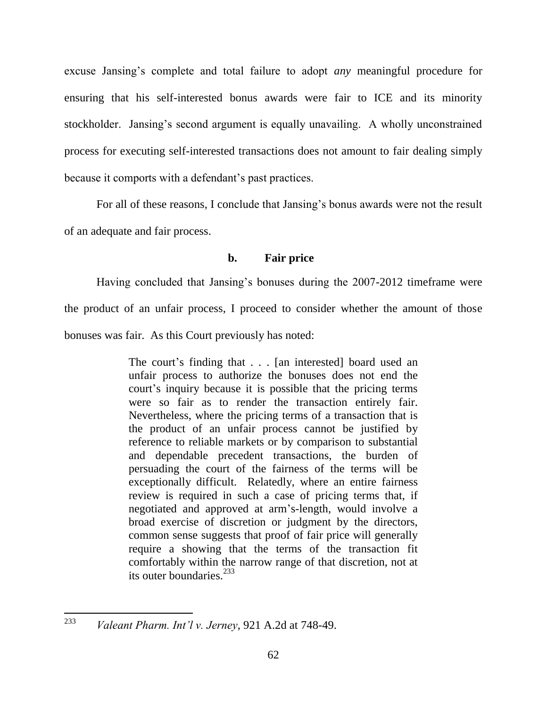excuse Jansing's complete and total failure to adopt *any* meaningful procedure for ensuring that his self-interested bonus awards were fair to ICE and its minority stockholder. Jansing's second argument is equally unavailing. A wholly unconstrained process for executing self-interested transactions does not amount to fair dealing simply because it comports with a defendant's past practices.

For all of these reasons, I conclude that Jansing's bonus awards were not the result of an adequate and fair process.

## **b. Fair price**

Having concluded that Jansing's bonuses during the 2007-2012 timeframe were

the product of an unfair process, I proceed to consider whether the amount of those

bonuses was fair. As this Court previously has noted:

The court's finding that . . . [an interested] board used an unfair process to authorize the bonuses does not end the court's inquiry because it is possible that the pricing terms were so fair as to render the transaction entirely fair. Nevertheless, where the pricing terms of a transaction that is the product of an unfair process cannot be justified by reference to reliable markets or by comparison to substantial and dependable precedent transactions, the burden of persuading the court of the fairness of the terms will be exceptionally difficult. Relatedly, where an entire fairness review is required in such a case of pricing terms that, if negotiated and approved at arm's-length, would involve a broad exercise of discretion or judgment by the directors, common sense suggests that proof of fair price will generally require a showing that the terms of the transaction fit comfortably within the narrow range of that discretion, not at its outer boundaries. 233

 $\overline{a}$ 

<sup>233</sup> *Valeant Pharm. Int'l v. Jerney*, 921 A.2d at 748-49.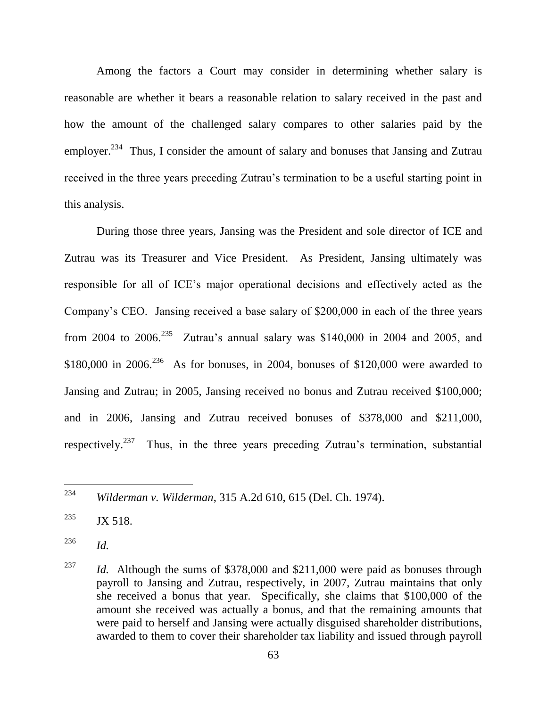Among the factors a Court may consider in determining whether salary is reasonable are whether it bears a reasonable relation to salary received in the past and how the amount of the challenged salary compares to other salaries paid by the employer.<sup>234</sup> Thus, I consider the amount of salary and bonuses that Jansing and Zutrau received in the three years preceding Zutrau's termination to be a useful starting point in this analysis.

During those three years, Jansing was the President and sole director of ICE and Zutrau was its Treasurer and Vice President. As President, Jansing ultimately was responsible for all of ICE's major operational decisions and effectively acted as the Company's CEO. Jansing received a base salary of \$200,000 in each of the three years from 2004 to 2006.<sup>235</sup> Zutrau's annual salary was \$140,000 in 2004 and 2005, and \$180,000 in 2006.<sup>236</sup> As for bonuses, in 2004, bonuses of \$120,000 were awarded to Jansing and Zutrau; in 2005, Jansing received no bonus and Zutrau received \$100,000; and in 2006, Jansing and Zutrau received bonuses of \$378,000 and \$211,000, respectively.<sup>237</sup> Thus, in the three years preceding Zutrau's termination, substantial

<sup>235</sup> JX 518.

<sup>236</sup> *Id.*

<sup>234</sup> <sup>234</sup> *Wilderman v. Wilderman*, 315 A.2d 610, 615 (Del. Ch. 1974).

<sup>&</sup>lt;sup>237</sup> *Id.* Although the sums of \$378,000 and \$211,000 were paid as bonuses through payroll to Jansing and Zutrau, respectively, in 2007, Zutrau maintains that only she received a bonus that year. Specifically, she claims that \$100,000 of the amount she received was actually a bonus, and that the remaining amounts that were paid to herself and Jansing were actually disguised shareholder distributions, awarded to them to cover their shareholder tax liability and issued through payroll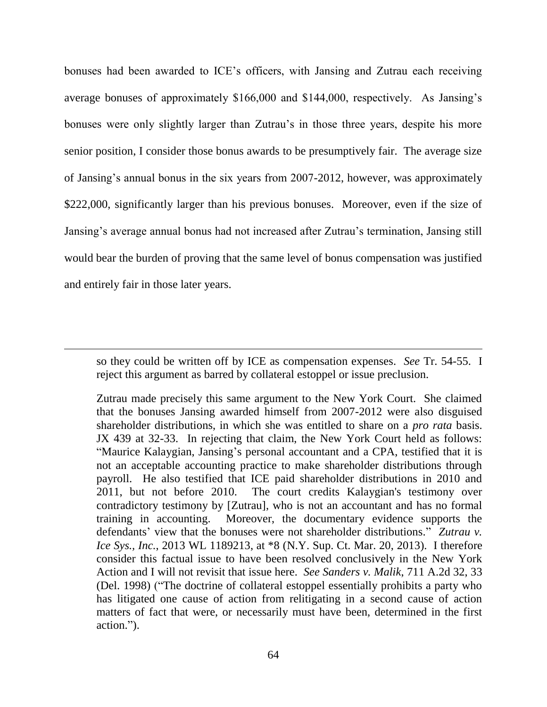bonuses had been awarded to ICE's officers, with Jansing and Zutrau each receiving average bonuses of approximately \$166,000 and \$144,000, respectively. As Jansing's bonuses were only slightly larger than Zutrau's in those three years, despite his more senior position, I consider those bonus awards to be presumptively fair. The average size of Jansing's annual bonus in the six years from 2007-2012, however, was approximately \$222,000, significantly larger than his previous bonuses. Moreover, even if the size of Jansing's average annual bonus had not increased after Zutrau's termination, Jansing still would bear the burden of proving that the same level of bonus compensation was justified and entirely fair in those later years.

so they could be written off by ICE as compensation expenses. *See* Tr. 54-55. I reject this argument as barred by collateral estoppel or issue preclusion.

Zutrau made precisely this same argument to the New York Court. She claimed that the bonuses Jansing awarded himself from 2007-2012 were also disguised shareholder distributions, in which she was entitled to share on a *pro rata* basis. JX 439 at 32-33. In rejecting that claim, the New York Court held as follows: "Maurice Kalaygian, Jansing's personal accountant and a CPA, testified that it is not an acceptable accounting practice to make shareholder distributions through payroll. He also testified that ICE paid shareholder distributions in 2010 and 2011, but not before 2010. The court credits Kalaygian's testimony over contradictory testimony by [Zutrau], who is not an accountant and has no formal training in accounting. Moreover, the documentary evidence supports the defendants' view that the bonuses were not shareholder distributions." Zutrau v. *Ice Sys., Inc.*, 2013 WL 1189213, at \*8 (N.Y. Sup. Ct. Mar. 20, 2013). I therefore consider this factual issue to have been resolved conclusively in the New York Action and I will not revisit that issue here. *See Sanders v. Malik*, 711 A.2d 32, 33 (Del. 1998) ("The doctrine of collateral estoppel essentially prohibits a party who has litigated one cause of action from relitigating in a second cause of action matters of fact that were, or necessarily must have been, determined in the first action.").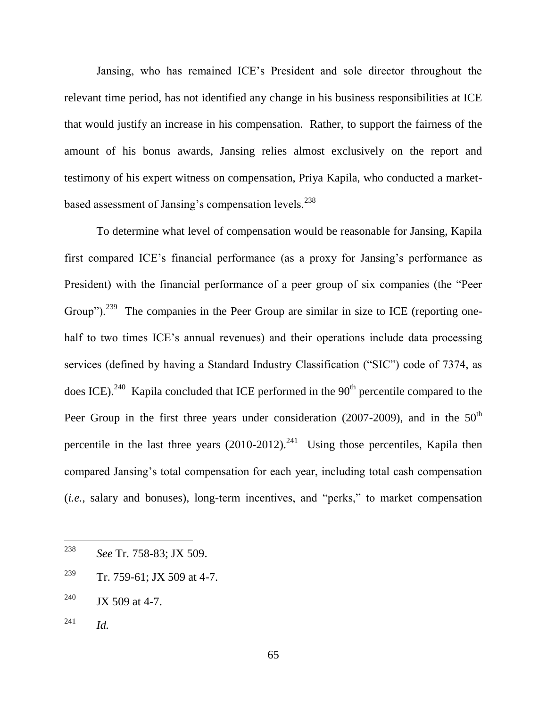Jansing, who has remained ICE's President and sole director throughout the relevant time period, has not identified any change in his business responsibilities at ICE that would justify an increase in his compensation. Rather, to support the fairness of the amount of his bonus awards, Jansing relies almost exclusively on the report and testimony of his expert witness on compensation, Priya Kapila, who conducted a marketbased assessment of Jansing's compensation levels.<sup>238</sup>

To determine what level of compensation would be reasonable for Jansing, Kapila first compared ICE's financial performance (as a proxy for Jansing's performance as President) with the financial performance of a peer group of six companies (the "Peer Group").<sup>239</sup> The companies in the Peer Group are similar in size to ICE (reporting onehalf to two times ICE's annual revenues) and their operations include data processing services (defined by having a Standard Industry Classification ("SIC") code of 7374, as does ICE).<sup>240</sup> Kapila concluded that ICE performed in the  $90<sup>th</sup>$  percentile compared to the Peer Group in the first three years under consideration (2007-2009), and in the  $50<sup>th</sup>$ percentile in the last three years  $(2010-2012).^{241}$  Using those percentiles, Kapila then compared Jansing's total compensation for each year, including total cash compensation (*i.e.*, salary and bonuses), long-term incentives, and "perks," to market compensation

- <sup>240</sup> JX 509 at 4-7.
- <sup>241</sup> *Id.*

<sup>238</sup> <sup>238</sup> *See* Tr. 758-83; JX 509.

<sup>&</sup>lt;sup>239</sup> Tr. 759-61; JX 509 at 4-7.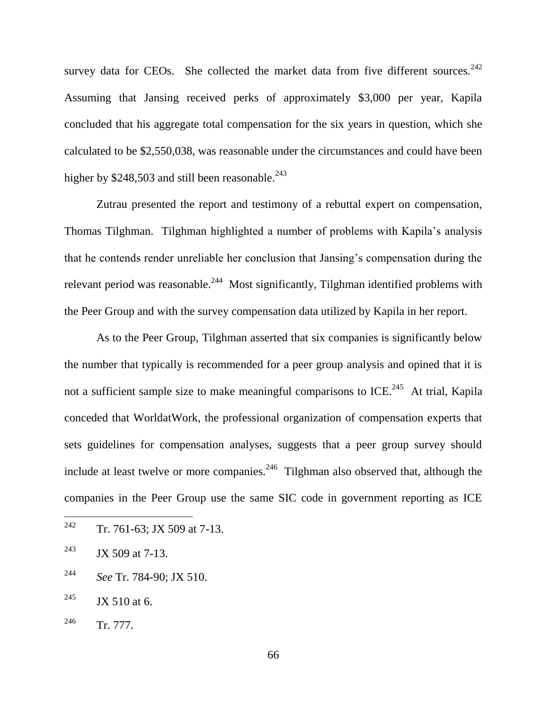survey data for CEOs. She collected the market data from five different sources.<sup>242</sup> Assuming that Jansing received perks of approximately \$3,000 per year, Kapila concluded that his aggregate total compensation for the six years in question, which she calculated to be \$2,550,038, was reasonable under the circumstances and could have been higher by  $$248,503$  and still been reasonable.<sup>243</sup>

Zutrau presented the report and testimony of a rebuttal expert on compensation, Thomas Tilghman. Tilghman highlighted a number of problems with Kapila's analysis that he contends render unreliable her conclusion that Jansing's compensation during the relevant period was reasonable.<sup>244</sup> Most significantly, Tilghman identified problems with the Peer Group and with the survey compensation data utilized by Kapila in her report.

As to the Peer Group, Tilghman asserted that six companies is significantly below the number that typically is recommended for a peer group analysis and opined that it is not a sufficient sample size to make meaningful comparisons to ICE.<sup>245</sup> At trial, Kapila conceded that WorldatWork, the professional organization of compensation experts that sets guidelines for compensation analyses, suggests that a peer group survey should include at least twelve or more companies.<sup>246</sup> Tilghman also observed that, although the companies in the Peer Group use the same SIC code in government reporting as ICE

<sup>242</sup> Tr. 761-63; JX 509 at 7-13.

<sup>&</sup>lt;sup>243</sup> JX 509 at 7-13.

<sup>244</sup> *See* Tr. 784-90; JX 510.

 $245$  JX 510 at 6.

 $246$  Tr. 777.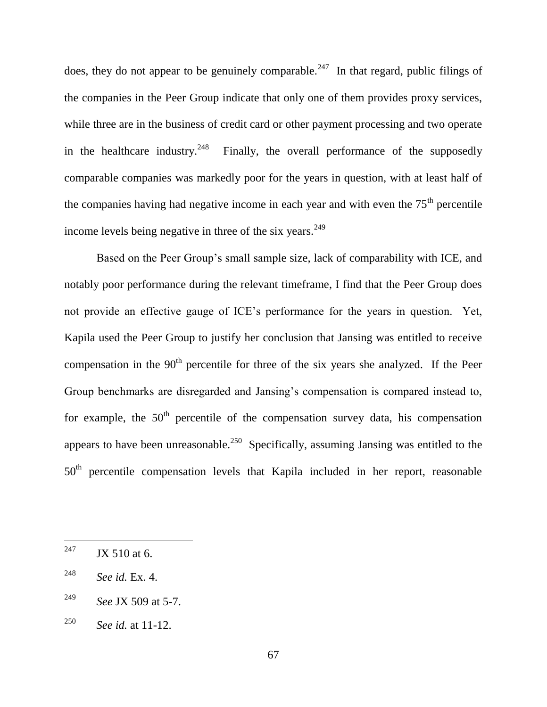does, they do not appear to be genuinely comparable.<sup>247</sup> In that regard, public filings of the companies in the Peer Group indicate that only one of them provides proxy services, while three are in the business of credit card or other payment processing and two operate in the healthcare industry. $248$  Finally, the overall performance of the supposedly comparable companies was markedly poor for the years in question, with at least half of the companies having had negative income in each year and with even the  $75<sup>th</sup>$  percentile income levels being negative in three of the six years.<sup>249</sup>

Based on the Peer Group's small sample size, lack of comparability with ICE, and notably poor performance during the relevant timeframe, I find that the Peer Group does not provide an effective gauge of ICE's performance for the years in question. Yet, Kapila used the Peer Group to justify her conclusion that Jansing was entitled to receive compensation in the  $90<sup>th</sup>$  percentile for three of the six years she analyzed. If the Peer Group benchmarks are disregarded and Jansing's compensation is compared instead to, for example, the  $50<sup>th</sup>$  percentile of the compensation survey data, his compensation appears to have been unreasonable.<sup>250</sup> Specifically, assuming Jansing was entitled to the 50<sup>th</sup> percentile compensation levels that Kapila included in her report, reasonable

<sup>247</sup>  $JX$  510 at 6.

<sup>248</sup> *See id.* Ex. 4.

<sup>249</sup> *See* JX 509 at 5-7.

<sup>250</sup> *See id.* at 11-12.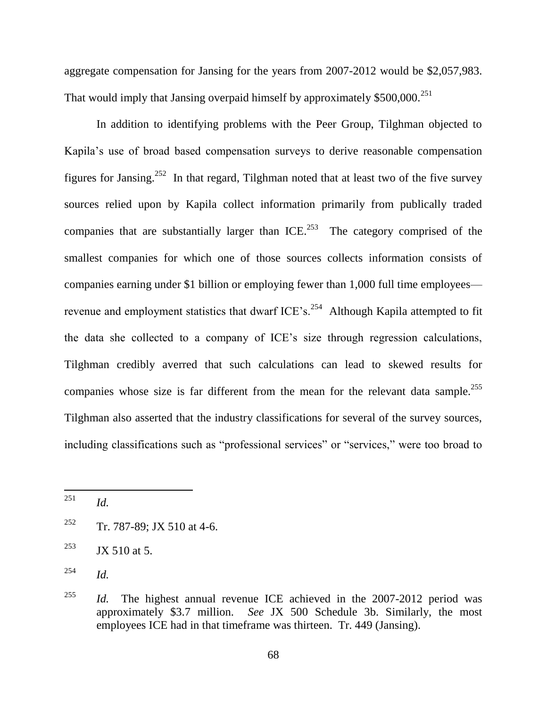aggregate compensation for Jansing for the years from 2007-2012 would be \$2,057,983. That would imply that Jansing overpaid himself by approximately  $$500,000.<sup>251</sup>$ 

In addition to identifying problems with the Peer Group, Tilghman objected to Kapila's use of broad based compensation surveys to derive reasonable compensation figures for Jansing.<sup>252</sup> In that regard, Tilghman noted that at least two of the five survey sources relied upon by Kapila collect information primarily from publically traded companies that are substantially larger than  $ICE$ <sup>253</sup>. The category comprised of the smallest companies for which one of those sources collects information consists of companies earning under \$1 billion or employing fewer than 1,000 full time employees revenue and employment statistics that dwarf ICE's.<sup>254</sup> Although Kapila attempted to fit the data she collected to a company of ICE's size through regression calculations, Tilghman credibly averred that such calculations can lead to skewed results for companies whose size is far different from the mean for the relevant data sample.<sup>255</sup> Tilghman also asserted that the industry classifications for several of the survey sources, including classifications such as "professional services" or "services," were too broad to

<sup>251</sup> <sup>251</sup> *Id.*

<sup>&</sup>lt;sup>252</sup> Tr. 787-89; JX 510 at 4-6.

<sup>&</sup>lt;sup>253</sup> JX 510 at 5.

<sup>254</sup> *Id.*

<sup>&</sup>lt;sup>255</sup> *Id.* The highest annual revenue ICE achieved in the 2007-2012 period was approximately \$3.7 million. *See* JX 500 Schedule 3b. Similarly, the most employees ICE had in that timeframe was thirteen. Tr. 449 (Jansing).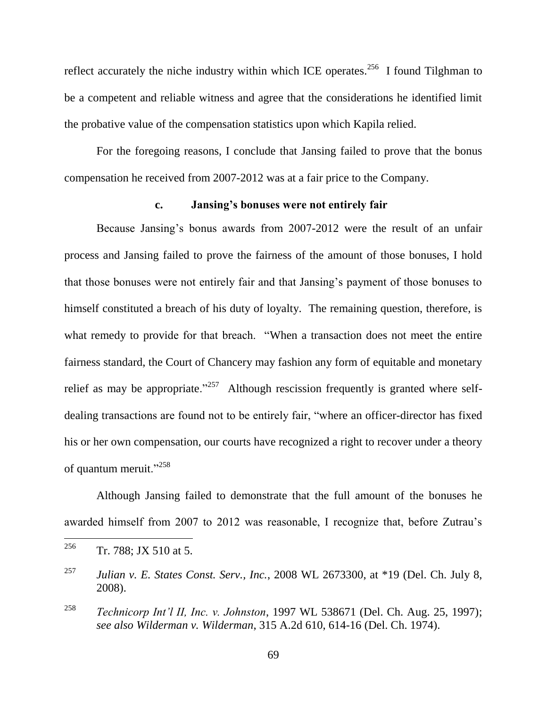reflect accurately the niche industry within which ICE operates.<sup>256</sup> I found Tilghman to be a competent and reliable witness and agree that the considerations he identified limit the probative value of the compensation statistics upon which Kapila relied.

For the foregoing reasons, I conclude that Jansing failed to prove that the bonus compensation he received from 2007-2012 was at a fair price to the Company.

#### **c. Jansing's bonuses were not entirely fair**

Because Jansing's bonus awards from 2007-2012 were the result of an unfair process and Jansing failed to prove the fairness of the amount of those bonuses, I hold that those bonuses were not entirely fair and that Jansing's payment of those bonuses to himself constituted a breach of his duty of loyalty. The remaining question, therefore, is what remedy to provide for that breach. "When a transaction does not meet the entire fairness standard, the Court of Chancery may fashion any form of equitable and monetary relief as may be appropriate."<sup>257</sup> Although rescission frequently is granted where selfdealing transactions are found not to be entirely fair, "where an officer-director has fixed his or her own compensation, our courts have recognized a right to recover under a theory of quantum meruit." $258$ 

Although Jansing failed to demonstrate that the full amount of the bonuses he awarded himself from 2007 to 2012 was reasonable, I recognize that, before Zutrau's

<sup>&</sup>lt;sup>256</sup> Tr. 788; JX 510 at 5.

<sup>257</sup> *Julian v. E. States Const. Serv., Inc.*, 2008 WL 2673300, at \*19 (Del. Ch. July 8, 2008).

<sup>258</sup> *Technicorp Int'l II, Inc. v. Johnston*, 1997 WL 538671 (Del. Ch. Aug. 25, 1997); *see also Wilderman v. Wilderman*, 315 A.2d 610, 614-16 (Del. Ch. 1974).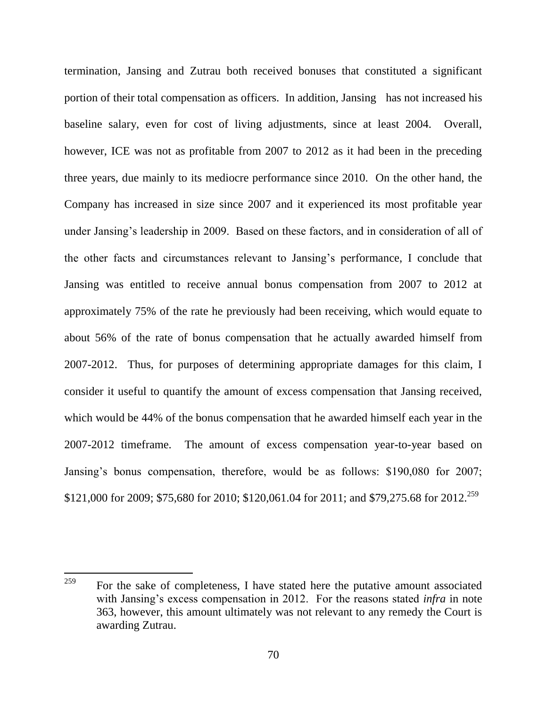termination, Jansing and Zutrau both received bonuses that constituted a significant portion of their total compensation as officers. In addition, Jansing has not increased his baseline salary, even for cost of living adjustments, since at least 2004. Overall, however, ICE was not as profitable from 2007 to 2012 as it had been in the preceding three years, due mainly to its mediocre performance since 2010. On the other hand, the Company has increased in size since 2007 and it experienced its most profitable year under Jansing's leadership in 2009. Based on these factors, and in consideration of all of the other facts and circumstances relevant to Jansing's performance, I conclude that Jansing was entitled to receive annual bonus compensation from 2007 to 2012 at approximately 75% of the rate he previously had been receiving, which would equate to about 56% of the rate of bonus compensation that he actually awarded himself from 2007-2012. Thus, for purposes of determining appropriate damages for this claim, I consider it useful to quantify the amount of excess compensation that Jansing received, which would be 44% of the bonus compensation that he awarded himself each year in the 2007-2012 timeframe. The amount of excess compensation year-to-year based on Jansing's bonus compensation, therefore, would be as follows: \$190,080 for 2007; \$121,000 for 2009; \$75,680 for 2010; \$120,061.04 for 2011; and \$79,275.68 for 2012.<sup>259</sup>

<sup>259</sup> For the sake of completeness, I have stated here the putative amount associated with Jansing's excess compensation in 2012. For the reasons stated *infra* in note [363,](#page-103-0) however, this amount ultimately was not relevant to any remedy the Court is awarding Zutrau.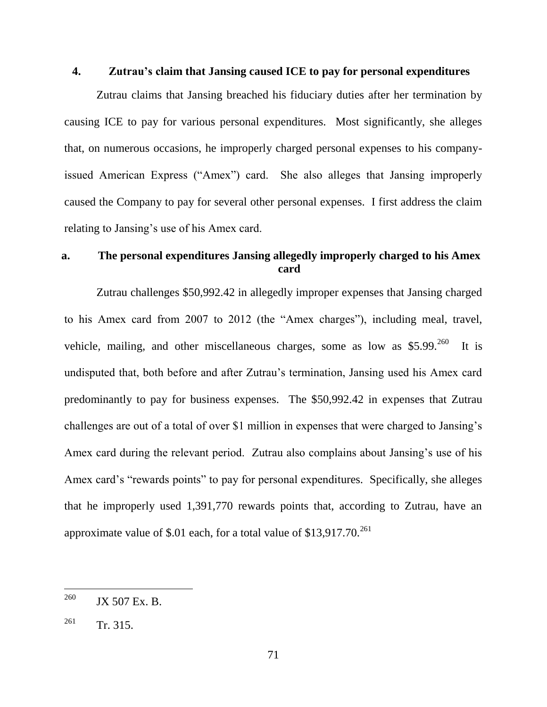### **4. Zutrau's claim that Jansing caused ICE to pay for personal expenditures**

Zutrau claims that Jansing breached his fiduciary duties after her termination by causing ICE to pay for various personal expenditures. Most significantly, she alleges that, on numerous occasions, he improperly charged personal expenses to his companyissued American Express ("Amex") card. She also alleges that Jansing improperly caused the Company to pay for several other personal expenses. I first address the claim relating to Jansing's use of his Amex card.

# **a. The personal expenditures Jansing allegedly improperly charged to his Amex card**

Zutrau challenges \$50,992.42 in allegedly improper expenses that Jansing charged to his Amex card from 2007 to 2012 (the "Amex charges"), including meal, travel, vehicle, mailing, and other miscellaneous charges, some as low as  $$5.99$ <sup>260</sup> It is undisputed that, both before and after Zutrau's termination, Jansing used his Amex card predominantly to pay for business expenses. The \$50,992.42 in expenses that Zutrau challenges are out of a total of over \$1 million in expenses that were charged to Jansing's Amex card during the relevant period. Zutrau also complains about Jansing's use of his Amex card's "rewards points" to pay for personal expenditures. Specifically, she alleges that he improperly used 1,391,770 rewards points that, according to Zutrau, have an approximate value of \$.01 each, for a total value of  $$13,917.70$ <sup>261</sup>

 $\overline{a}$ 

 $^{260}$  JX 507 Ex. B.

 $^{261}$  Tr. 315.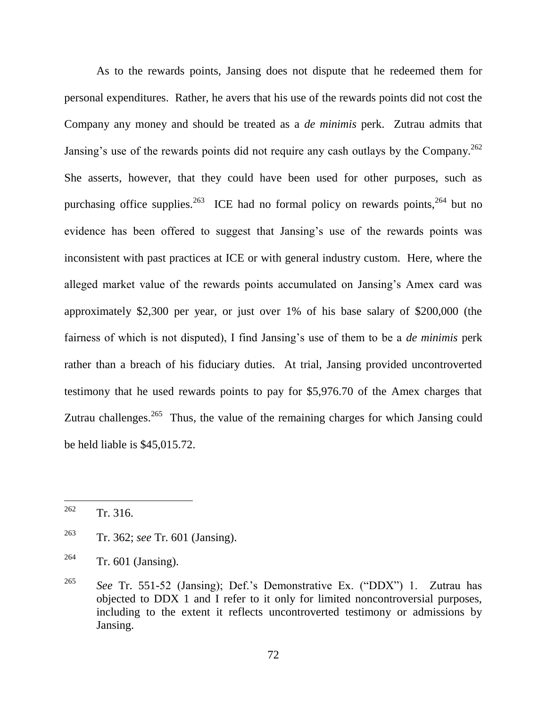As to the rewards points, Jansing does not dispute that he redeemed them for personal expenditures. Rather, he avers that his use of the rewards points did not cost the Company any money and should be treated as a *de minimis* perk. Zutrau admits that Jansing's use of the rewards points did not require any cash outlays by the Company.<sup>262</sup> She asserts, however, that they could have been used for other purposes, such as purchasing office supplies.<sup>263</sup> ICE had no formal policy on rewards points,<sup>264</sup> but no evidence has been offered to suggest that Jansing's use of the rewards points was inconsistent with past practices at ICE or with general industry custom. Here, where the alleged market value of the rewards points accumulated on Jansing's Amex card was approximately \$2,300 per year, or just over 1% of his base salary of \$200,000 (the fairness of which is not disputed), I find Jansing's use of them to be a *de minimis* perk rather than a breach of his fiduciary duties. At trial, Jansing provided uncontroverted testimony that he used rewards points to pay for \$5,976.70 of the Amex charges that Zutrau challenges.<sup>265</sup> Thus, the value of the remaining charges for which Jansing could be held liable is \$45,015.72.

<span id="page-72-0"></span>

 $262$  Tr. 316.

<sup>263</sup> Tr. 362; *see* Tr. 601 (Jansing).

 $264$  Tr. 601 (Jansing).

<sup>&</sup>lt;sup>265</sup> *See* Tr. 551-52 (Jansing); Def.'s Demonstrative Ex. ("DDX") 1. Zutrau has objected to DDX 1 and I refer to it only for limited noncontroversial purposes, including to the extent it reflects uncontroverted testimony or admissions by Jansing.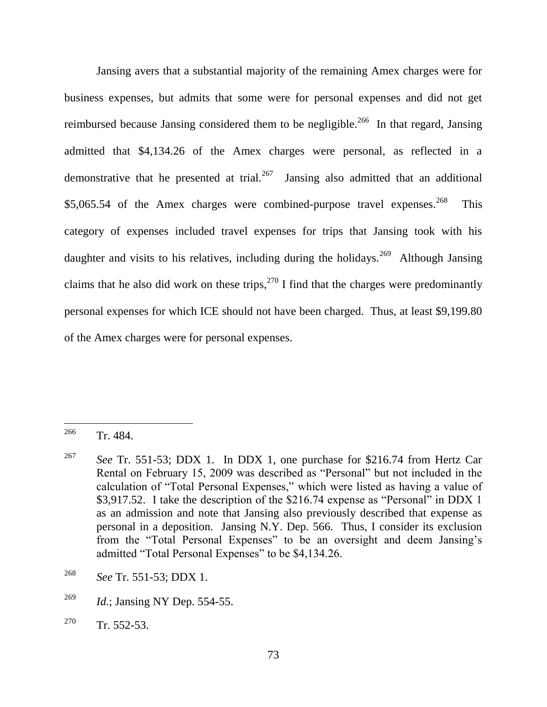Jansing avers that a substantial majority of the remaining Amex charges were for business expenses, but admits that some were for personal expenses and did not get reimbursed because Jansing considered them to be negligible.<sup>266</sup> In that regard, Jansing admitted that \$4,134.26 of the Amex charges were personal, as reflected in a demonstrative that he presented at trial. $267$  Jansing also admitted that an additional \$5,065.54 of the Amex charges were combined-purpose travel expenses.<sup>268</sup> This category of expenses included travel expenses for trips that Jansing took with his daughter and visits to his relatives, including during the holidays.<sup>269</sup> Although Jansing claims that he also did work on these trips,  $270$  I find that the charges were predominantly personal expenses for which ICE should not have been charged. Thus, at least \$9,199.80 of the Amex charges were for personal expenses.

<sup>266</sup> Tr. 484.

<sup>267</sup> *See* Tr. 551-53; DDX 1. In DDX 1, one purchase for \$216.74 from Hertz Car Rental on February 15, 2009 was described as "Personal" but not included in the calculation of "Total Personal Expenses," which were listed as having a value of \$3,917.52. I take the description of the  $$216.74$  expense as "Personal" in DDX 1 as an admission and note that Jansing also previously described that expense as personal in a deposition. Jansing N.Y. Dep. 566. Thus, I consider its exclusion from the "Total Personal Expenses" to be an oversight and deem Jansing's admitted "Total Personal Expenses" to be \$4,134.26.

<sup>268</sup> *See* Tr. 551-53; DDX 1.

<sup>269</sup> *Id.*; Jansing NY Dep. 554-55.

<sup>&</sup>lt;sup>270</sup> Tr. 552-53.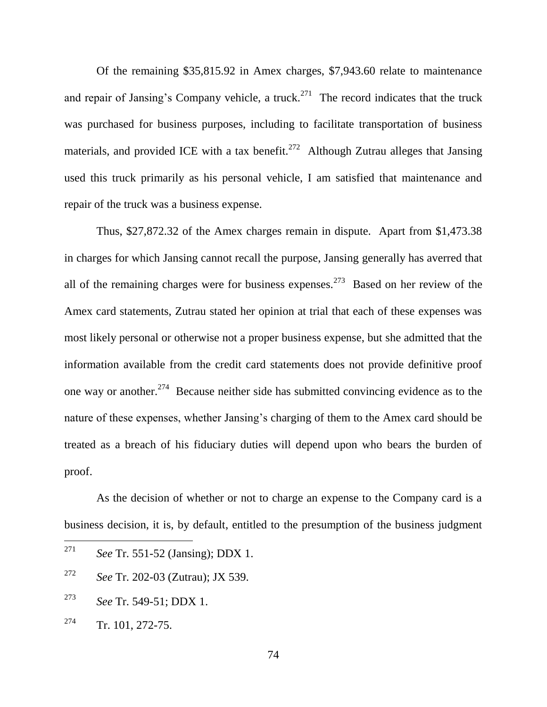Of the remaining \$35,815.92 in Amex charges, \$7,943.60 relate to maintenance and repair of Jansing's Company vehicle, a truck.<sup>271</sup> The record indicates that the truck was purchased for business purposes, including to facilitate transportation of business materials, and provided ICE with a tax benefit.<sup>272</sup> Although Zutrau alleges that Jansing used this truck primarily as his personal vehicle, I am satisfied that maintenance and repair of the truck was a business expense.

Thus, \$27,872.32 of the Amex charges remain in dispute. Apart from \$1,473.38 in charges for which Jansing cannot recall the purpose, Jansing generally has averred that all of the remaining charges were for business expenses.<sup>273</sup> Based on her review of the Amex card statements, Zutrau stated her opinion at trial that each of these expenses was most likely personal or otherwise not a proper business expense, but she admitted that the information available from the credit card statements does not provide definitive proof one way or another.<sup>274</sup> Because neither side has submitted convincing evidence as to the nature of these expenses, whether Jansing's charging of them to the Amex card should be treated as a breach of his fiduciary duties will depend upon who bears the burden of proof.

As the decision of whether or not to charge an expense to the Company card is a business decision, it is, by default, entitled to the presumption of the business judgment

- <sup>272</sup> *See* Tr. 202-03 (Zutrau); JX 539.
- <sup>273</sup> *See* Tr. 549-51; DDX 1.
- $274$  Tr. 101, 272-75.

<sup>271</sup> *See* Tr. 551-52 (Jansing); DDX 1.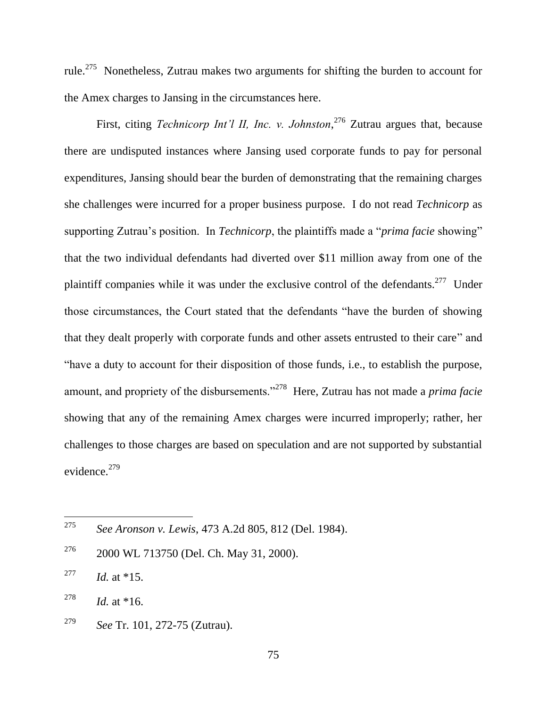rule.<sup>275</sup> Nonetheless, Zutrau makes two arguments for shifting the burden to account for the Amex charges to Jansing in the circumstances here.

First, citing *Technicorp Int'l II, Inc. v. Johnston*, <sup>276</sup> Zutrau argues that, because there are undisputed instances where Jansing used corporate funds to pay for personal expenditures, Jansing should bear the burden of demonstrating that the remaining charges she challenges were incurred for a proper business purpose. I do not read *Technicorp* as supporting Zutrau's position. In *Technicorp*, the plaintiffs made a "*prima facie* showing" that the two individual defendants had diverted over \$11 million away from one of the plaintiff companies while it was under the exclusive control of the defendants.<sup>277</sup> Under those circumstances, the Court stated that the defendants "have the burden of showing that they dealt properly with corporate funds and other assets entrusted to their care" and ―have a duty to account for their disposition of those funds, i.e., to establish the purpose, amount, and propriety of the disbursements."<sup>278</sup> Here, Zutrau has not made a *prima facie* showing that any of the remaining Amex charges were incurred improperly; rather, her challenges to those charges are based on speculation and are not supported by substantial evidence. $279$ 

<sup>275</sup> <sup>275</sup> *See Aronson v. Lewis*, 473 A.2d 805, 812 (Del. 1984).

 $276$  2000 WL 713750 (Del. Ch. May 31, 2000).

<sup>&</sup>lt;sup>277</sup> *Id.* at \*15.

<sup>&</sup>lt;sup>278</sup> *Id.* at \*16.

<sup>279</sup> *See* Tr. 101, 272-75 (Zutrau).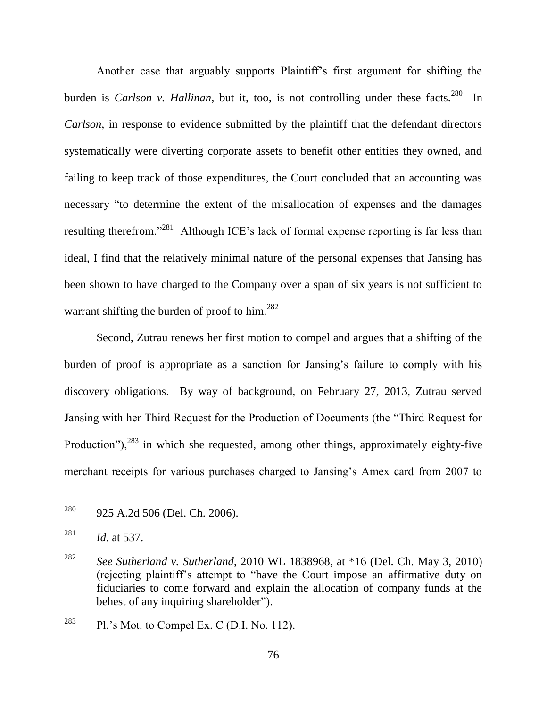Another case that arguably supports Plaintiff's first argument for shifting the burden is *Carlson v. Hallinan*, but it, too, is not controlling under these facts.<sup>280</sup> In *Carlson*, in response to evidence submitted by the plaintiff that the defendant directors systematically were diverting corporate assets to benefit other entities they owned, and failing to keep track of those expenditures, the Court concluded that an accounting was necessary "to determine the extent of the misallocation of expenses and the damages resulting therefrom."<sup>281</sup> Although ICE's lack of formal expense reporting is far less than ideal, I find that the relatively minimal nature of the personal expenses that Jansing has been shown to have charged to the Company over a span of six years is not sufficient to warrant shifting the burden of proof to him.<sup>282</sup>

Second, Zutrau renews her first motion to compel and argues that a shifting of the burden of proof is appropriate as a sanction for Jansing's failure to comply with his discovery obligations. By way of background, on February 27, 2013, Zutrau served Jansing with her Third Request for the Production of Documents (the "Third Request for Production"), $^{283}$  in which she requested, among other things, approximately eighty-five merchant receipts for various purchases charged to Jansing's Amex card from 2007 to

<sup>280</sup> 925 A.2d 506 (Del. Ch. 2006).

<sup>281</sup> *Id.* at 537.

<sup>282</sup> *See Sutherland v. Sutherland*, 2010 WL 1838968, at \*16 (Del. Ch. May 3, 2010) (rejecting plaintiff's attempt to "have the Court impose an affirmative duty on fiduciaries to come forward and explain the allocation of company funds at the behest of any inquiring shareholder".

 $283$  Pl.'s Mot. to Compel Ex. C (D.I. No. 112).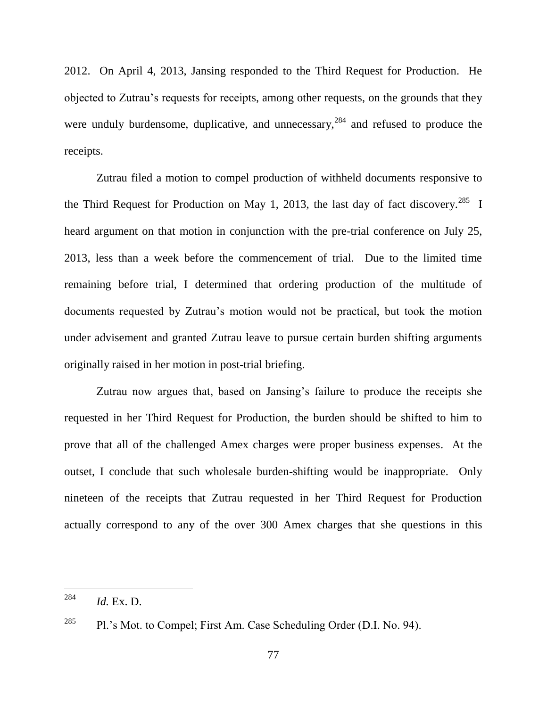2012. On April 4, 2013, Jansing responded to the Third Request for Production. He objected to Zutrau's requests for receipts, among other requests, on the grounds that they were unduly burdensome, duplicative, and unnecessary,  $284$  and refused to produce the receipts.

Zutrau filed a motion to compel production of withheld documents responsive to the Third Request for Production on May 1, 2013, the last day of fact discovery.<sup>285</sup> I heard argument on that motion in conjunction with the pre-trial conference on July 25, 2013, less than a week before the commencement of trial. Due to the limited time remaining before trial, I determined that ordering production of the multitude of documents requested by Zutrau's motion would not be practical, but took the motion under advisement and granted Zutrau leave to pursue certain burden shifting arguments originally raised in her motion in post-trial briefing.

Zutrau now argues that, based on Jansing's failure to produce the receipts she requested in her Third Request for Production, the burden should be shifted to him to prove that all of the challenged Amex charges were proper business expenses. At the outset, I conclude that such wholesale burden-shifting would be inappropriate. Only nineteen of the receipts that Zutrau requested in her Third Request for Production actually correspond to any of the over 300 Amex charges that she questions in this

 $^{284}$  *Id.* Ex. D.

<sup>&</sup>lt;sup>285</sup> Pl.'s Mot. to Compel; First Am. Case Scheduling Order (D.I. No. 94).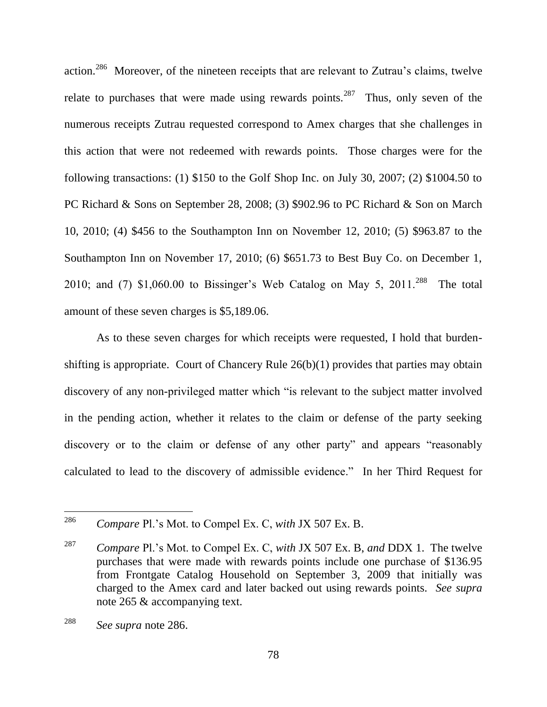<span id="page-78-0"></span>action.<sup>286</sup> Moreover, of the nineteen receipts that are relevant to Zutrau's claims, twelve relate to purchases that were made using rewards points.<sup>287</sup> Thus, only seven of the numerous receipts Zutrau requested correspond to Amex charges that she challenges in this action that were not redeemed with rewards points. Those charges were for the following transactions: (1) \$150 to the Golf Shop Inc. on July 30, 2007; (2) \$1004.50 to PC Richard & Sons on September 28, 2008; (3) \$902.96 to PC Richard & Son on March 10, 2010; (4) \$456 to the Southampton Inn on November 12, 2010; (5) \$963.87 to the Southampton Inn on November 17, 2010; (6) \$651.73 to Best Buy Co. on December 1, 2010; and (7)  $$1,060.00$  to Bissinger's Web Catalog on May 5, 2011.<sup>288</sup> The total amount of these seven charges is \$5,189.06.

As to these seven charges for which receipts were requested, I hold that burdenshifting is appropriate. Court of Chancery Rule 26(b)(1) provides that parties may obtain discovery of any non-privileged matter which "is relevant to the subject matter involved in the pending action, whether it relates to the claim or defense of the party seeking discovery or to the claim or defense of any other party" and appears "reasonably calculated to lead to the discovery of admissible evidence." In her Third Request for

<sup>286</sup> <sup>286</sup> *Compare* Pl.'s Mot. to Compel Ex. C, *with* JX 507 Ex. B.

<sup>287</sup> *Compare* Pl.'s Mot. to Compel Ex. C, *with* JX 507 Ex. B, *and* DDX 1. The twelve purchases that were made with rewards points include one purchase of \$136.95 from Frontgate Catalog Household on September 3, 2009 that initially was charged to the Amex card and later backed out using rewards points. *See supra* note [265](#page-72-0) & accompanying text.

<sup>288</sup> *See supra* note [286.](#page-78-0)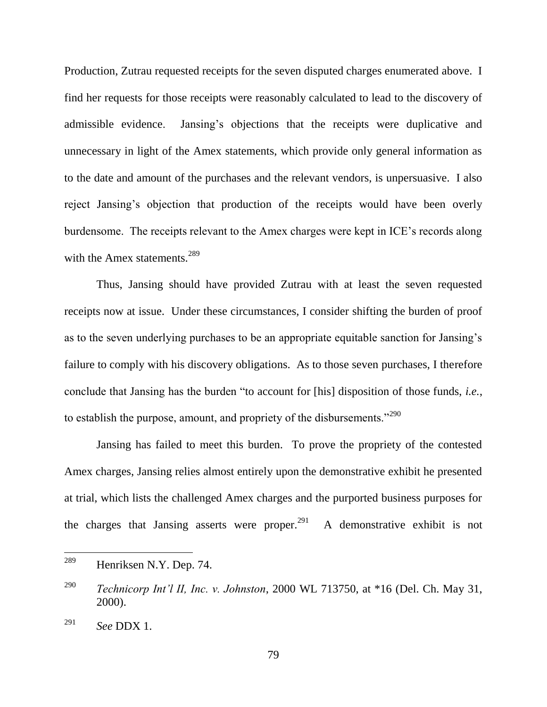Production, Zutrau requested receipts for the seven disputed charges enumerated above. I find her requests for those receipts were reasonably calculated to lead to the discovery of admissible evidence. Jansing's objections that the receipts were duplicative and unnecessary in light of the Amex statements, which provide only general information as to the date and amount of the purchases and the relevant vendors, is unpersuasive. I also reject Jansing's objection that production of the receipts would have been overly burdensome. The receipts relevant to the Amex charges were kept in ICE's records along with the Amex statements.<sup>289</sup>

Thus, Jansing should have provided Zutrau with at least the seven requested receipts now at issue. Under these circumstances, I consider shifting the burden of proof as to the seven underlying purchases to be an appropriate equitable sanction for Jansing's failure to comply with his discovery obligations. As to those seven purchases, I therefore conclude that Jansing has the burden "to account for [his] disposition of those funds, *i.e.*, to establish the purpose, amount, and propriety of the disbursements. $1290$ 

Jansing has failed to meet this burden. To prove the propriety of the contested Amex charges, Jansing relies almost entirely upon the demonstrative exhibit he presented at trial, which lists the challenged Amex charges and the purported business purposes for the charges that Jansing asserts were proper.<sup>291</sup> A demonstrative exhibit is not

<sup>289</sup> Henriksen N.Y. Dep. 74.

<sup>290</sup> *Technicorp Int'l II, Inc. v. Johnston*, 2000 WL 713750, at \*16 (Del. Ch. May 31, 2000).

<sup>291</sup> *See* DDX 1.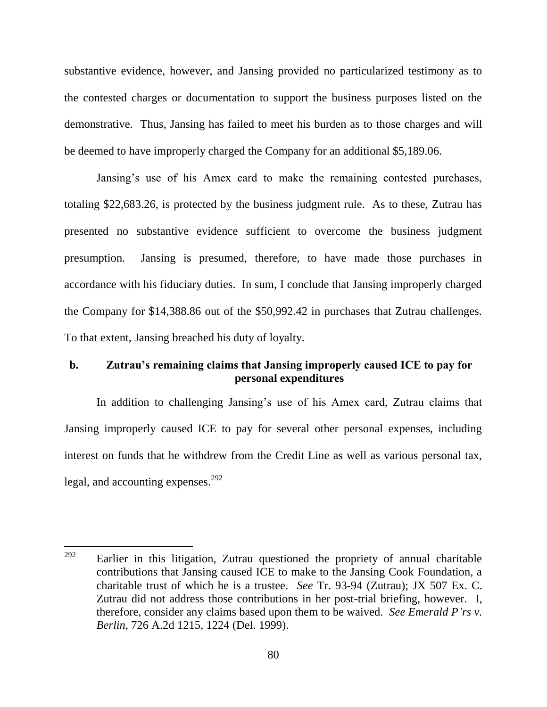substantive evidence, however, and Jansing provided no particularized testimony as to the contested charges or documentation to support the business purposes listed on the demonstrative. Thus, Jansing has failed to meet his burden as to those charges and will be deemed to have improperly charged the Company for an additional \$5,189.06.

Jansing's use of his Amex card to make the remaining contested purchases, totaling \$22,683.26, is protected by the business judgment rule. As to these, Zutrau has presented no substantive evidence sufficient to overcome the business judgment presumption. Jansing is presumed, therefore, to have made those purchases in accordance with his fiduciary duties. In sum, I conclude that Jansing improperly charged the Company for \$14,388.86 out of the \$50,992.42 in purchases that Zutrau challenges. To that extent, Jansing breached his duty of loyalty.

# **b. Zutrau's remaining claims that Jansing improperly caused ICE to pay for personal expenditures**

In addition to challenging Jansing's use of his Amex card, Zutrau claims that Jansing improperly caused ICE to pay for several other personal expenses, including interest on funds that he withdrew from the Credit Line as well as various personal tax, legal, and accounting expenses. $^{292}$ 

<sup>292</sup> Earlier in this litigation, Zutrau questioned the propriety of annual charitable contributions that Jansing caused ICE to make to the Jansing Cook Foundation, a charitable trust of which he is a trustee. *See* Tr. 93-94 (Zutrau); JX 507 Ex. C. Zutrau did not address those contributions in her post-trial briefing, however. I, therefore, consider any claims based upon them to be waived. *See Emerald P'rs v. Berlin*, 726 A.2d 1215, 1224 (Del. 1999).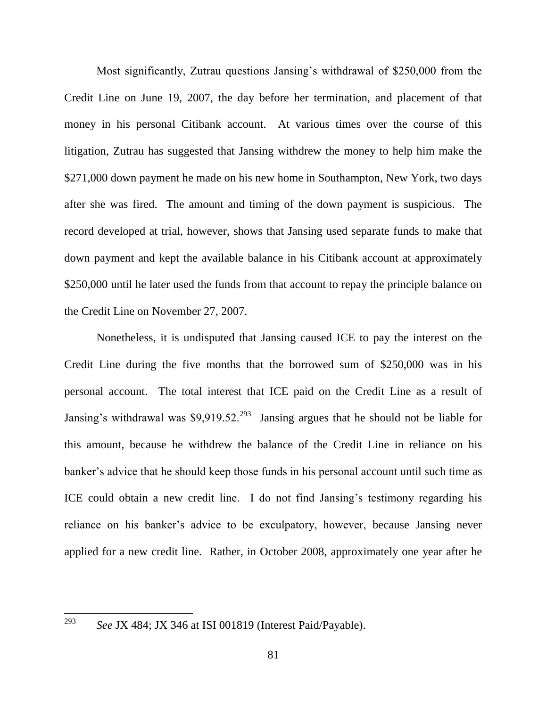Most significantly, Zutrau questions Jansing's withdrawal of \$250,000 from the Credit Line on June 19, 2007, the day before her termination, and placement of that money in his personal Citibank account. At various times over the course of this litigation, Zutrau has suggested that Jansing withdrew the money to help him make the \$271,000 down payment he made on his new home in Southampton, New York, two days after she was fired. The amount and timing of the down payment is suspicious. The record developed at trial, however, shows that Jansing used separate funds to make that down payment and kept the available balance in his Citibank account at approximately \$250,000 until he later used the funds from that account to repay the principle balance on the Credit Line on November 27, 2007.

Nonetheless, it is undisputed that Jansing caused ICE to pay the interest on the Credit Line during the five months that the borrowed sum of \$250,000 was in his personal account. The total interest that ICE paid on the Credit Line as a result of Jansing's withdrawal was  $$9,919.52$ <sup>293</sup> Jansing argues that he should not be liable for this amount, because he withdrew the balance of the Credit Line in reliance on his banker's advice that he should keep those funds in his personal account until such time as ICE could obtain a new credit line. I do not find Jansing's testimony regarding his reliance on his banker's advice to be exculpatory, however, because Jansing never applied for a new credit line. Rather, in October 2008, approximately one year after he

*See* JX 484; JX 346 at ISI 001819 (Interest Paid/Payable).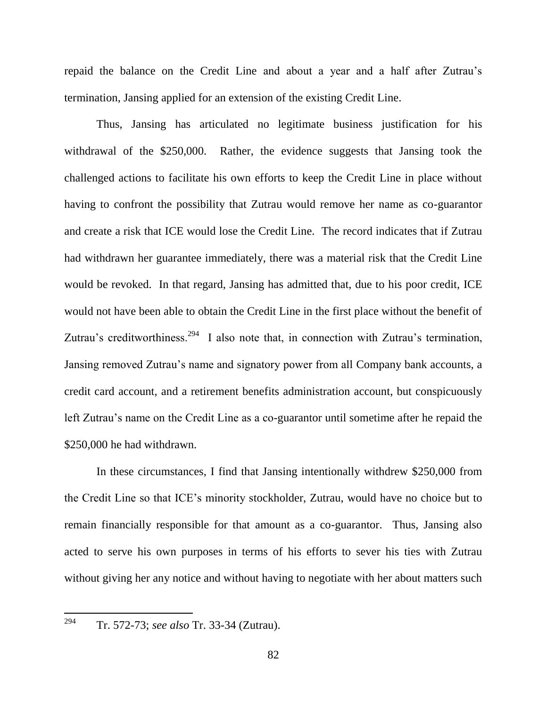repaid the balance on the Credit Line and about a year and a half after Zutrau's termination, Jansing applied for an extension of the existing Credit Line.

Thus, Jansing has articulated no legitimate business justification for his withdrawal of the \$250,000. Rather, the evidence suggests that Jansing took the challenged actions to facilitate his own efforts to keep the Credit Line in place without having to confront the possibility that Zutrau would remove her name as co-guarantor and create a risk that ICE would lose the Credit Line. The record indicates that if Zutrau had withdrawn her guarantee immediately, there was a material risk that the Credit Line would be revoked. In that regard, Jansing has admitted that, due to his poor credit, ICE would not have been able to obtain the Credit Line in the first place without the benefit of Zutrau's creditworthiness.<sup>294</sup> I also note that, in connection with Zutrau's termination, Jansing removed Zutrau's name and signatory power from all Company bank accounts, a credit card account, and a retirement benefits administration account, but conspicuously left Zutrau's name on the Credit Line as a co-guarantor until sometime after he repaid the \$250,000 he had withdrawn.

In these circumstances, I find that Jansing intentionally withdrew \$250,000 from the Credit Line so that ICE's minority stockholder, Zutrau, would have no choice but to remain financially responsible for that amount as a co-guarantor. Thus, Jansing also acted to serve his own purposes in terms of his efforts to sever his ties with Zutrau without giving her any notice and without having to negotiate with her about matters such

<sup>294</sup> Tr. 572-73; *see also* Tr. 33-34 (Zutrau).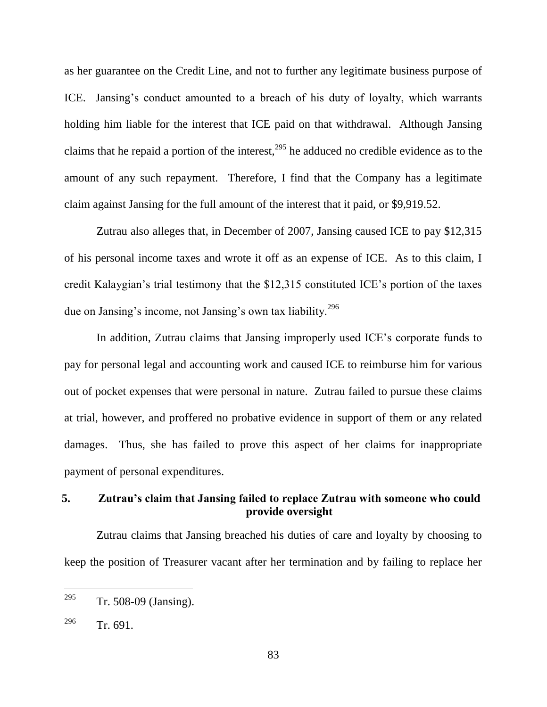as her guarantee on the Credit Line, and not to further any legitimate business purpose of ICE. Jansing's conduct amounted to a breach of his duty of loyalty, which warrants holding him liable for the interest that ICE paid on that withdrawal. Although Jansing claims that he repaid a portion of the interest,  $295$  he adduced no credible evidence as to the amount of any such repayment. Therefore, I find that the Company has a legitimate claim against Jansing for the full amount of the interest that it paid, or \$9,919.52.

Zutrau also alleges that, in December of 2007, Jansing caused ICE to pay \$12,315 of his personal income taxes and wrote it off as an expense of ICE. As to this claim, I credit Kalaygian's trial testimony that the \$12,315 constituted ICE's portion of the taxes due on Jansing's income, not Jansing's own tax liability.<sup>296</sup>

In addition, Zutrau claims that Jansing improperly used ICE's corporate funds to pay for personal legal and accounting work and caused ICE to reimburse him for various out of pocket expenses that were personal in nature. Zutrau failed to pursue these claims at trial, however, and proffered no probative evidence in support of them or any related damages. Thus, she has failed to prove this aspect of her claims for inappropriate payment of personal expenditures.

## **5. Zutrau's claim that Jansing failed to replace Zutrau with someone who could provide oversight**

Zutrau claims that Jansing breached his duties of care and loyalty by choosing to keep the position of Treasurer vacant after her termination and by failing to replace her

<sup>&</sup>lt;sup>295</sup> Tr. 508-09 (Jansing).

 $^{296}$  Tr. 691.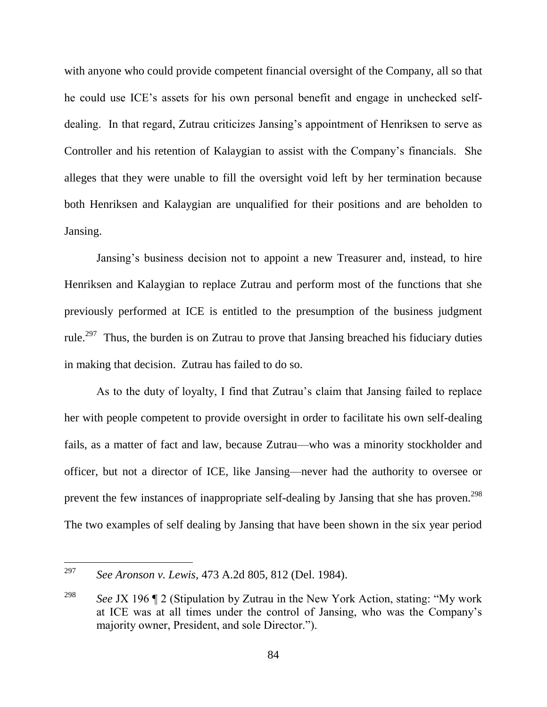with anyone who could provide competent financial oversight of the Company, all so that he could use ICE's assets for his own personal benefit and engage in unchecked selfdealing. In that regard, Zutrau criticizes Jansing's appointment of Henriksen to serve as Controller and his retention of Kalaygian to assist with the Company's financials. She alleges that they were unable to fill the oversight void left by her termination because both Henriksen and Kalaygian are unqualified for their positions and are beholden to Jansing.

Jansing's business decision not to appoint a new Treasurer and, instead, to hire Henriksen and Kalaygian to replace Zutrau and perform most of the functions that she previously performed at ICE is entitled to the presumption of the business judgment rule.<sup>297</sup> Thus, the burden is on Zutrau to prove that Jansing breached his fiduciary duties in making that decision. Zutrau has failed to do so.

As to the duty of loyalty, I find that Zutrau's claim that Jansing failed to replace her with people competent to provide oversight in order to facilitate his own self-dealing fails, as a matter of fact and law, because Zutrau—who was a minority stockholder and officer, but not a director of ICE, like Jansing—never had the authority to oversee or prevent the few instances of inappropriate self-dealing by Jansing that she has proven.<sup>298</sup> The two examples of self dealing by Jansing that have been shown in the six year period

<sup>297</sup> <sup>297</sup> *See Aronson v. Lewis*, 473 A.2d 805, 812 (Del. 1984).

<sup>&</sup>lt;sup>298</sup> *See* JX 196  $\degree$  2 (Stipulation by Zutrau in the New York Action, stating: "My work at ICE was at all times under the control of Jansing, who was the Company's majority owner, President, and sole Director.").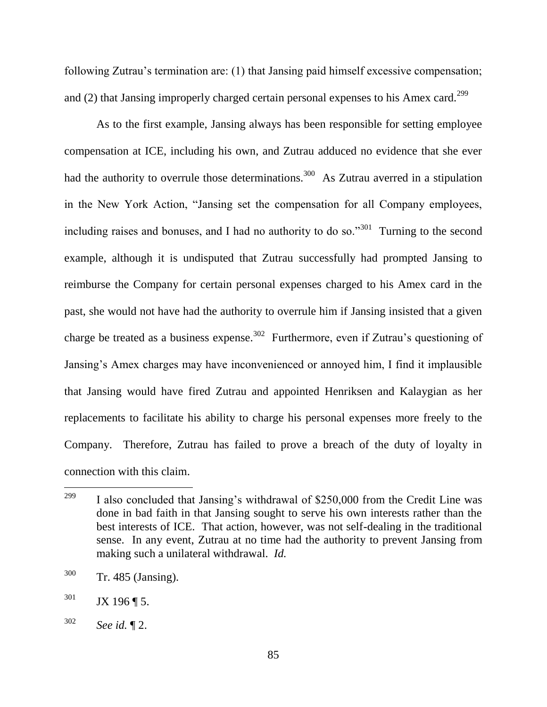following Zutrau's termination are: (1) that Jansing paid himself excessive compensation; and (2) that Jansing improperly charged certain personal expenses to his Amex card.<sup>299</sup>

As to the first example, Jansing always has been responsible for setting employee compensation at ICE, including his own, and Zutrau adduced no evidence that she ever had the authority to overrule those determinations.<sup>300</sup> As Zutrau averred in a stipulation in the New York Action, "Jansing set the compensation for all Company employees, including raises and bonuses, and I had no authority to do so."<sup>301</sup> Turning to the second example, although it is undisputed that Zutrau successfully had prompted Jansing to reimburse the Company for certain personal expenses charged to his Amex card in the past, she would not have had the authority to overrule him if Jansing insisted that a given charge be treated as a business expense.<sup>302</sup> Furthermore, even if Zutrau's questioning of Jansing's Amex charges may have inconvenienced or annoyed him, I find it implausible that Jansing would have fired Zutrau and appointed Henriksen and Kalaygian as her replacements to facilitate his ability to charge his personal expenses more freely to the Company. Therefore, Zutrau has failed to prove a breach of the duty of loyalty in connection with this claim.

<sup>299</sup> I also concluded that Jansing's withdrawal of \$250,000 from the Credit Line was done in bad faith in that Jansing sought to serve his own interests rather than the best interests of ICE. That action, however, was not self-dealing in the traditional sense. In any event, Zutrau at no time had the authority to prevent Jansing from making such a unilateral withdrawal. *Id.*

<sup>300</sup> Tr. 485 (Jansing).

 $301$  JX 196 | 5.

<sup>302</sup> *See id.* ¶ 2.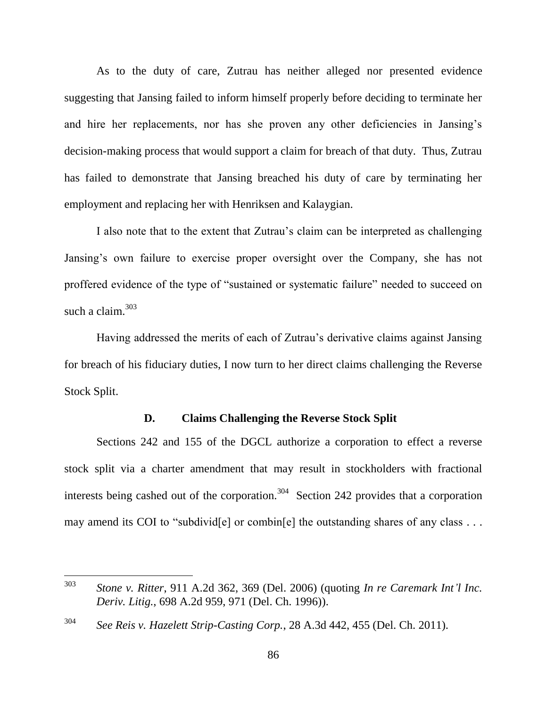As to the duty of care, Zutrau has neither alleged nor presented evidence suggesting that Jansing failed to inform himself properly before deciding to terminate her and hire her replacements, nor has she proven any other deficiencies in Jansing's decision-making process that would support a claim for breach of that duty. Thus, Zutrau has failed to demonstrate that Jansing breached his duty of care by terminating her employment and replacing her with Henriksen and Kalaygian.

I also note that to the extent that Zutrau's claim can be interpreted as challenging Jansing's own failure to exercise proper oversight over the Company, she has not proffered evidence of the type of "sustained or systematic failure" needed to succeed on such a claim. $303$ 

Having addressed the merits of each of Zutrau's derivative claims against Jansing for breach of his fiduciary duties, I now turn to her direct claims challenging the Reverse Stock Split.

### **D. Claims Challenging the Reverse Stock Split**

Sections 242 and 155 of the DGCL authorize a corporation to effect a reverse stock split via a charter amendment that may result in stockholders with fractional interests being cashed out of the corporation.<sup>304</sup> Section 242 provides that a corporation may amend its COI to "subdivid[e] or combin[e] the outstanding shares of any class  $\dots$ 

303 <sup>303</sup> *Stone v. Ritter*, 911 A.2d 362, 369 (Del. 2006) (quoting *In re Caremark Int'l Inc. Deriv. Litig.*, 698 A.2d 959, 971 (Del. Ch. 1996)).

<sup>304</sup> *See Reis v. Hazelett Strip-Casting Corp.*, 28 A.3d 442, 455 (Del. Ch. 2011).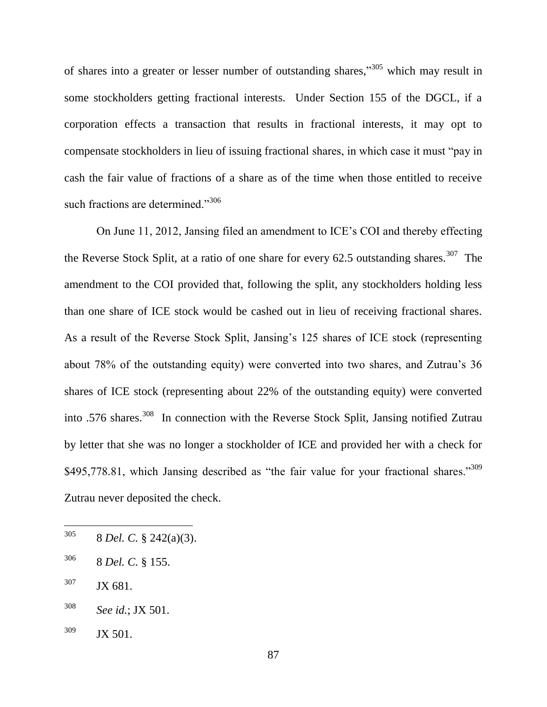of shares into a greater or lesser number of outstanding shares,"<sup>305</sup> which may result in some stockholders getting fractional interests. Under Section 155 of the DGCL, if a corporation effects a transaction that results in fractional interests, it may opt to compensate stockholders in lieu of issuing fractional shares, in which case it must "pay in cash the fair value of fractions of a share as of the time when those entitled to receive such fractions are determined." $306$ 

On June 11, 2012, Jansing filed an amendment to ICE's COI and thereby effecting the Reverse Stock Split, at a ratio of one share for every 62.5 outstanding shares.<sup>307</sup> The amendment to the COI provided that, following the split, any stockholders holding less than one share of ICE stock would be cashed out in lieu of receiving fractional shares. As a result of the Reverse Stock Split, Jansing's 125 shares of ICE stock (representing about 78% of the outstanding equity) were converted into two shares, and Zutrau's 36 shares of ICE stock (representing about 22% of the outstanding equity) were converted into .576 shares.<sup>308</sup> In connection with the Reverse Stock Split, Jansing notified Zutrau by letter that she was no longer a stockholder of ICE and provided her with a check for  $$495,778.81$ , which Jansing described as "the fair value for your fractional shares."<sup>309</sup> Zutrau never deposited the check.

 $307$  JX 681.

<sup>305</sup> <sup>305</sup> 8 *Del. C.* § 242(a)(3).

<sup>306</sup> 8 *Del. C.* § 155.

<sup>308</sup> *See id.*; JX 501.

 $309$  JX 501.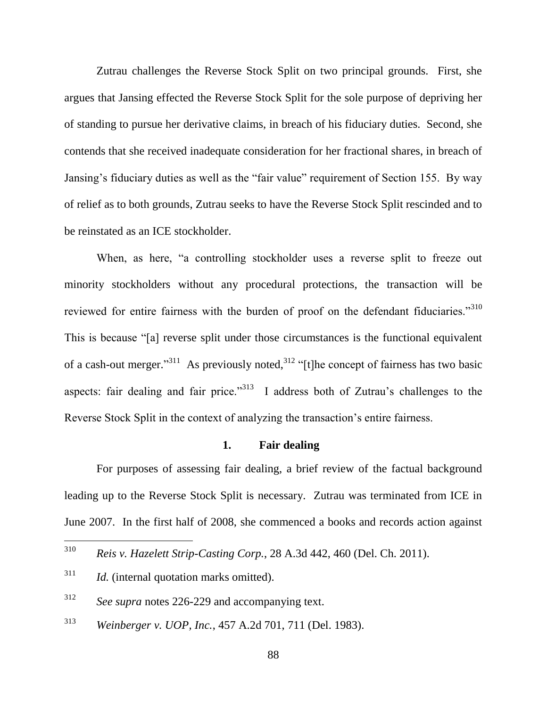Zutrau challenges the Reverse Stock Split on two principal grounds. First, she argues that Jansing effected the Reverse Stock Split for the sole purpose of depriving her of standing to pursue her derivative claims, in breach of his fiduciary duties. Second, she contends that she received inadequate consideration for her fractional shares, in breach of Jansing's fiduciary duties as well as the "fair value" requirement of Section 155. By way of relief as to both grounds, Zutrau seeks to have the Reverse Stock Split rescinded and to be reinstated as an ICE stockholder.

When, as here, "a controlling stockholder uses a reverse split to freeze out minority stockholders without any procedural protections, the transaction will be reviewed for entire fairness with the burden of proof on the defendant fiduciaries."<sup>310</sup> This is because "[a] reverse split under those circumstances is the functional equivalent of a cash-out merger.<sup>311</sup> As previously noted,<sup>312</sup> "[t]he concept of fairness has two basic aspects: fair dealing and fair price.<sup>313</sup> I address both of Zutrau's challenges to the Reverse Stock Split in the context of analyzing the transaction's entire fairness.

### **1. Fair dealing**

For purposes of assessing fair dealing, a brief review of the factual background leading up to the Reverse Stock Split is necessary. Zutrau was terminated from ICE in June 2007. In the first half of 2008, she commenced a books and records action against

<sup>313</sup> *Weinberger v. UOP, Inc.*, 457 A.2d 701, 711 (Del. 1983).

<sup>310</sup> <sup>310</sup> *Reis v. Hazelett Strip-Casting Corp.*, 28 A.3d 442, 460 (Del. Ch. 2011).

<sup>311</sup> *Id.* (internal quotation marks omitted).

<sup>312</sup> *See supra* notes [226-](#page-59-0)[229](#page-59-1) and accompanying text.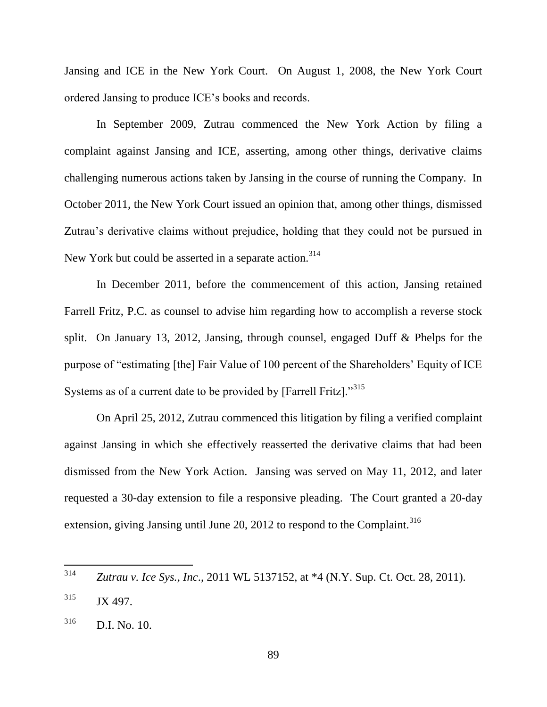Jansing and ICE in the New York Court. On August 1, 2008, the New York Court ordered Jansing to produce ICE's books and records.

In September 2009, Zutrau commenced the New York Action by filing a complaint against Jansing and ICE, asserting, among other things, derivative claims challenging numerous actions taken by Jansing in the course of running the Company. In October 2011, the New York Court issued an opinion that, among other things, dismissed Zutrau's derivative claims without prejudice, holding that they could not be pursued in New York but could be asserted in a separate action.<sup>314</sup>

In December 2011, before the commencement of this action, Jansing retained Farrell Fritz, P.C. as counsel to advise him regarding how to accomplish a reverse stock split. On January 13, 2012, Jansing, through counsel, engaged Duff & Phelps for the purpose of "estimating [the] Fair Value of 100 percent of the Shareholders' Equity of ICE Systems as of a current date to be provided by [Farrell Fritz]. $^{315}$ 

On April 25, 2012, Zutrau commenced this litigation by filing a verified complaint against Jansing in which she effectively reasserted the derivative claims that had been dismissed from the New York Action. Jansing was served on May 11, 2012, and later requested a 30-day extension to file a responsive pleading. The Court granted a 20-day extension, giving Jansing until June 20, 2012 to respond to the Complaint.<sup>316</sup>

<sup>314</sup> <sup>314</sup> *Zutrau v. Ice Sys., Inc*., 2011 WL 5137152, at \*4 (N.Y. Sup. Ct. Oct. 28, 2011).

 $315$  JX 497.

<sup>316</sup> D.I. No. 10.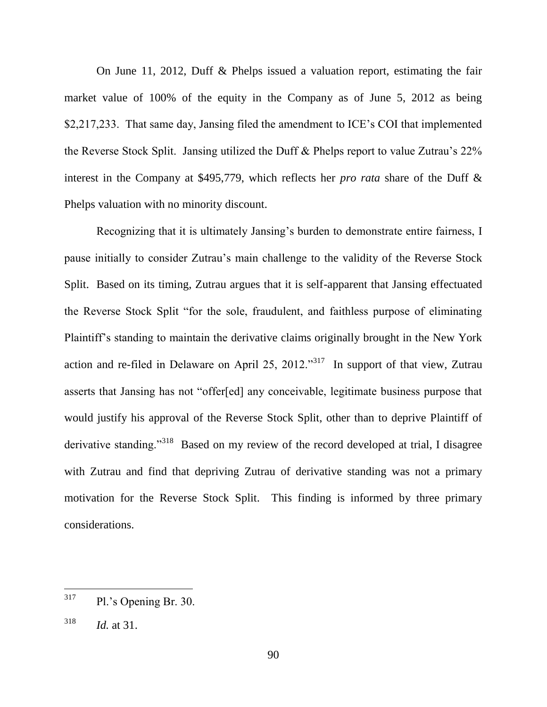On June 11, 2012, Duff & Phelps issued a valuation report, estimating the fair market value of 100% of the equity in the Company as of June 5, 2012 as being \$2,217,233. That same day, Jansing filed the amendment to ICE's COI that implemented the Reverse Stock Split. Jansing utilized the Duff & Phelps report to value Zutrau's 22% interest in the Company at \$495,779, which reflects her *pro rata* share of the Duff & Phelps valuation with no minority discount.

Recognizing that it is ultimately Jansing's burden to demonstrate entire fairness, I pause initially to consider Zutrau's main challenge to the validity of the Reverse Stock Split. Based on its timing, Zutrau argues that it is self-apparent that Jansing effectuated the Reverse Stock Split "for the sole, fraudulent, and faithless purpose of eliminating Plaintiff's standing to maintain the derivative claims originally brought in the New York action and re-filed in Delaware on April 25, 2012. $\frac{317}{10}$  In support of that view, Zutrau asserts that Jansing has not "offer[ed] any conceivable, legitimate business purpose that would justify his approval of the Reverse Stock Split, other than to deprive Plaintiff of derivative standing."<sup>318</sup> Based on my review of the record developed at trial, I disagree with Zutrau and find that depriving Zutrau of derivative standing was not a primary motivation for the Reverse Stock Split. This finding is informed by three primary considerations.

<sup>317</sup> Pl.'s Opening Br. 30.

<sup>318</sup> *Id.* at 31.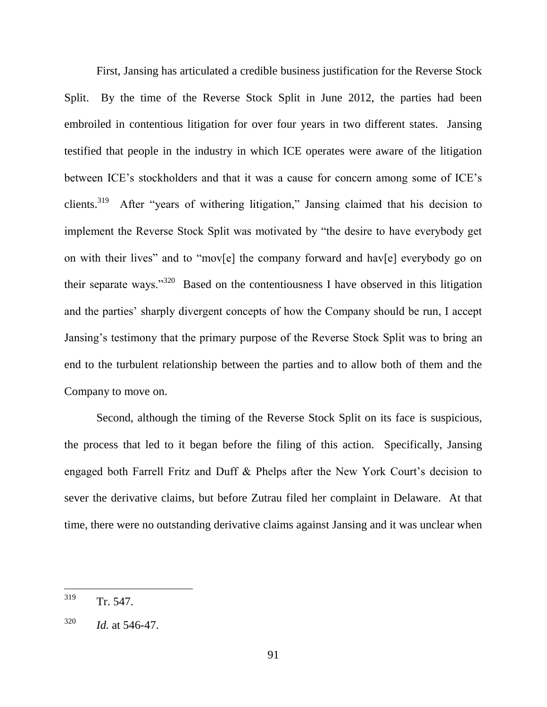First, Jansing has articulated a credible business justification for the Reverse Stock Split. By the time of the Reverse Stock Split in June 2012, the parties had been embroiled in contentious litigation for over four years in two different states. Jansing testified that people in the industry in which ICE operates were aware of the litigation between ICE's stockholders and that it was a cause for concern among some of ICE's clients.<sup>319</sup> After "years of withering litigation," Jansing claimed that his decision to implement the Reverse Stock Split was motivated by "the desire to have everybody get on with their lives" and to "mov[e] the company forward and hav[e] everybody go on their separate ways."<sup>320</sup> Based on the contentiousness I have observed in this litigation and the parties' sharply divergent concepts of how the Company should be run, I accept Jansing's testimony that the primary purpose of the Reverse Stock Split was to bring an end to the turbulent relationship between the parties and to allow both of them and the Company to move on.

Second, although the timing of the Reverse Stock Split on its face is suspicious, the process that led to it began before the filing of this action. Specifically, Jansing engaged both Farrell Fritz and Duff & Phelps after the New York Court's decision to sever the derivative claims, but before Zutrau filed her complaint in Delaware. At that time, there were no outstanding derivative claims against Jansing and it was unclear when

<sup>319</sup> Tr. 547.

 $^{320}$  *Id.* at 546-47.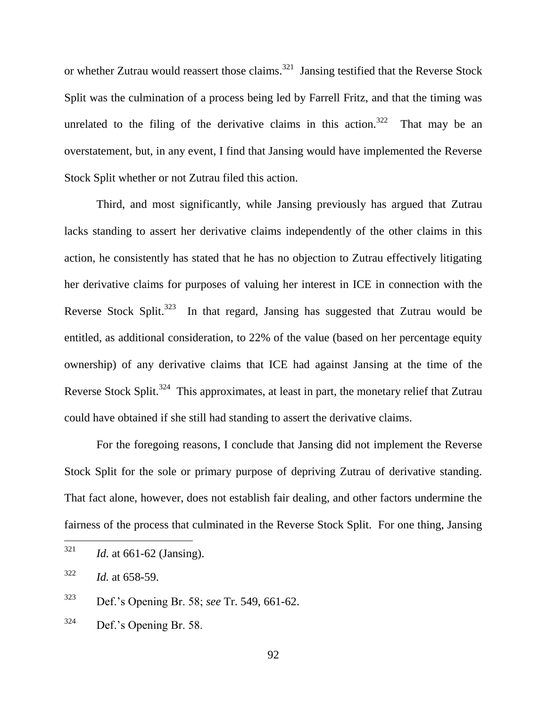or whether Zutrau would reassert those claims.<sup>321</sup> Jansing testified that the Reverse Stock Split was the culmination of a process being led by Farrell Fritz, and that the timing was unrelated to the filing of the derivative claims in this action.<sup>322</sup> That may be an overstatement, but, in any event, I find that Jansing would have implemented the Reverse Stock Split whether or not Zutrau filed this action.

Third, and most significantly, while Jansing previously has argued that Zutrau lacks standing to assert her derivative claims independently of the other claims in this action, he consistently has stated that he has no objection to Zutrau effectively litigating her derivative claims for purposes of valuing her interest in ICE in connection with the Reverse Stock Split.<sup>323</sup> In that regard, Jansing has suggested that Zutrau would be entitled, as additional consideration, to 22% of the value (based on her percentage equity ownership) of any derivative claims that ICE had against Jansing at the time of the Reverse Stock Split.<sup>324</sup> This approximates, at least in part, the monetary relief that Zutrau could have obtained if she still had standing to assert the derivative claims.

For the foregoing reasons, I conclude that Jansing did not implement the Reverse Stock Split for the sole or primary purpose of depriving Zutrau of derivative standing. That fact alone, however, does not establish fair dealing, and other factors undermine the fairness of the process that culminated in the Reverse Stock Split. For one thing, Jansing

 $324$  Def.'s Opening Br. 58.

<sup>321</sup> *Id.* at 661-62 (Jansing).

<sup>322</sup> *Id.* at 658-59.

<sup>323</sup> Def.'s Opening Br. 58; *see* Tr. 549, 661-62.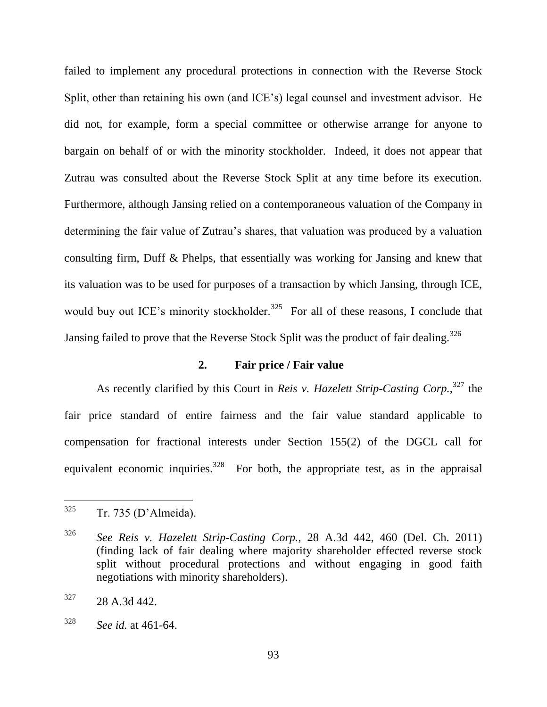failed to implement any procedural protections in connection with the Reverse Stock Split, other than retaining his own (and ICE's) legal counsel and investment advisor. He did not, for example, form a special committee or otherwise arrange for anyone to bargain on behalf of or with the minority stockholder. Indeed, it does not appear that Zutrau was consulted about the Reverse Stock Split at any time before its execution. Furthermore, although Jansing relied on a contemporaneous valuation of the Company in determining the fair value of Zutrau's shares, that valuation was produced by a valuation consulting firm, Duff & Phelps, that essentially was working for Jansing and knew that its valuation was to be used for purposes of a transaction by which Jansing, through ICE, would buy out ICE's minority stockholder.<sup>325</sup> For all of these reasons, I conclude that Jansing failed to prove that the Reverse Stock Split was the product of fair dealing.<sup>326</sup>

## **2. Fair price / Fair value**

As recently clarified by this Court in *Reis v. Hazelett Strip-Casting Corp.*, <sup>327</sup> the fair price standard of entire fairness and the fair value standard applicable to compensation for fractional interests under Section 155(2) of the DGCL call for equivalent economic inquiries.<sup>328</sup> For both, the appropriate test, as in the appraisal

 $325$  Tr. 735 (D'Almeida).

<sup>326</sup> *See Reis v. Hazelett Strip-Casting Corp.*, 28 A.3d 442, 460 (Del. Ch. 2011) (finding lack of fair dealing where majority shareholder effected reverse stock split without procedural protections and without engaging in good faith negotiations with minority shareholders).

 $327$  28 A.3d 442.

<sup>328</sup> *See id.* at 461-64.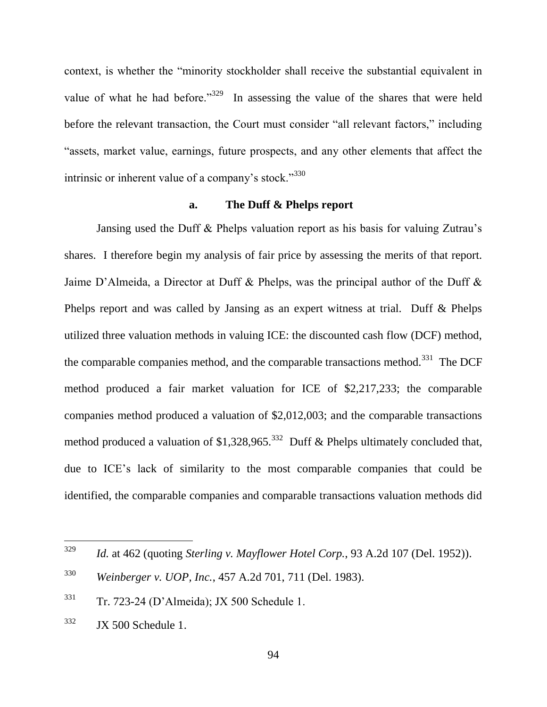context, is whether the "minority stockholder shall receive the substantial equivalent in value of what he had before.<sup>329</sup> In assessing the value of the shares that were held before the relevant transaction, the Court must consider "all relevant factors," including "assets, market value, earnings, future prospects, and any other elements that affect the intrinsic or inherent value of a company's stock. $1330$ 

### **a. The Duff & Phelps report**

Jansing used the Duff & Phelps valuation report as his basis for valuing Zutrau's shares. I therefore begin my analysis of fair price by assessing the merits of that report. Jaime D'Almeida, a Director at Duff & Phelps, was the principal author of the Duff & Phelps report and was called by Jansing as an expert witness at trial. Duff & Phelps utilized three valuation methods in valuing ICE: the discounted cash flow (DCF) method, the comparable companies method, and the comparable transactions method.<sup>331</sup> The DCF method produced a fair market valuation for ICE of \$2,217,233; the comparable companies method produced a valuation of \$2,012,003; and the comparable transactions method produced a valuation of \$1,328,965.<sup>332</sup> Duff & Phelps ultimately concluded that, due to ICE's lack of similarity to the most comparable companies that could be identified, the comparable companies and comparable transactions valuation methods did

<sup>329</sup> *Id.* at 462 (quoting *Sterling v. Mayflower Hotel Corp.*, 93 A.2d 107 (Del. 1952)).

<sup>330</sup> *Weinberger v. UOP, Inc.*, 457 A.2d 701, 711 (Del. 1983).

<sup>331</sup> Tr. 723-24 (D'Almeida); JX 500 Schedule 1.

 $332$  JX 500 Schedule 1.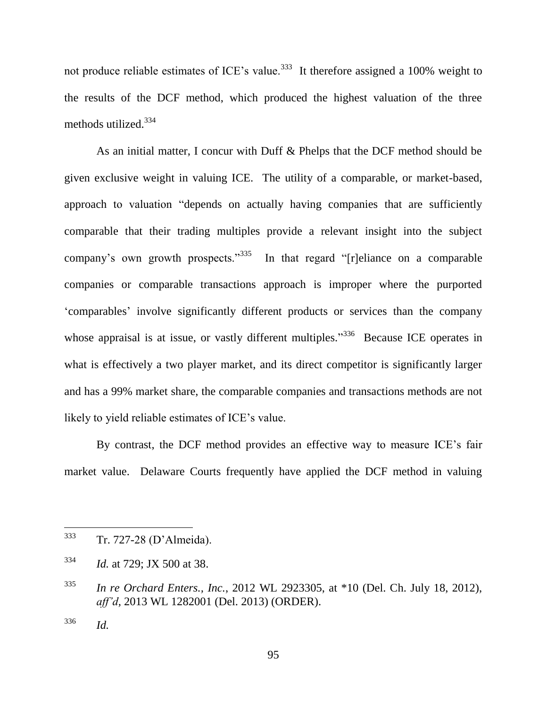not produce reliable estimates of ICE's value.<sup>333</sup> It therefore assigned a 100% weight to the results of the DCF method, which produced the highest valuation of the three methods utilized.<sup>334</sup>

As an initial matter, I concur with Duff & Phelps that the DCF method should be given exclusive weight in valuing ICE. The utility of a comparable, or market-based, approach to valuation "depends on actually having companies that are sufficiently comparable that their trading multiples provide a relevant insight into the subject company's own growth prospects."<sup>335</sup> In that regard "[r]eliance on a comparable companies or comparable transactions approach is improper where the purported ‗comparables' involve significantly different products or services than the company whose appraisal is at issue, or vastly different multiples.<sup>336</sup> Because ICE operates in what is effectively a two player market, and its direct competitor is significantly larger and has a 99% market share, the comparable companies and transactions methods are not likely to yield reliable estimates of ICE's value.

By contrast, the DCF method provides an effective way to measure ICE's fair market value. Delaware Courts frequently have applied the DCF method in valuing

<sup>336</sup> *Id.*

<sup>333</sup> Tr. 727-28 (D'Almeida).

<sup>334</sup> *Id.* at 729; JX 500 at 38.

<sup>335</sup> *In re Orchard Enters., Inc.*, 2012 WL 2923305, at \*10 (Del. Ch. July 18, 2012), *aff'd,* 2013 WL 1282001 (Del. 2013) (ORDER).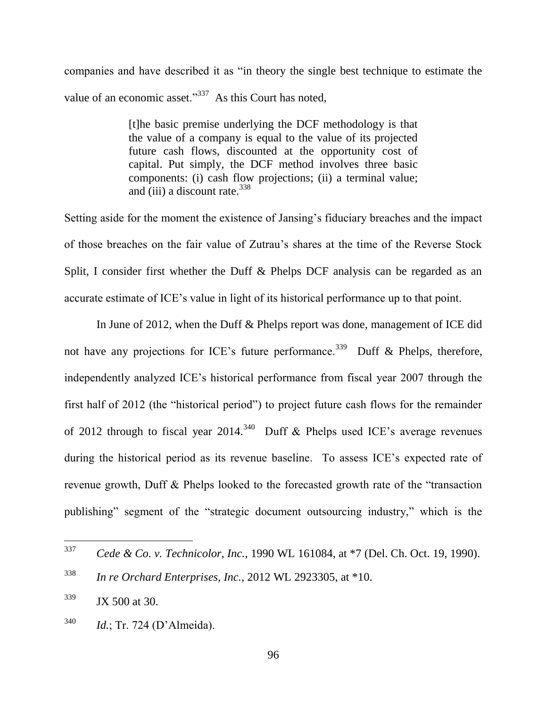companies and have described it as "in theory the single best technique to estimate the value of an economic asset." $337$  As this Court has noted,

> [t]he basic premise underlying the DCF methodology is that the value of a company is equal to the value of its projected future cash flows, discounted at the opportunity cost of capital. Put simply, the DCF method involves three basic components: (i) cash flow projections; (ii) a terminal value; and (iii) a discount rate. $338$

Setting aside for the moment the existence of Jansing's fiduciary breaches and the impact of those breaches on the fair value of Zutrau's shares at the time of the Reverse Stock Split, I consider first whether the Duff & Phelps DCF analysis can be regarded as an accurate estimate of ICE's value in light of its historical performance up to that point.

In June of 2012, when the Duff & Phelps report was done, management of ICE did not have any projections for ICE's future performance.<sup>339</sup> Duff & Phelps, therefore, independently analyzed ICE's historical performance from fiscal year 2007 through the first half of 2012 (the "historical period") to project future cash flows for the remainder of 2012 through to fiscal year 2014.<sup>340</sup> Duff & Phelps used ICE's average revenues during the historical period as its revenue baseline. To assess ICE's expected rate of revenue growth, Duff  $\&$  Phelps looked to the forecasted growth rate of the "transaction" publishing" segment of the "strategic document outsourcing industry," which is the

<sup>337</sup> <sup>337</sup> *Cede & Co. v. Technicolor, Inc.*, 1990 WL 161084, at \*7 (Del. Ch. Oct. 19, 1990).

<sup>338</sup> *In re Orchard Enterprises, Inc.*, 2012 WL 2923305, at \*10.

 $339$  JX 500 at 30.

<sup>340</sup> *Id.*; Tr. 724 (D'Almeida).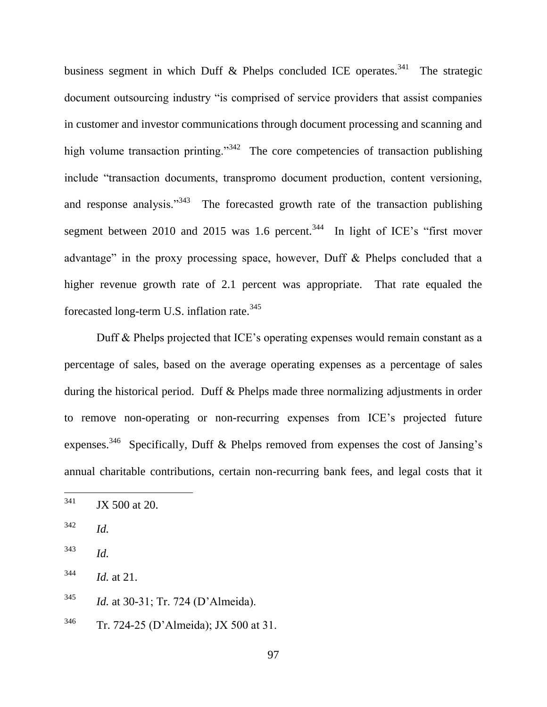business segment in which Duff & Phelps concluded ICE operates.<sup>341</sup> The strategic document outsourcing industry "is comprised of service providers that assist companies in customer and investor communications through document processing and scanning and high volume transaction printing."<sup>342</sup> The core competencies of transaction publishing include "transaction documents, transpromo document production, content versioning, and response analysis."<sup>343</sup> The forecasted growth rate of the transaction publishing segment between 2010 and 2015 was 1.6 percent.<sup>344</sup> In light of ICE's "first mover advantage" in the proxy processing space, however, Duff  $\&$  Phelps concluded that a higher revenue growth rate of 2.1 percent was appropriate. That rate equaled the forecasted long-term U.S. inflation rate.<sup>345</sup>

Duff & Phelps projected that ICE's operating expenses would remain constant as a percentage of sales, based on the average operating expenses as a percentage of sales during the historical period. Duff & Phelps made three normalizing adjustments in order to remove non-operating or non-recurring expenses from ICE's projected future expenses.<sup>346</sup> Specifically, Duff & Phelps removed from expenses the cost of Jansing's annual charitable contributions, certain non-recurring bank fees, and legal costs that it

<sup>346</sup> Tr. 724-25 (D'Almeida); JX 500 at 31.

<sup>341</sup> JX 500 at 20.

<sup>342</sup> *Id.*

<sup>343</sup> *Id.*

<sup>344</sup> *Id.* at 21.

<sup>345</sup> *Id.* at 30-31; Tr. 724 (D'Almeida).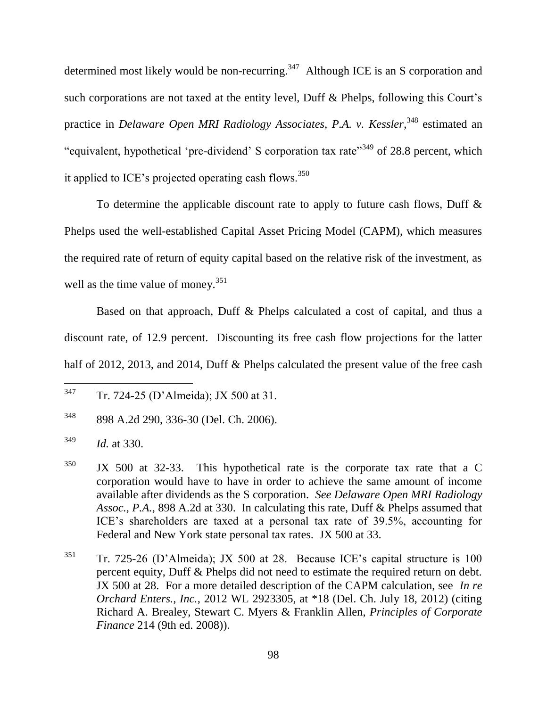determined most likely would be non-recurring.<sup>347</sup> Although ICE is an S corporation and such corporations are not taxed at the entity level, Duff & Phelps, following this Court's practice in *Delaware Open MRI Radiology Associates, P.A. v. Kessler*, <sup>348</sup> estimated an "equivalent, hypothetical 'pre-dividend' S corporation tax rate"<sup>349</sup> of 28.8 percent, which it applied to ICE's projected operating cash flows.<sup>350</sup>

To determine the applicable discount rate to apply to future cash flows, Duff  $\&$ Phelps used the well-established Capital Asset Pricing Model (CAPM), which measures the required rate of return of equity capital based on the relative risk of the investment, as well as the time value of money. $351$ 

Based on that approach, Duff & Phelps calculated a cost of capital, and thus a discount rate, of 12.9 percent. Discounting its free cash flow projections for the latter half of 2012, 2013, and 2014, Duff & Phelps calculated the present value of the free cash

<sup>347</sup> Tr. 724-25 (D'Almeida); JX 500 at 31.

<sup>348</sup> 898 A.2d 290, 336-30 (Del. Ch. 2006).

<sup>349</sup> *Id.* at 330.

 $350$  JX 500 at 32-33. This hypothetical rate is the corporate tax rate that a C corporation would have to have in order to achieve the same amount of income available after dividends as the S corporation. *See Delaware Open MRI Radiology Assoc., P.A.*, 898 A.2d at 330. In calculating this rate, Duff & Phelps assumed that ICE's shareholders are taxed at a personal tax rate of 39.5%, accounting for Federal and New York state personal tax rates. JX 500 at 33.

 $351$  Tr. 725-26 (D'Almeida); JX 500 at 28. Because ICE's capital structure is 100 percent equity, Duff & Phelps did not need to estimate the required return on debt. JX 500 at 28. For a more detailed description of the CAPM calculation, see *In re Orchard Enters., Inc.*, 2012 WL 2923305, at \*18 (Del. Ch. July 18, 2012) (citing Richard A. Brealey, Stewart C. Myers & Franklin Allen, *Principles of Corporate Finance* 214 (9th ed. 2008)).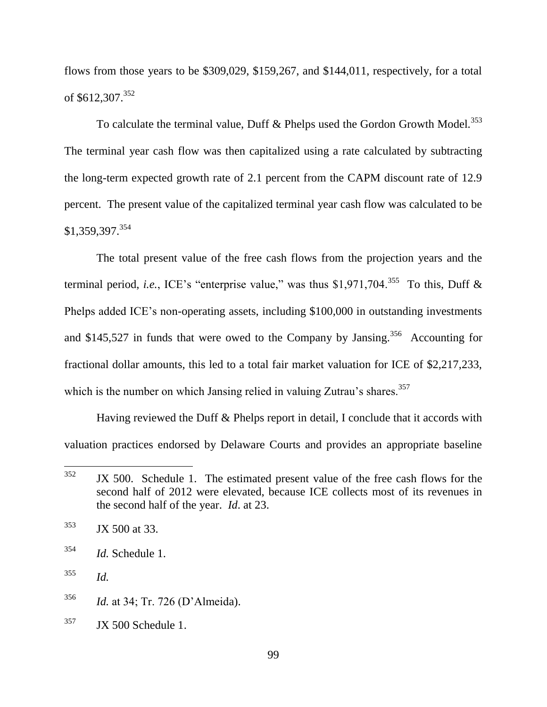flows from those years to be \$309,029, \$159,267, and \$144,011, respectively, for a total of \$612,307.<sup>352</sup>

To calculate the terminal value, Duff & Phelps used the Gordon Growth Model.<sup>353</sup> The terminal year cash flow was then capitalized using a rate calculated by subtracting the long-term expected growth rate of 2.1 percent from the CAPM discount rate of 12.9 percent. The present value of the capitalized terminal year cash flow was calculated to be \$1,359,397.<sup>354</sup>

The total present value of the free cash flows from the projection years and the terminal period, *i.e.*, ICE's "enterprise value," was thus \$1,971,704.<sup>355</sup> To this, Duff & Phelps added ICE's non-operating assets, including \$100,000 in outstanding investments and \$145,527 in funds that were owed to the Company by Jansing.<sup>356</sup> Accounting for fractional dollar amounts, this led to a total fair market valuation for ICE of \$2,217,233, which is the number on which Jansing relied in valuing Zutrau's shares.<sup>357</sup>

Having reviewed the Duff & Phelps report in detail, I conclude that it accords with valuation practices endorsed by Delaware Courts and provides an appropriate baseline

 $353$  JX 500 at 33.

<sup>354</sup> *Id.* Schedule 1.

<sup>355</sup> *Id.*

 $357$  JX 500 Schedule 1.

<sup>352</sup> JX 500. Schedule 1. The estimated present value of the free cash flows for the second half of 2012 were elevated, because ICE collects most of its revenues in the second half of the year. *Id*. at 23.

<sup>356</sup> *Id.* at 34; Tr. 726 (D'Almeida).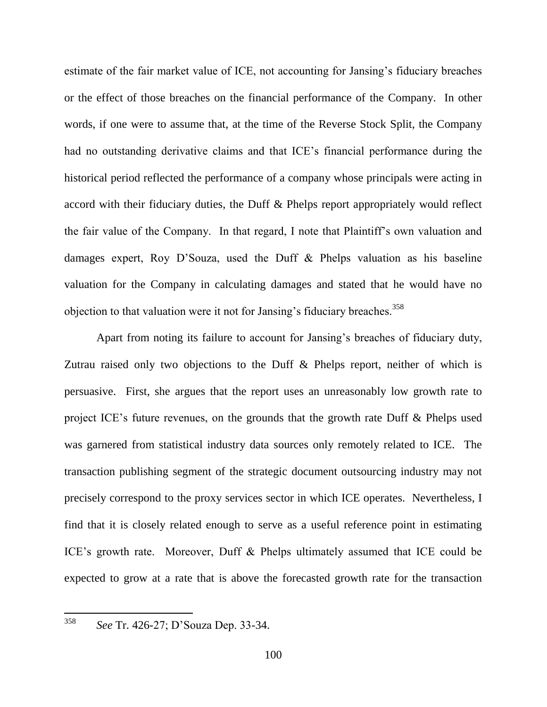estimate of the fair market value of ICE, not accounting for Jansing's fiduciary breaches or the effect of those breaches on the financial performance of the Company. In other words, if one were to assume that, at the time of the Reverse Stock Split, the Company had no outstanding derivative claims and that ICE's financial performance during the historical period reflected the performance of a company whose principals were acting in accord with their fiduciary duties, the Duff & Phelps report appropriately would reflect the fair value of the Company. In that regard, I note that Plaintiff's own valuation and damages expert, Roy D'Souza, used the Duff & Phelps valuation as his baseline valuation for the Company in calculating damages and stated that he would have no objection to that valuation were it not for Jansing's fiduciary breaches.<sup>358</sup>

Apart from noting its failure to account for Jansing's breaches of fiduciary duty, Zutrau raised only two objections to the Duff & Phelps report, neither of which is persuasive. First, she argues that the report uses an unreasonably low growth rate to project ICE's future revenues, on the grounds that the growth rate Duff & Phelps used was garnered from statistical industry data sources only remotely related to ICE. The transaction publishing segment of the strategic document outsourcing industry may not precisely correspond to the proxy services sector in which ICE operates. Nevertheless, I find that it is closely related enough to serve as a useful reference point in estimating ICE's growth rate. Moreover, Duff & Phelps ultimately assumed that ICE could be expected to grow at a rate that is above the forecasted growth rate for the transaction

<sup>358</sup> *See* Tr. 426-27; D'Souza Dep. 33-34.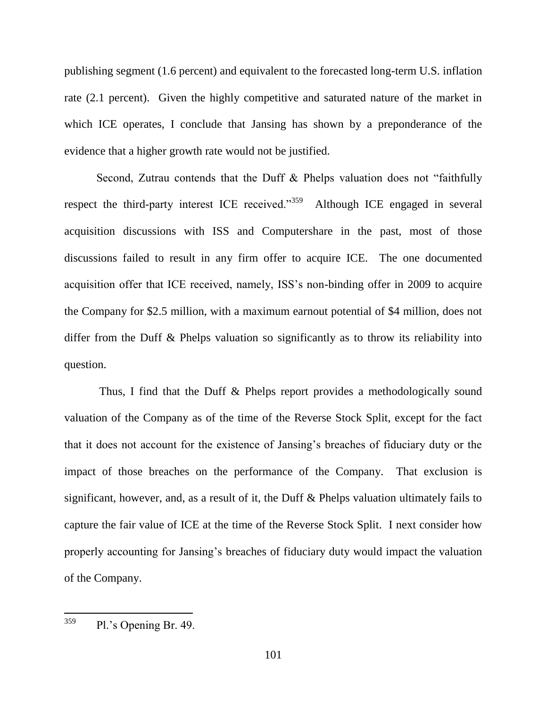publishing segment (1.6 percent) and equivalent to the forecasted long-term U.S. inflation rate (2.1 percent). Given the highly competitive and saturated nature of the market in which ICE operates, I conclude that Jansing has shown by a preponderance of the evidence that a higher growth rate would not be justified.

Second, Zutrau contends that the Duff & Phelps valuation does not "faithfully" respect the third-party interest ICE received."<sup>359</sup> Although ICE engaged in several acquisition discussions with ISS and Computershare in the past, most of those discussions failed to result in any firm offer to acquire ICE. The one documented acquisition offer that ICE received, namely, ISS's non-binding offer in 2009 to acquire the Company for \$2.5 million, with a maximum earnout potential of \$4 million, does not differ from the Duff & Phelps valuation so significantly as to throw its reliability into question.

Thus, I find that the Duff & Phelps report provides a methodologically sound valuation of the Company as of the time of the Reverse Stock Split, except for the fact that it does not account for the existence of Jansing's breaches of fiduciary duty or the impact of those breaches on the performance of the Company. That exclusion is significant, however, and, as a result of it, the Duff & Phelps valuation ultimately fails to capture the fair value of ICE at the time of the Reverse Stock Split. I next consider how properly accounting for Jansing's breaches of fiduciary duty would impact the valuation of the Company.

 $^{359}$  Pl.'s Opening Br. 49.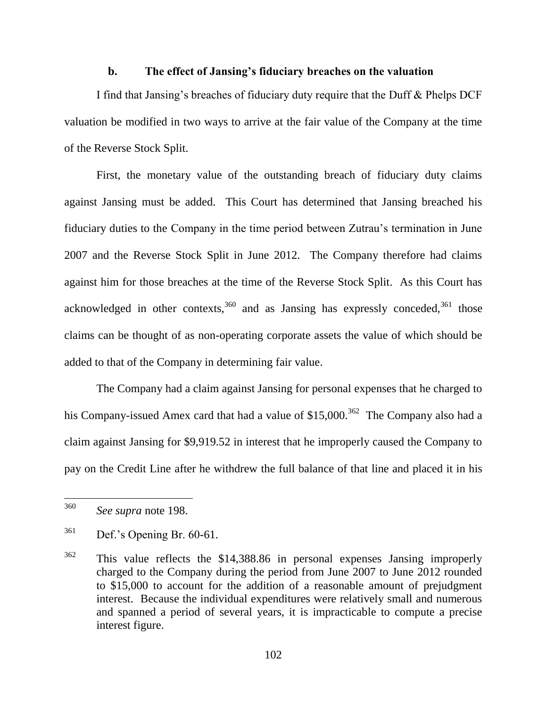### **b. The effect of Jansing's fiduciary breaches on the valuation**

I find that Jansing's breaches of fiduciary duty require that the Duff & Phelps DCF valuation be modified in two ways to arrive at the fair value of the Company at the time of the Reverse Stock Split.

First, the monetary value of the outstanding breach of fiduciary duty claims against Jansing must be added. This Court has determined that Jansing breached his fiduciary duties to the Company in the time period between Zutrau's termination in June 2007 and the Reverse Stock Split in June 2012. The Company therefore had claims against him for those breaches at the time of the Reverse Stock Split. As this Court has acknowledged in other contexts, $360$  and as Jansing has expressly conceded, $361$  those claims can be thought of as non-operating corporate assets the value of which should be added to that of the Company in determining fair value.

The Company had a claim against Jansing for personal expenses that he charged to his Company-issued Amex card that had a value of  $$15,000.<sup>362</sup>$  The Company also had a claim against Jansing for \$9,919.52 in interest that he improperly caused the Company to pay on the Credit Line after he withdrew the full balance of that line and placed it in his

<sup>360</sup> See supra note 198.

<sup>361</sup> Def.'s Opening Br. 60-61.

<sup>362</sup> This value reflects the \$14,388.86 in personal expenses Jansing improperly charged to the Company during the period from June 2007 to June 2012 rounded to \$15,000 to account for the addition of a reasonable amount of prejudgment interest. Because the individual expenditures were relatively small and numerous and spanned a period of several years, it is impracticable to compute a precise interest figure.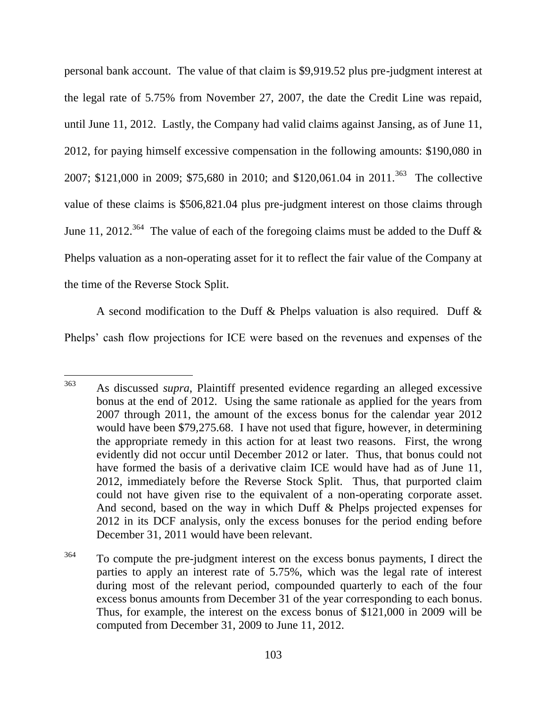personal bank account. The value of that claim is \$9,919.52 plus pre-judgment interest at the legal rate of 5.75% from November 27, 2007, the date the Credit Line was repaid, until June 11, 2012. Lastly, the Company had valid claims against Jansing, as of June 11, 2012, for paying himself excessive compensation in the following amounts: \$190,080 in 2007; \$121,000 in 2009; \$75,680 in 2010; and \$120,061.04 in 2011.<sup>363</sup> The collective value of these claims is \$506,821.04 plus pre-judgment interest on those claims through June 11, 2012.<sup>364</sup> The value of each of the foregoing claims must be added to the Duff  $\&$ Phelps valuation as a non-operating asset for it to reflect the fair value of the Company at the time of the Reverse Stock Split.

A second modification to the Duff & Phelps valuation is also required. Duff & Phelps' cash flow projections for ICE were based on the revenues and expenses of the

<sup>363</sup> <sup>363</sup> As discussed *supra*, Plaintiff presented evidence regarding an alleged excessive bonus at the end of 2012. Using the same rationale as applied for the years from 2007 through 2011, the amount of the excess bonus for the calendar year 2012 would have been \$79,275.68. I have not used that figure, however, in determining the appropriate remedy in this action for at least two reasons. First, the wrong evidently did not occur until December 2012 or later. Thus, that bonus could not have formed the basis of a derivative claim ICE would have had as of June 11, 2012, immediately before the Reverse Stock Split. Thus, that purported claim could not have given rise to the equivalent of a non-operating corporate asset. And second, based on the way in which Duff & Phelps projected expenses for 2012 in its DCF analysis, only the excess bonuses for the period ending before December 31, 2011 would have been relevant.

<sup>&</sup>lt;sup>364</sup> To compute the pre-judgment interest on the excess bonus payments, I direct the parties to apply an interest rate of 5.75%, which was the legal rate of interest during most of the relevant period, compounded quarterly to each of the four excess bonus amounts from December 31 of the year corresponding to each bonus. Thus, for example, the interest on the excess bonus of \$121,000 in 2009 will be computed from December 31, 2009 to June 11, 2012.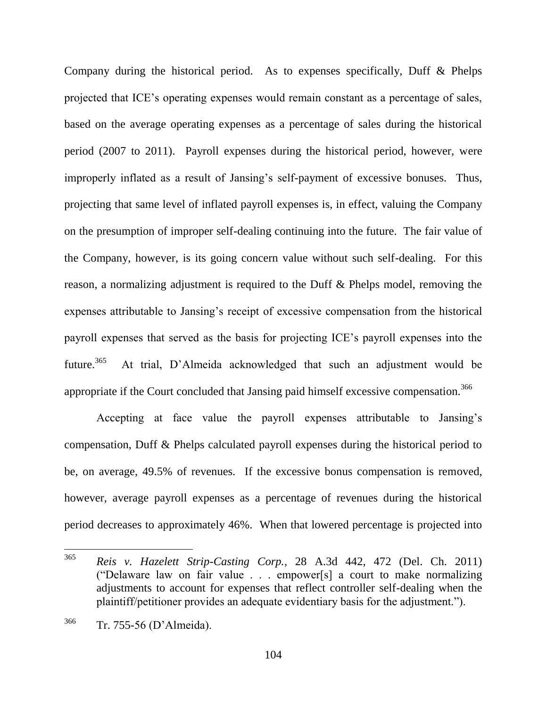Company during the historical period. As to expenses specifically, Duff & Phelps projected that ICE's operating expenses would remain constant as a percentage of sales, based on the average operating expenses as a percentage of sales during the historical period (2007 to 2011). Payroll expenses during the historical period, however, were improperly inflated as a result of Jansing's self-payment of excessive bonuses. Thus, projecting that same level of inflated payroll expenses is, in effect, valuing the Company on the presumption of improper self-dealing continuing into the future. The fair value of the Company, however, is its going concern value without such self-dealing. For this reason, a normalizing adjustment is required to the Duff & Phelps model, removing the expenses attributable to Jansing's receipt of excessive compensation from the historical payroll expenses that served as the basis for projecting ICE's payroll expenses into the future.<sup>365</sup> At trial, D'Almeida acknowledged that such an adjustment would be appropriate if the Court concluded that Jansing paid himself excessive compensation.<sup>366</sup>

Accepting at face value the payroll expenses attributable to Jansing's compensation, Duff & Phelps calculated payroll expenses during the historical period to be, on average, 49.5% of revenues. If the excessive bonus compensation is removed, however, average payroll expenses as a percentage of revenues during the historical period decreases to approximately 46%. When that lowered percentage is projected into

<sup>365</sup> <sup>365</sup> *Reis v. Hazelett Strip-Casting Corp.*, 28 A.3d 442, 472 (Del. Ch. 2011) ("Delaware law on fair value  $\ldots$  empower[s] a court to make normalizing adjustments to account for expenses that reflect controller self-dealing when the plaintiff/petitioner provides an adequate evidentiary basis for the adjustment.").

<sup>366</sup> Tr. 755-56 (D'Almeida).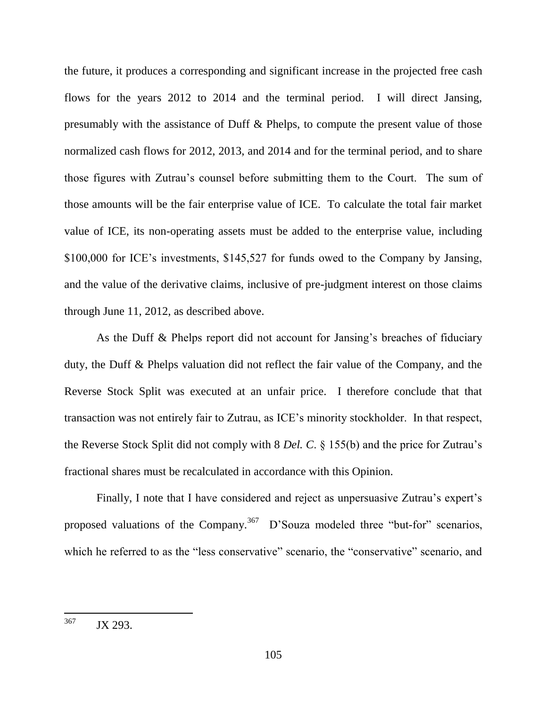the future, it produces a corresponding and significant increase in the projected free cash flows for the years 2012 to 2014 and the terminal period. I will direct Jansing, presumably with the assistance of Duff & Phelps, to compute the present value of those normalized cash flows for 2012, 2013, and 2014 and for the terminal period, and to share those figures with Zutrau's counsel before submitting them to the Court. The sum of those amounts will be the fair enterprise value of ICE. To calculate the total fair market value of ICE, its non-operating assets must be added to the enterprise value, including \$100,000 for ICE's investments, \$145,527 for funds owed to the Company by Jansing, and the value of the derivative claims, inclusive of pre-judgment interest on those claims through June 11, 2012, as described above.

As the Duff & Phelps report did not account for Jansing's breaches of fiduciary duty, the Duff & Phelps valuation did not reflect the fair value of the Company, and the Reverse Stock Split was executed at an unfair price. I therefore conclude that that transaction was not entirely fair to Zutrau, as ICE's minority stockholder. In that respect, the Reverse Stock Split did not comply with 8 *Del. C*. § 155(b) and the price for Zutrau's fractional shares must be recalculated in accordance with this Opinion.

Finally, I note that I have considered and reject as unpersuasive Zutrau's expert's proposed valuations of the Company.<sup>367</sup> D'Souza modeled three "but-for" scenarios, which he referred to as the "less conservative" scenario, the "conservative" scenario, and

<sup>367</sup> JX 293.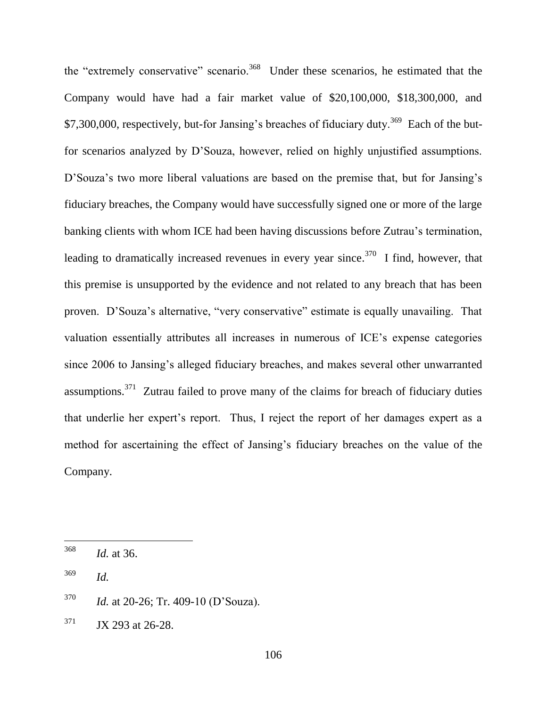the "extremely conservative" scenario.<sup>368</sup> Under these scenarios, he estimated that the Company would have had a fair market value of \$20,100,000, \$18,300,000, and \$7,300,000, respectively, but-for Jansing's breaches of fiduciary duty.<sup>369</sup> Each of the butfor scenarios analyzed by D'Souza, however, relied on highly unjustified assumptions. D'Souza's two more liberal valuations are based on the premise that, but for Jansing's fiduciary breaches, the Company would have successfully signed one or more of the large banking clients with whom ICE had been having discussions before Zutrau's termination, leading to dramatically increased revenues in every year since.<sup>370</sup> I find, however, that this premise is unsupported by the evidence and not related to any breach that has been proven. D'Souza's alternative, "very conservative" estimate is equally unavailing. That valuation essentially attributes all increases in numerous of ICE's expense categories since 2006 to Jansing's alleged fiduciary breaches, and makes several other unwarranted assumptions.<sup>371</sup> Zutrau failed to prove many of the claims for breach of fiduciary duties that underlie her expert's report. Thus, I reject the report of her damages expert as a method for ascertaining the effect of Jansing's fiduciary breaches on the value of the Company.

- <sup>370</sup> *Id.* at 20-26; Tr. 409-10 (D'Souza).
- $371$  JX 293 at 26-28.

<sup>368</sup> *Id.* at 36.

<sup>369</sup> *Id.*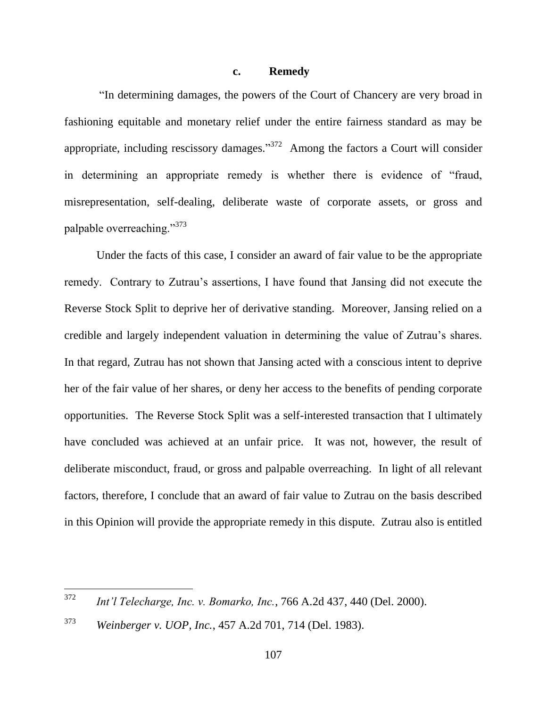### **c. Remedy**

"In determining damages, the powers of the Court of Chancery are very broad in fashioning equitable and monetary relief under the entire fairness standard as may be appropriate, including rescissory damages." $372$  Among the factors a Court will consider in determining an appropriate remedy is whether there is evidence of "fraud, misrepresentation, self-dealing, deliberate waste of corporate assets, or gross and palpable overreaching. $^{373}$ 

Under the facts of this case, I consider an award of fair value to be the appropriate remedy. Contrary to Zutrau's assertions, I have found that Jansing did not execute the Reverse Stock Split to deprive her of derivative standing. Moreover, Jansing relied on a credible and largely independent valuation in determining the value of Zutrau's shares. In that regard, Zutrau has not shown that Jansing acted with a conscious intent to deprive her of the fair value of her shares, or deny her access to the benefits of pending corporate opportunities. The Reverse Stock Split was a self-interested transaction that I ultimately have concluded was achieved at an unfair price. It was not, however, the result of deliberate misconduct, fraud, or gross and palpable overreaching. In light of all relevant factors, therefore, I conclude that an award of fair value to Zutrau on the basis described in this Opinion will provide the appropriate remedy in this dispute. Zutrau also is entitled

<sup>372</sup> <sup>372</sup> *Int'l Telecharge, Inc. v. Bomarko, Inc.*, 766 A.2d 437, 440 (Del. 2000).

<sup>373</sup> *Weinberger v. UOP, Inc.*, 457 A.2d 701, 714 (Del. 1983).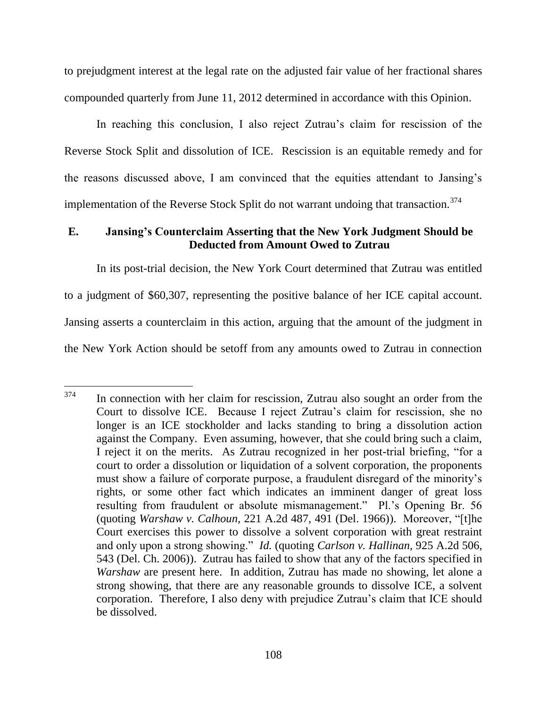to prejudgment interest at the legal rate on the adjusted fair value of her fractional shares compounded quarterly from June 11, 2012 determined in accordance with this Opinion.

In reaching this conclusion, I also reject Zutrau's claim for rescission of the Reverse Stock Split and dissolution of ICE. Rescission is an equitable remedy and for the reasons discussed above, I am convinced that the equities attendant to Jansing's implementation of the Reverse Stock Split do not warrant undoing that transaction.<sup>374</sup>

## **E. Jansing's Counterclaim Asserting that the New York Judgment Should be Deducted from Amount Owed to Zutrau**

In its post-trial decision, the New York Court determined that Zutrau was entitled to a judgment of \$60,307, representing the positive balance of her ICE capital account. Jansing asserts a counterclaim in this action, arguing that the amount of the judgment in the New York Action should be setoff from any amounts owed to Zutrau in connection

<sup>374</sup> In connection with her claim for rescission, Zutrau also sought an order from the Court to dissolve ICE. Because I reject Zutrau's claim for rescission, she no longer is an ICE stockholder and lacks standing to bring a dissolution action against the Company. Even assuming, however, that she could bring such a claim, I reject it on the merits. As Zutrau recognized in her post-trial briefing, "for a court to order a dissolution or liquidation of a solvent corporation, the proponents must show a failure of corporate purpose, a fraudulent disregard of the minority's rights, or some other fact which indicates an imminent danger of great loss resulting from fraudulent or absolute mismanagement." Pl.'s Opening Br. 56 (quoting *Warshaw v. Calhoun*, 221 A.2d 487, 491 (Del. 1966)). Moreover, "[t]he Court exercises this power to dissolve a solvent corporation with great restraint and only upon a strong showing." *Id.* (quoting *Carlson v. Hallinan*, 925 A.2d 506, 543 (Del. Ch. 2006)). Zutrau has failed to show that any of the factors specified in *Warshaw* are present here. In addition, Zutrau has made no showing, let alone a strong showing, that there are any reasonable grounds to dissolve ICE, a solvent corporation. Therefore, I also deny with prejudice Zutrau's claim that ICE should be dissolved.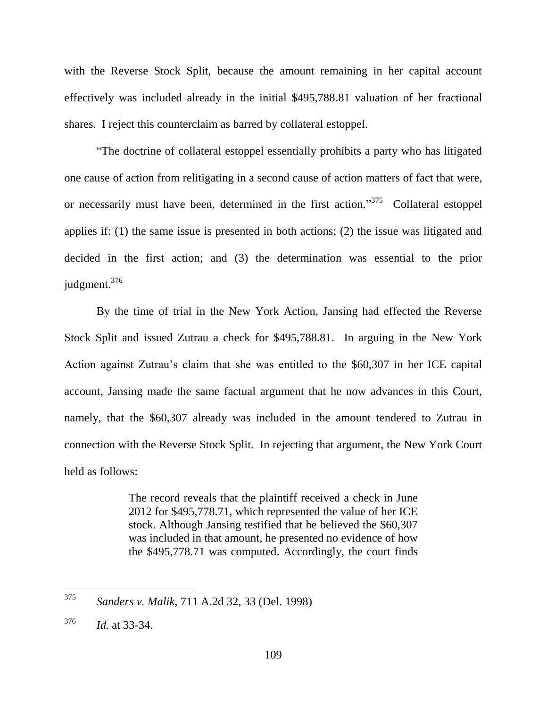with the Reverse Stock Split, because the amount remaining in her capital account effectively was included already in the initial \$495,788.81 valuation of her fractional shares. I reject this counterclaim as barred by collateral estoppel.

―The doctrine of collateral estoppel essentially prohibits a party who has litigated one cause of action from relitigating in a second cause of action matters of fact that were, or necessarily must have been, determined in the first action.<sup>375</sup> Collateral estoppel applies if: (1) the same issue is presented in both actions; (2) the issue was litigated and decided in the first action; and (3) the determination was essential to the prior judgment.<sup>376</sup>

By the time of trial in the New York Action, Jansing had effected the Reverse Stock Split and issued Zutrau a check for \$495,788.81. In arguing in the New York Action against Zutrau's claim that she was entitled to the \$60,307 in her ICE capital account, Jansing made the same factual argument that he now advances in this Court, namely, that the \$60,307 already was included in the amount tendered to Zutrau in connection with the Reverse Stock Split. In rejecting that argument, the New York Court held as follows:

> The record reveals that the plaintiff received a check in June 2012 for \$495,778.71, which represented the value of her ICE stock. Although Jansing testified that he believed the \$60,307 was included in that amount, he presented no evidence of how the \$495,778.71 was computed. Accordingly, the court finds

<sup>375</sup> <sup>375</sup> *Sanders v. Malik*, 711 A.2d 32, 33 (Del. 1998)

<sup>376</sup> *Id.* at 33-34.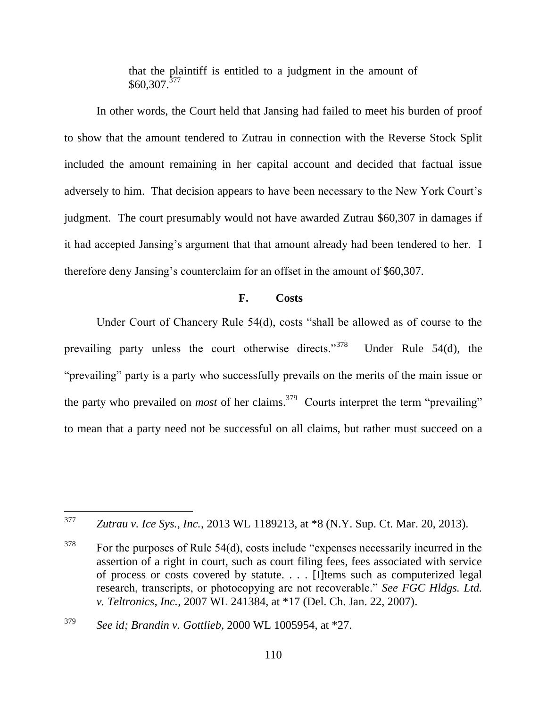that the plaintiff is entitled to a judgment in the amount of  $$60,307.<sup>377</sup>$ 

In other words, the Court held that Jansing had failed to meet his burden of proof to show that the amount tendered to Zutrau in connection with the Reverse Stock Split included the amount remaining in her capital account and decided that factual issue adversely to him. That decision appears to have been necessary to the New York Court's judgment. The court presumably would not have awarded Zutrau \$60,307 in damages if it had accepted Jansing's argument that that amount already had been tendered to her. I therefore deny Jansing's counterclaim for an offset in the amount of \$60,307.

## **F. Costs**

Under Court of Chancery Rule  $54(d)$ , costs "shall be allowed as of course to the prevailing party unless the court otherwise directs."<sup>378</sup> Under Rule 54(d), the "prevailing" party is a party who successfully prevails on the merits of the main issue or the party who prevailed on *most* of her claims.<sup>379</sup> Courts interpret the term "prevailing" to mean that a party need not be successful on all claims, but rather must succeed on a

 $378$  For the purposes of Rule 54(d), costs include "expenses necessarily incurred in the assertion of a right in court, such as court filing fees, fees associated with service of process or costs covered by statute. . . . [I]tems such as computerized legal research, transcripts, or photocopying are not recoverable." *See FGC Hldgs. Ltd. v. Teltronics, Inc.,* 2007 WL 241384, at \*17 (Del. Ch. Jan. 22, 2007).

<sup>377</sup> Zutrau v. Ice Sys., Inc., 2013 WL 1189213, at \*8 (N.Y. Sup. Ct. Mar. 20, 2013).

<sup>379</sup> *See id; Brandin v. Gottlieb,* 2000 WL 1005954, at \*27.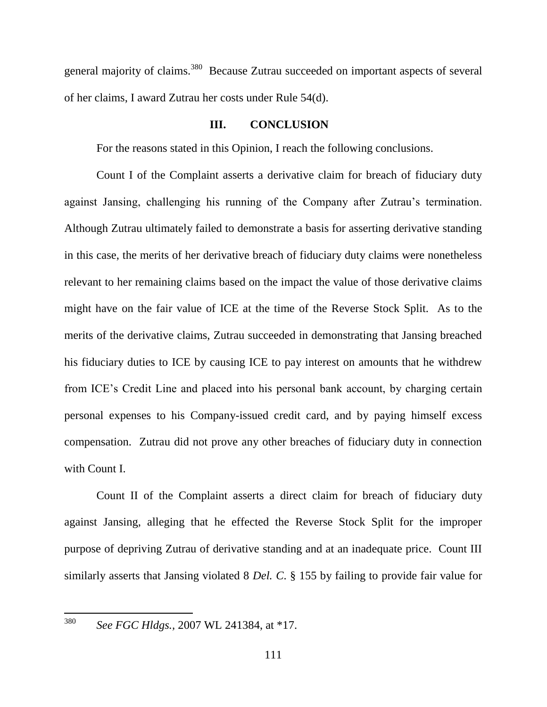general majority of claims.<sup>380</sup> Because Zutrau succeeded on important aspects of several of her claims, I award Zutrau her costs under Rule 54(d).

## **III. CONCLUSION**

For the reasons stated in this Opinion, I reach the following conclusions.

Count I of the Complaint asserts a derivative claim for breach of fiduciary duty against Jansing, challenging his running of the Company after Zutrau's termination. Although Zutrau ultimately failed to demonstrate a basis for asserting derivative standing in this case, the merits of her derivative breach of fiduciary duty claims were nonetheless relevant to her remaining claims based on the impact the value of those derivative claims might have on the fair value of ICE at the time of the Reverse Stock Split. As to the merits of the derivative claims, Zutrau succeeded in demonstrating that Jansing breached his fiduciary duties to ICE by causing ICE to pay interest on amounts that he withdrew from ICE's Credit Line and placed into his personal bank account, by charging certain personal expenses to his Company-issued credit card, and by paying himself excess compensation. Zutrau did not prove any other breaches of fiduciary duty in connection with Count I.

Count II of the Complaint asserts a direct claim for breach of fiduciary duty against Jansing, alleging that he effected the Reverse Stock Split for the improper purpose of depriving Zutrau of derivative standing and at an inadequate price. Count III similarly asserts that Jansing violated 8 *Del. C*. § 155 by failing to provide fair value for

 $\overline{a}$ 

<sup>380</sup> *See FGC Hldgs.,* 2007 WL 241384, at \*17.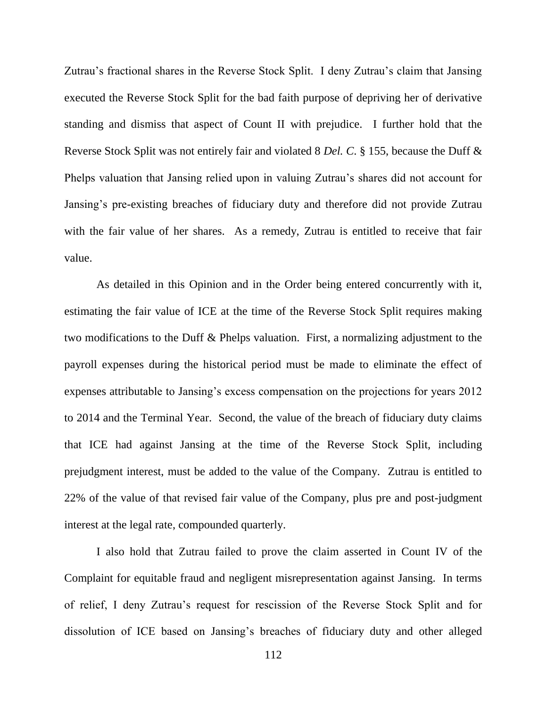Zutrau's fractional shares in the Reverse Stock Split. I deny Zutrau's claim that Jansing executed the Reverse Stock Split for the bad faith purpose of depriving her of derivative standing and dismiss that aspect of Count II with prejudice. I further hold that the Reverse Stock Split was not entirely fair and violated 8 *Del. C*. § 155, because the Duff & Phelps valuation that Jansing relied upon in valuing Zutrau's shares did not account for Jansing's pre-existing breaches of fiduciary duty and therefore did not provide Zutrau with the fair value of her shares. As a remedy, Zutrau is entitled to receive that fair value.

As detailed in this Opinion and in the Order being entered concurrently with it, estimating the fair value of ICE at the time of the Reverse Stock Split requires making two modifications to the Duff & Phelps valuation. First, a normalizing adjustment to the payroll expenses during the historical period must be made to eliminate the effect of expenses attributable to Jansing's excess compensation on the projections for years 2012 to 2014 and the Terminal Year. Second, the value of the breach of fiduciary duty claims that ICE had against Jansing at the time of the Reverse Stock Split, including prejudgment interest, must be added to the value of the Company. Zutrau is entitled to 22% of the value of that revised fair value of the Company, plus pre and post-judgment interest at the legal rate, compounded quarterly.

I also hold that Zutrau failed to prove the claim asserted in Count IV of the Complaint for equitable fraud and negligent misrepresentation against Jansing. In terms of relief, I deny Zutrau's request for rescission of the Reverse Stock Split and for dissolution of ICE based on Jansing's breaches of fiduciary duty and other alleged